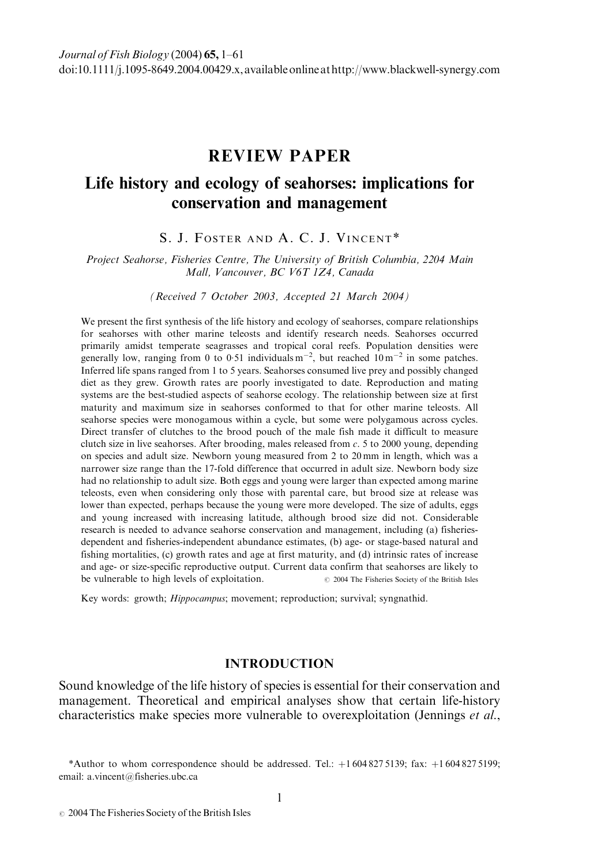# REVIEW PAPER

# Life history and ecology of seahorses: implications for conservation and management

S. J. FOSTER AND A. C. J. VINCENT\*

Project Seahorse, Fisheries Centre, The University of British Columbia, 2204 Main Mall, Vancouver, BC V6T 1Z4, Canada

(Received 7 October 2003, Accepted 21 March 2004)

We present the first synthesis of the life history and ecology of seahorses, compare relationships for seahorses with other marine teleosts and identify research needs. Seahorses occurred primarily amidst temperate seagrasses and tropical coral reefs. Population densities were generally low, ranging from 0 to 0.51 individuals  $m^{-2}$ , but reached  $10 m^{-2}$  in some patches. Inferred life spans ranged from 1 to 5 years. Seahorses consumed live prey and possibly changed diet as they grew. Growth rates are poorly investigated to date. Reproduction and mating systems are the best-studied aspects of seahorse ecology. The relationship between size at first maturity and maximum size in seahorses conformed to that for other marine teleosts. All seahorse species were monogamous within a cycle, but some were polygamous across cycles. Direct transfer of clutches to the brood pouch of the male fish made it difficult to measure clutch size in live seahorses. After brooding, males released from  $c$ . 5 to 2000 young, depending on species and adult size. Newborn young measured from 2 to 20 mm in length, which was a narrower size range than the 17-fold difference that occurred in adult size. Newborn body size had no relationship to adult size. Both eggs and young were larger than expected among marine teleosts, even when considering only those with parental care, but brood size at release was lower than expected, perhaps because the young were more developed. The size of adults, eggs and young increased with increasing latitude, although brood size did not. Considerable research is needed to advance seahorse conservation and management, including (a) fisheriesdependent and fisheries-independent abundance estimates, (b) age- or stage-based natural and fishing mortalities, (c) growth rates and age at first maturity, and (d) intrinsic rates of increase and age- or size-specific reproductive output. Current data confirm that seahorses are likely to be vulnerable to high levels of exploitation.  $\degree$  2004 The Fisheries Society of the British Isles

Key words: growth; Hippocampus; movement; reproduction; survival; syngnathid.

## **INTRODUCTION**

Sound knowledge of the life history of species is essential for their conservation and management. Theoretical and empirical analyses show that certain life-history characteristics make species more vulnerable to overexploitation (Jennings et al.,

\*Author to whom correspondence should be addressed. Tel.:  $+1\,604\,827\,5139$ ; fax:  $+1\,604\,827\,5199$ ; email: a.vincent@fisheries.ubc.ca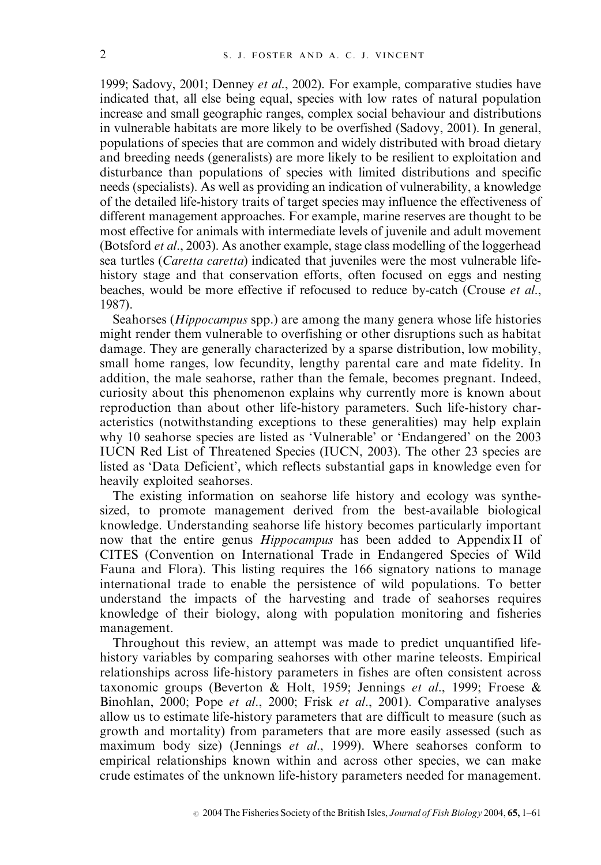1999; Sadovy, 2001; Denney et al., 2002). For example, comparative studies have indicated that, all else being equal, species with low rates of natural population increase and small geographic ranges, complex social behaviour and distributions in vulnerable habitats are more likely to be overfished (Sadovy, 2001). In general, populations of species that are common and widely distributed with broad dietary and breeding needs (generalists) are more likely to be resilient to exploitation and disturbance than populations of species with limited distributions and specific needs (specialists). As well as providing an indication of vulnerability, a knowledge of the detailed life-history traits of target species may influence the effectiveness of different management approaches. For example, marine reserves are thought to be most effective for animals with intermediate levels of juvenile and adult movement (Botsford et al., 2003). As another example, stage class modelling of the loggerhead sea turtles (Caretta caretta) indicated that juveniles were the most vulnerable lifehistory stage and that conservation efforts, often focused on eggs and nesting beaches, would be more effective if refocused to reduce by-catch (Crouse et al., 1987).

Seahorses (*Hippocampus* spp.) are among the many genera whose life histories might render them vulnerable to overfishing or other disruptions such as habitat damage. They are generally characterized by a sparse distribution, low mobility, small home ranges, low fecundity, lengthy parental care and mate fidelity. In addition, the male seahorse, rather than the female, becomes pregnant. Indeed, curiosity about this phenomenon explains why currently more is known about reproduction than about other life-history parameters. Such life-history characteristics (notwithstanding exceptions to these generalities) may help explain why 10 seahorse species are listed as 'Vulnerable' or 'Endangered' on the 2003 IUCN Red List of Threatened Species (IUCN, 2003). The other 23 species are listed as 'Data Deficient', which reflects substantial gaps in knowledge even for heavily exploited seahorses.

The existing information on seahorse life history and ecology was synthesized, to promote management derived from the best-available biological knowledge. Understanding seahorse life history becomes particularly important now that the entire genus *Hippocampus* has been added to Appendix II of CITES (Convention on International Trade in Endangered Species of Wild Fauna and Flora). This listing requires the 166 signatory nations to manage international trade to enable the persistence of wild populations. To better understand the impacts of the harvesting and trade of seahorses requires knowledge of their biology, along with population monitoring and fisheries management.

Throughout this review, an attempt was made to predict unquantified lifehistory variables by comparing seahorses with other marine teleosts. Empirical relationships across life-history parameters in fishes are often consistent across taxonomic groups (Beverton & Holt, 1959; Jennings et al., 1999; Froese & Binohlan, 2000; Pope et al., 2000; Frisk et al., 2001). Comparative analyses allow us to estimate life-history parameters that are difficult to measure (such as growth and mortality) from parameters that are more easily assessed (such as maximum body size) (Jennings et al., 1999). Where seahorses conform to empirical relationships known within and across other species, we can make crude estimates of the unknown life-history parameters needed for management.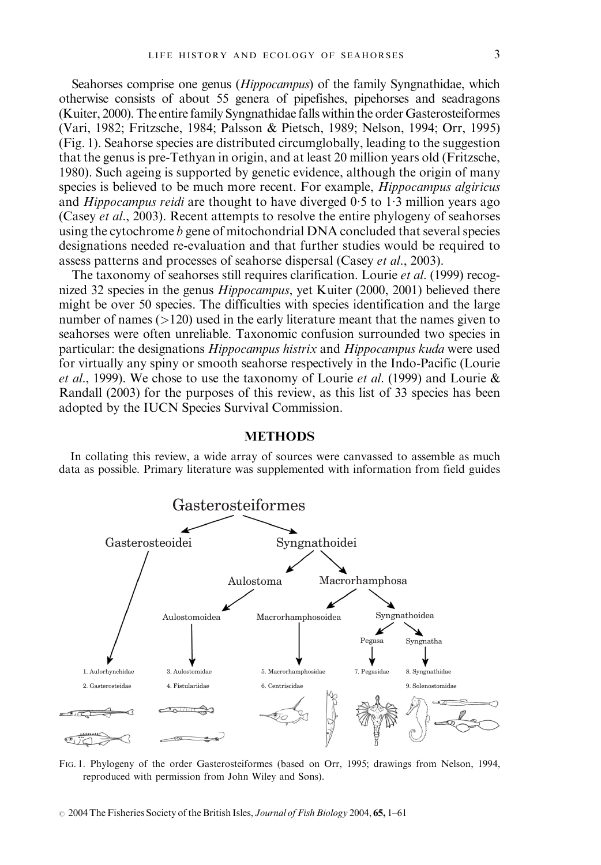Seahorses comprise one genus (Hippocampus) of the family Syngnathidae, which otherwise consists of about 55 genera of pipefishes, pipehorses and seadragons (Kuiter, 2000). The entire family Syngnathidae falls within the order Gasterosteiformes (Vari, 1982; Fritzsche, 1984; Palsson & Pietsch, 1989; Nelson, 1994; Orr, 1995) (Fig. 1). Seahorse species are distributed circumglobally, leading to the suggestion that the genus is pre-Tethyan in origin, and at least 20 million years old (Fritzsche, 1980). Such ageing is supported by genetic evidence, although the origin of many species is believed to be much more recent. For example, *Hippocampus algiricus* and *Hippocampus reidi* are thought to have diverged  $0.5$  to  $1.3$  million years ago (Casey et al., 2003). Recent attempts to resolve the entire phylogeny of seahorses using the cytochrome b gene of mitochondrial DNA concluded that several species designations needed re-evaluation and that further studies would be required to assess patterns and processes of seahorse dispersal (Casey et al., 2003).

The taxonomy of seahorses still requires clarification. Lourie et al. (1999) recognized 32 species in the genus *Hippocampus*, yet Kuiter (2000, 2001) believed there might be over 50 species. The difficulties with species identification and the large number of names (>120) used in the early literature meant that the names given to seahorses were often unreliable. Taxonomic confusion surrounded two species in particular: the designations Hippocampus histrix and Hippocampus kuda were used for virtually any spiny or smooth seahorse respectively in the Indo-Pacific (Lourie et al., 1999). We chose to use the taxonomy of Lourie et al. (1999) and Lourie  $\&$ Randall (2003) for the purposes of this review, as this list of 33 species has been adopted by the IUCN Species Survival Commission.

#### **METHODS**

In collating this review, a wide array of sources were canvassed to assemble as much data as possible. Primary literature was supplemented with information from field guides



FIG. 1. Phylogeny of the order Gasterosteiformes (based on Orr, 1995; drawings from Nelson, 1994, reproduced with permission from John Wiley and Sons).

 $\degree$  2004 The Fisheries Society of the British Isles, *Journal of Fish Biology* 2004, 65, 1–61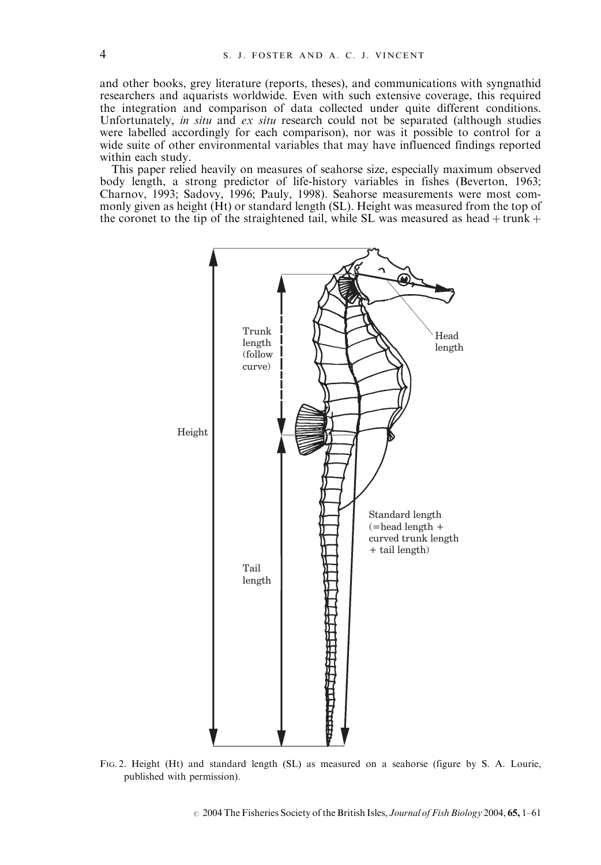and other books, grey literature (reports, theses), and communications with syngnathid researchers and aquarists worldwide. Even with such extensive coverage, this required the integration and comparison of data collected under quite different conditions. Unfortunately, in situ and ex situ research could not be separated (although studies were labelled accordingly for each comparison), nor was it possible to control for a wide suite of other environmental variables that may have influenced findings reported within each study.

This paper relied heavily on measures of seahorse size, especially maximum observed body length, a strong predictor of life-history variables in fishes (Beverton, 1963; Charnov, 1993; Sadovy, 1996; Pauly, 1998). Seahorse measurements were most commonly given as height (Ht) or standard length (SL). Height was measured from the top of the coronet to the tip of the straightened tail, while SL was measured as head  $+$  trunk  $+$ 



FIG. 2. Height (Ht) and standard length (SL) as measured on a seahorse (figure by S. A. Lourie, published with permission).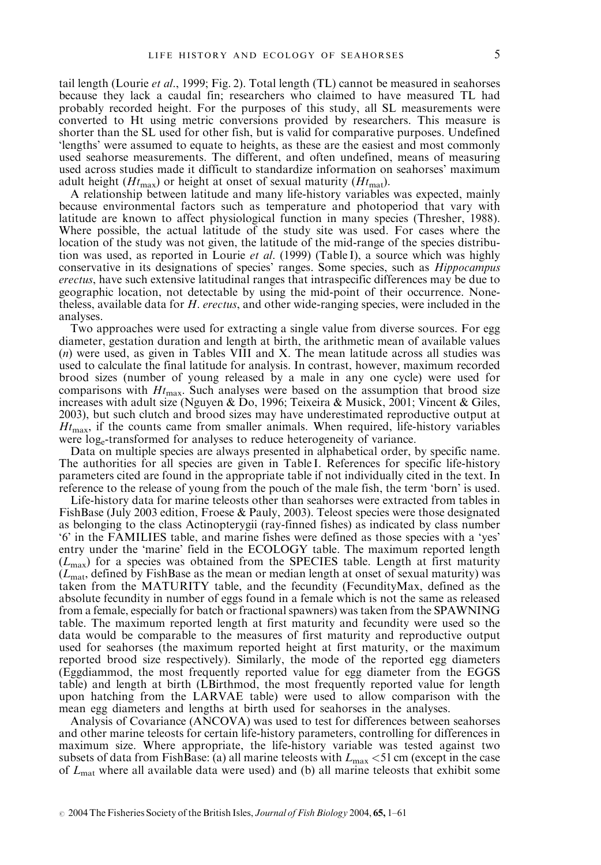tail length (Lourie *et al.*, 1999; Fig. 2). Total length (TL) cannot be measured in seahorses because they lack a caudal fin; researchers who claimed to have measured TL had probably recorded height. For the purposes of this study, all SL measurements were converted to Ht using metric conversions provided by researchers. This measure is shorter than the SL used for other fish, but is valid for comparative purposes. Undefined 'lengths' were assumed to equate to heights, as these are the easiest and most commonly used seahorse measurements. The different, and often undefined, means of measuring used across studies made it difficult to standardize information on seahorses' maximum adult height ( $Ht_{\text{max}}$ ) or height at onset of sexual maturity ( $Ht_{\text{mat}}$ ).

A relationship between latitude and many life-history variables was expected, mainly because environmental factors such as temperature and photoperiod that vary with latitude are known to affect physiological function in many species (Thresher, 1988). Where possible, the actual latitude of the study site was used. For cases where the location of the study was not given, the latitude of the mid-range of the species distribution was used, as reported in Lourie *et al.* (1999) (Table I), a source which was highly conservative in its designations of species' ranges. Some species, such as Hippocampus erectus, have such extensive latitudinal ranges that intraspecific differences may be due to geographic location, not detectable by using the mid-point of their occurrence. Nonetheless, available data for H. erectus, and other wide-ranging species, were included in the analyses.

Two approaches were used for extracting a single value from diverse sources. For egg diameter, gestation duration and length at birth, the arithmetic mean of available values (n) were used, as given in Tables VIII and X. The mean latitude across all studies was used to calculate the final latitude for analysis. In contrast, however, maximum recorded brood sizes (number of young released by a male in any one cycle) were used for comparisons with  $Ht_{\text{max}}$ . Such analyses were based on the assumption that brood size increases with adult size (Nguyen & Do, 1996; Teixeira & Musick, 2001; Vincent & Giles, 2003), but such clutch and brood sizes may have underestimated reproductive output at  $H_{t_{\text{max}}}$ , if the counts came from smaller animals. When required, life-history variables were loge-transformed for analyses to reduce heterogeneity of variance.

Data on multiple species are always presented in alphabetical order, by specific name. The authorities for all species are given in Table I. References for specific life-history parameters cited are found in the appropriate table if not individually cited in the text. In reference to the release of young from the pouch of the male fish, the term 'born' is used.

Life-history data for marine teleosts other than seahorses were extracted from tables in FishBase (July 2003 edition, Froese & Pauly, 2003). Teleost species were those designated as belonging to the class Actinopterygii (ray-finned fishes) as indicated by class number '6' in the FAMILIES table, and marine fishes were defined as those species with a 'yes' entry under the 'marine' field in the ECOLOGY table. The maximum reported length  $(L_{\text{max}})$  for a species was obtained from the SPECIES table. Length at first maturity  $(L_{\text{mat}})$ , defined by FishBase as the mean or median length at onset of sexual maturity) was taken from the MATURITY table, and the fecundity (FecundityMax, defined as the absolute fecundity in number of eggs found in a female which is not the same as released from a female, especially for batch or fractional spawners) was taken from the SPAWNING table. The maximum reported length at first maturity and fecundity were used so the data would be comparable to the measures of first maturity and reproductive output used for seahorses (the maximum reported height at first maturity, or the maximum reported brood size respectively). Similarly, the mode of the reported egg diameters (Eggdiammod, the most frequently reported value for egg diameter from the EGGS table) and length at birth (LBirthmod, the most frequently reported value for length upon hatching from the LARVAE table) were used to allow comparison with the mean egg diameters and lengths at birth used for seahorses in the analyses.

Analysis of Covariance (ANCOVA) was used to test for differences between seahorses and other marine teleosts for certain life-history parameters, controlling for differences in maximum size. Where appropriate, the life-history variable was tested against two subsets of data from FishBase: (a) all marine teleosts with  $L_{\text{max}}$  <51 cm (except in the case of  $L_{\text{mat}}$  where all available data were used) and (b) all marine teleosts that exhibit some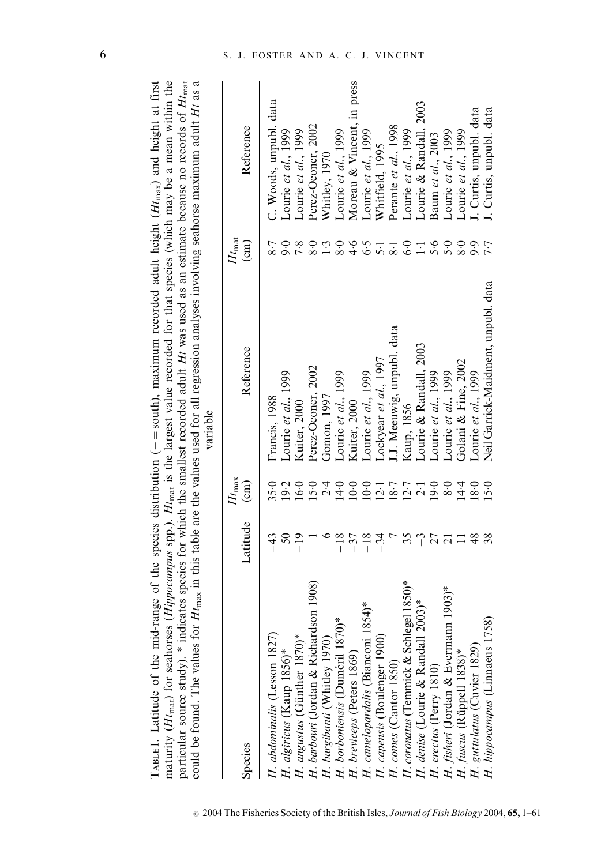| could be found. The values for                                                                                                                                                                                                                                                                                                  | variable                                                                                                                   |
|---------------------------------------------------------------------------------------------------------------------------------------------------------------------------------------------------------------------------------------------------------------------------------------------------------------------------------|----------------------------------------------------------------------------------------------------------------------------|
| maturity ( $Ht_{\text{mat}}$ ) for seahorses (Hippocampus spp.). $Ht_{\text{mat}}$ is the largest value recorded for that species (which may be a mean within the<br>articular source study). $*$ indicates species for which the smallest recorded adult Ht was used as an estimate because no records of $H_{t_{\text{mat}}}$ | or $H_{\text{max}}$ in this table are the values used for all regression analyses involving seahorse maximum adult Ht as a |
|                                                                                                                                                                                                                                                                                                                                 |                                                                                                                            |

| Species                                            | Latitude (cm) | $H_{\rm max}$                                                                                                                                                                                                                                                                                                         | Reference                           | $Ht_{\rm mat}$<br>$\binom{cm}{c}$ | Reference                  |
|----------------------------------------------------|---------------|-----------------------------------------------------------------------------------------------------------------------------------------------------------------------------------------------------------------------------------------------------------------------------------------------------------------------|-------------------------------------|-----------------------------------|----------------------------|
| H. abdominalis (Lesson 1827)                       |               | 35.0                                                                                                                                                                                                                                                                                                                  | Francis, 1988                       | 8.7                               | C. Woods, unpubl. data     |
| H. algiricus (Kaup 1856)*                          |               | 9.2                                                                                                                                                                                                                                                                                                                   | Lourie et al., 1999                 |                                   | Lourie et al., 1999        |
| H. angustus (Günther 1870)*                        |               |                                                                                                                                                                                                                                                                                                                       | <b>Kuiter</b> , 2000                | $0.800$<br>$0.800$                | Courie et al., $1999$      |
| H. barbouri (Jordan & Richardson 1908)             |               |                                                                                                                                                                                                                                                                                                                       | Perez-Oconer, 2002                  |                                   | Perez-Oconer, 2002         |
| H. bargibanti (Whitley 1970)                       |               |                                                                                                                                                                                                                                                                                                                       | Gomon, 1997                         | 1.3                               | Whitley, 1970              |
| H. borboniensis (Duméril 1870)*                    | $-18$         | $16.0$ $\frac{1}{2}$ $\frac{1}{4}$ $\frac{1}{2}$ $\frac{1}{2}$ $\frac{1}{2}$ $\frac{1}{2}$ $\frac{1}{2}$ $\frac{1}{2}$ $\frac{1}{2}$ $\frac{1}{2}$ $\frac{1}{2}$ $\frac{1}{2}$ $\frac{1}{2}$ $\frac{1}{2}$ $\frac{1}{2}$ $\frac{1}{2}$ $\frac{1}{2}$ $\frac{1}{2}$ $\frac{1}{2}$ $\frac{1}{2}$ $\frac{1}{2}$ $\frac{$ | Lourie et al., 1999                 |                                   | Lourie et al., 1999        |
| H. breviceps (Peters 1869)                         | $-37$         |                                                                                                                                                                                                                                                                                                                       | Kuiter, 2000                        |                                   | Moreau & Vincent, in press |
| $1854$ <sup>*</sup><br>H. camelopardalis (Bianconi | $-18$         |                                                                                                                                                                                                                                                                                                                       | Lourie et al., 1999                 |                                   | Lourie et al., $1999$      |
| H. capensis (Boulenger 1900)                       | $-34$         |                                                                                                                                                                                                                                                                                                                       | Lockyear et al., 1997               | $4.5$ $-5.3$<br>$-5.5$            | Whitfield, 1995            |
| H. comes (Cantor 1850)                             |               |                                                                                                                                                                                                                                                                                                                       | I.J. Meeuwig, unpubl. data          |                                   | Perante et al., 1998       |
| H. coronatus (Temmick & Schlegel 1850)*            |               |                                                                                                                                                                                                                                                                                                                       | Kaup, 1856                          | 6·0                               | Lourie et al., 1999        |
| $2003)*$<br>H. denise (Lourie & Randall            |               |                                                                                                                                                                                                                                                                                                                       | Lourie & Randall, 2003              | $\Xi$                             | Lourie & Randall, 2003     |
| H. erectus (Perry 1810)                            |               |                                                                                                                                                                                                                                                                                                                       | Lourie et al., 1999                 |                                   | Baum et al., 2003          |
| H. fisheri (Jordan & Evermann 1903)*               |               |                                                                                                                                                                                                                                                                                                                       | Lourie et al., 1999                 | 5.6                               | Lourie et al., $1999$      |
| H. fuscus (Rüppell 1838)*                          |               | $0.840$<br>$0.940$<br>$0.940$                                                                                                                                                                                                                                                                                         | Golani & Fine, 2002                 | $8\!\cdot\!0$                     | Lourie et al., 1999        |
| H. guttulatus (Cuvier 1829)                        | 48            |                                                                                                                                                                                                                                                                                                                       | Lourie et al., 1999                 | 7.7                               | J. Curtis, unpubl. data    |
| (85)<br>H. hippocampus (Linnaeus 17                | 38            | 15.0                                                                                                                                                                                                                                                                                                                  | Neil Garrick-Maidment, unpubl. data |                                   | J. Curtis, unpubl. data    |
|                                                    |               |                                                                                                                                                                                                                                                                                                                       |                                     |                                   |                            |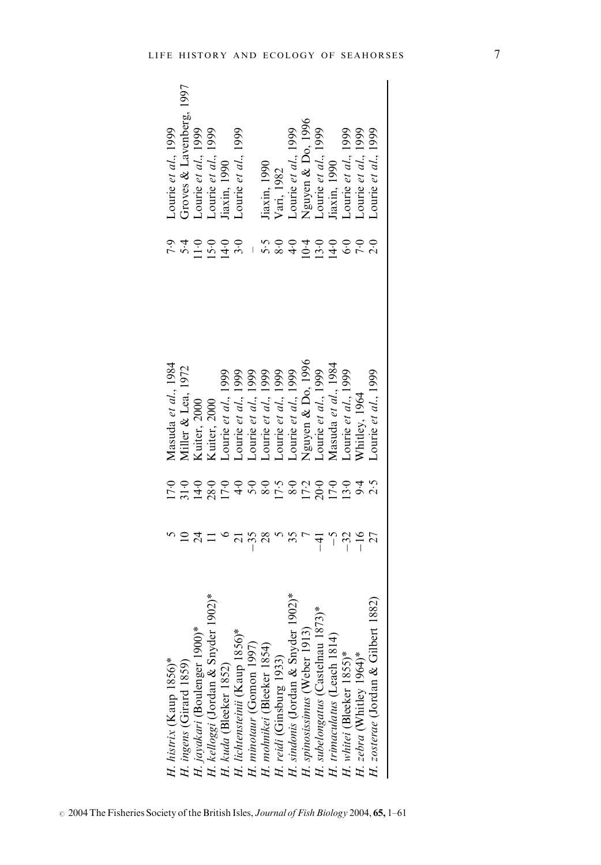| H. histrix (Kaup $1856$ )*                          |                    |                                                | Masuda et al., 1984                        |                                          | Lourie et al., $1999$                                                                                                                                            |
|-----------------------------------------------------|--------------------|------------------------------------------------|--------------------------------------------|------------------------------------------|------------------------------------------------------------------------------------------------------------------------------------------------------------------|
| H. ingens (Girard 1859)                             |                    |                                                | Miller & Lea, 1972                         |                                          | Groves & Lavenberg, 1997                                                                                                                                         |
| H. jayakari (Boulenger 1900)*                       |                    |                                                | Kuiter, 2000                               |                                          |                                                                                                                                                                  |
| H. kelloggi (Jordan & Snyder                        |                    | いいいいいいいがいこいいいせい<br>ここは80.7.4.2.8.7.8.7.9.7.4.7 | Kuiter, 2000                               | てんコココと<br>こうこうこう                         | Lourie et al., 1999<br>Lourie et al., 1999<br>Jiaxin, 1990                                                                                                       |
| H. kuda (Bleeker 1852)                              |                    |                                                | Sourie et al., 1999                        |                                          |                                                                                                                                                                  |
| H. lichtensteinii (Kaup 1856)*                      |                    |                                                | Lourie et al., 1999                        |                                          | ourie et al., 1999                                                                                                                                               |
| H. minotaur (Gomon 1997)                            |                    |                                                | 1999<br>Lourie et al., 1                   |                                          |                                                                                                                                                                  |
| H. mohnikei (Bleeker 1854)                          | $^{28}$            |                                                | Lourie et al., 1999                        |                                          |                                                                                                                                                                  |
| H. reidi (Ginsburg 1933)                            |                    |                                                |                                            |                                          |                                                                                                                                                                  |
| $1902$ <sup>*</sup><br>H. sindonis (Jordan & Snyder | $\tilde{\epsilon}$ |                                                | Lourie et al., 1999<br>Lourie et al., 1999 |                                          |                                                                                                                                                                  |
| H. spinosissimus (Weber 1913)                       |                    |                                                | Nguyen & Do, 1996                          | – r∞ 4 0 ū 4 o L V<br>– ro 6 d 0 d 6 L V | Jiaxin, 1990<br>Vari, 1982<br>Lourie et al., 1999<br>Nguyen & Do, 1996<br>Nguyen & Do, 1996<br>Lourie et al., 1999<br>Lourie et al., 1999<br>Lourie et al., 1999 |
| H. subelongatus (Castelnau 1873)*                   | $-41$              |                                                | Lourie et al., 1999                        |                                          |                                                                                                                                                                  |
| H. trimaculatus (Leach 1814)                        | $\sim$             |                                                | Masuda et al., 1984                        |                                          |                                                                                                                                                                  |
| H. whitei (Bleeker 1855)*                           | $-32$<br>-16       |                                                | Sourie et al., 1999                        |                                          |                                                                                                                                                                  |
| H. zebra (Whitley 1964)*                            |                    |                                                | Whitley, 1964                              |                                          |                                                                                                                                                                  |
| 1882)<br>H. zosterae (Jordan & Gilbert              | 27                 |                                                | ourie et al., 1999                         |                                          | ourie et al., 1999                                                                                                                                               |
|                                                     |                    |                                                |                                            |                                          |                                                                                                                                                                  |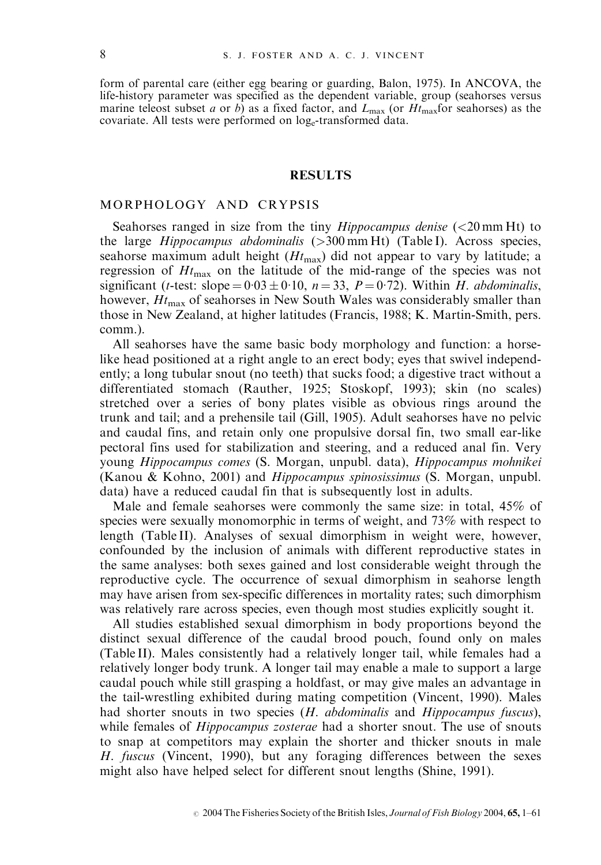form of parental care (either egg bearing or guarding, Balon, 1975). In ANCOVA, the life-history parameter was specified as the dependent variable, group (seahorses versus marine teleost subset a or b) as a fixed factor, and  $L_{\text{max}}$  (or  $H_{\text{max}}$  for seahorses) as the covariate. All tests were performed on log-transformed data.

#### RESULTS

## MORPHOLOGY AND CRYPSIS

Seahorses ranged in size from the tiny *Hippocampus denise*  $(<20 \text{ mm Ht})$  to the large  $Hippocampus abdominalis$  ( $>300$  mm Ht) (Table I). Across species, seahorse maximum adult height  $(Ht<sub>max</sub>)$  did not appear to vary by latitude; a regression of  $H_{\text{max}}$  on the latitude of the mid-range of the species was not significant (*t*-test: slope =  $0.03 \pm 0.10$ , *n* = 33, *P* = 0.72). Within *H. abdominalis*, however,  $Ht_{\text{max}}$  of seahorses in New South Wales was considerably smaller than those in New Zealand, at higher latitudes (Francis, 1988; K. Martin-Smith, pers. comm.).

All seahorses have the same basic body morphology and function: a horselike head positioned at a right angle to an erect body; eyes that swivel independently; a long tubular snout (no teeth) that sucks food; a digestive tract without a differentiated stomach (Rauther, 1925; Stoskopf, 1993); skin (no scales) stretched over a series of bony plates visible as obvious rings around the trunk and tail; and a prehensile tail (Gill, 1905). Adult seahorses have no pelvic and caudal fins, and retain only one propulsive dorsal fin, two small ear-like pectoral fins used for stabilization and steering, and a reduced anal fin. Very young Hippocampus comes (S. Morgan, unpubl. data), Hippocampus mohnikei (Kanou & Kohno, 2001) and Hippocampus spinosissimus (S. Morgan, unpubl. data) have a reduced caudal fin that is subsequently lost in adults.

Male and female seahorses were commonly the same size: in total, 45% of species were sexually monomorphic in terms of weight, and 73% with respect to length (Table II). Analyses of sexual dimorphism in weight were, however, confounded by the inclusion of animals with different reproductive states in the same analyses: both sexes gained and lost considerable weight through the reproductive cycle. The occurrence of sexual dimorphism in seahorse length may have arisen from sex-specific differences in mortality rates; such dimorphism was relatively rare across species, even though most studies explicitly sought it.

All studies established sexual dimorphism in body proportions beyond the distinct sexual difference of the caudal brood pouch, found only on males (Table II). Males consistently had a relatively longer tail, while females had a relatively longer body trunk. A longer tail may enable a male to support a large caudal pouch while still grasping a holdfast, or may give males an advantage in the tail-wrestling exhibited during mating competition (Vincent, 1990). Males had shorter snouts in two species (H. abdominalis and Hippocampus fuscus), while females of *Hippocampus zosterae* had a shorter snout. The use of snouts to snap at competitors may explain the shorter and thicker snouts in male H. fuscus (Vincent, 1990), but any foraging differences between the sexes might also have helped select for different snout lengths (Shine, 1991).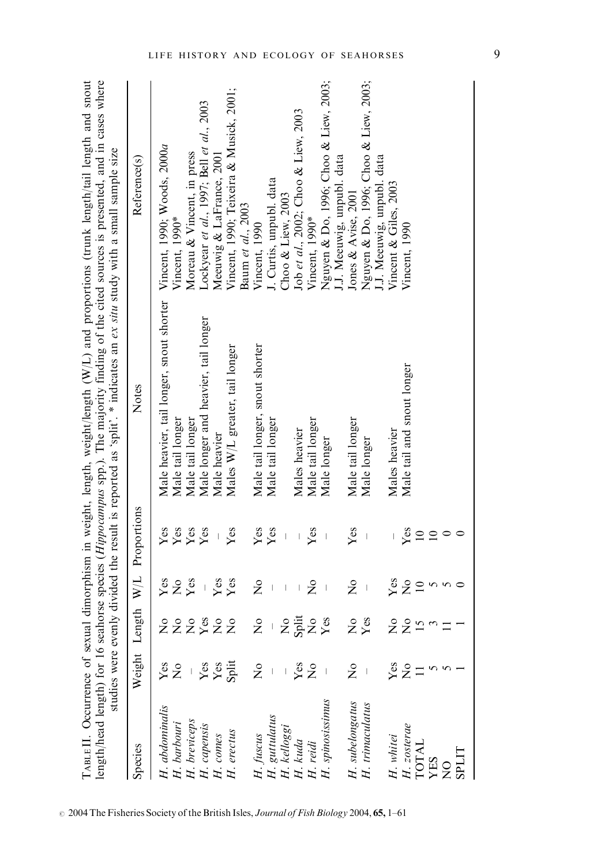|                                                               |               |                           |                                       |                 | studies were evenly divided the result is reported as 'split'. $*$ indicates an ex situ study with a small sample size | length/head length) for 16 seahorse species (Hippocampus spp.). The majority finding of the cited sources is presented, and in cases where |
|---------------------------------------------------------------|---------------|---------------------------|---------------------------------------|-----------------|------------------------------------------------------------------------------------------------------------------------|--------------------------------------------------------------------------------------------------------------------------------------------|
| Species                                                       | Weight Len    | ıgth                      | W/L                                   | Proportions     | Notes                                                                                                                  | Reference(s)                                                                                                                               |
| H. abdominalis                                                | Yes           | ż                         | $Y$ es                                | Yes             | Male heavier, tail longer, snout shorter                                                                               | Vincent, 1990; Woods, 2000a                                                                                                                |
| H. barbouri                                                   | ž             |                           | $\overset{\circ}{\mathsf{z}}$         | Yes             | Male tail longer                                                                                                       | Vincent, 1990*                                                                                                                             |
|                                                               |               |                           | Yes                                   | Yes             | Male tail longer                                                                                                       | Moreau & Vincent, in press                                                                                                                 |
|                                                               |               | 22222                     |                                       | Yes             | Male longer and heavier, tail longer                                                                                   | Lockyear et al., 1997; Bell et al., 2003                                                                                                   |
|                                                               | Yes<br>Yes    |                           | Yes                                   |                 | Male heavier                                                                                                           | Meeuwig & LaFrance, 2001                                                                                                                   |
| $H.$ breviceps<br>$H.$ capensis<br>$H.$ comes<br>$H.$ erectus | Split         |                           | Yes                                   | Yes             | Males W/L greater, tail longer                                                                                         | Vincent, 1990; Teixeira & Musick, 2001;<br>Baum et al., 2003                                                                               |
| H. fuscus                                                     | $\frac{1}{2}$ | $\mathsf{S}^{\mathsf{O}}$ | $\mathsf{\hat{z}}$                    | Yes             | Male tail longer, snout shorter                                                                                        | Vincent, 1990                                                                                                                              |
| H. guttulatus                                                 |               |                           | $\overline{\phantom{a}}$              | Yes             | Male tail longer                                                                                                       | J. Curtis, unpubl. data                                                                                                                    |
| H. kelloggi                                                   |               | $\mathsf{S}^{\mathsf{O}}$ | $\vert$                               |                 |                                                                                                                        | Choo $&$ Liew, 2003                                                                                                                        |
|                                                               |               |                           |                                       |                 | Males heavier                                                                                                          | Job et al., 2002; Choo & Liew, 2003                                                                                                        |
|                                                               | Yes<br>No     | Split<br>Xes              | $\frac{1}{2}$                         | Yes             | Male tail longer                                                                                                       | Vincent, 1990*                                                                                                                             |
| H. kuda<br>H. reidi<br>H. spinosissimus                       |               |                           | $\begin{array}{c} \hline \end{array}$ |                 | Male longer                                                                                                            | Nguyen & Do, 1996; Choo & Liew, 2003;                                                                                                      |
|                                                               |               |                           |                                       |                 |                                                                                                                        | J.J. Meeuwig, unpubl. data                                                                                                                 |
| H. subelongatus                                               | $\frac{1}{2}$ | <b>E</b> s                | $\tilde{z}$                           | Yes             | Male tail longer                                                                                                       | Jones & Avise, 2001                                                                                                                        |
| H. trimaculatus                                               |               |                           | $\overline{\phantom{a}}$              |                 | Male longer                                                                                                            | Nguyen & Do, 1996; Choo & Liew, 2003;<br>J.J. Meeuwig, unpubl. data                                                                        |
| H. whitei                                                     | Yes           |                           | $Y$ es                                |                 | Males heavier                                                                                                          | Vincent & Giles, 2003                                                                                                                      |
| H. zosterae                                                   | $\frac{1}{2}$ |                           | $\overline{z}$                        | Yes             | Male tail and snout longer                                                                                             | Vincent, 1990                                                                                                                              |
| <b>TOTAL</b>                                                  |               | ៹៹៹៹                      | $\overline{10}$                       | $\overline{10}$ |                                                                                                                        |                                                                                                                                            |
| <b>XES</b>                                                    |               |                           |                                       |                 |                                                                                                                        |                                                                                                                                            |
| $\frac{1}{2}$                                                 |               |                           | <b>S</b>                              | $\circ$         |                                                                                                                        |                                                                                                                                            |
| <b>LITGS</b>                                                  |               |                           |                                       |                 |                                                                                                                        |                                                                                                                                            |

TABLE II. Occurrence of sexual dimorphism in weight, length, weight/length (W/L) and proportions (trunk length/tail length and snout TABLE II. Occurrence of sexual dimorphism in weight, length, weight/length (W/L) and proportions (trunk length/tail length and snout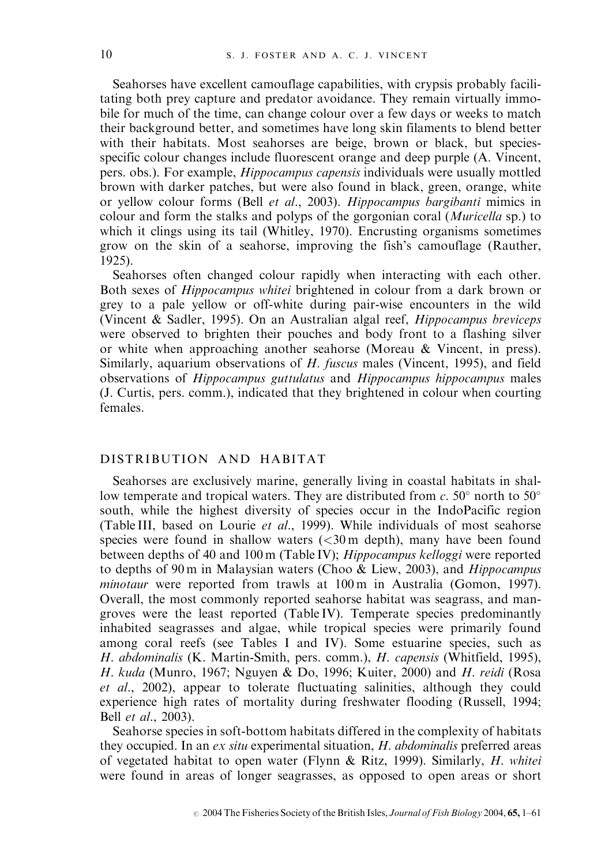Seahorses have excellent camouflage capabilities, with crypsis probably facilitating both prey capture and predator avoidance. They remain virtually immobile for much of the time, can change colour over a few days or weeks to match their background better, and sometimes have long skin filaments to blend better with their habitats. Most seahorses are beige, brown or black, but speciesspecific colour changes include fluorescent orange and deep purple (A. Vincent, pers. obs.). For example, Hippocampus capensis individuals were usually mottled brown with darker patches, but were also found in black, green, orange, white or yellow colour forms (Bell et al., 2003). Hippocampus bargibanti mimics in colour and form the stalks and polyps of the gorgonian coral *(Muricella sp.)* to which it clings using its tail (Whitley, 1970). Encrusting organisms sometimes grow on the skin of a seahorse, improving the fish's camouflage (Rauther, 1925).

Seahorses often changed colour rapidly when interacting with each other. Both sexes of Hippocampus whitei brightened in colour from a dark brown or grey to a pale yellow or off-white during pair-wise encounters in the wild (Vincent & Sadler, 1995). On an Australian algal reef, Hippocampus breviceps were observed to brighten their pouches and body front to a flashing silver or white when approaching another seahorse (Moreau & Vincent, in press). Similarly, aquarium observations of H. fuscus males (Vincent, 1995), and field observations of Hippocampus guttulatus and Hippocampus hippocampus males (J. Curtis, pers. comm.), indicated that they brightened in colour when courting females.

## DISTRIBUTION AND HABITAT

Seahorses are exclusively marine, generally living in coastal habitats in shallow temperate and tropical waters. They are distributed from  $c$ . 50 $^{\circ}$  north to 50 $^{\circ}$ south, while the highest diversity of species occur in the IndoPacific region (Table III, based on Lourie et al., 1999). While individuals of most seahorse species were found in shallow waters  $\ll 30 \text{ m}$  depth), many have been found between depths of 40 and 100 m (Table IV); Hippocampus kelloggi were reported to depths of 90 m in Malaysian waters (Choo & Liew, 2003), and *Hippocampus* minotaur were reported from trawls at 100 m in Australia (Gomon, 1997). Overall, the most commonly reported seahorse habitat was seagrass, and mangroves were the least reported (Table IV). Temperate species predominantly inhabited seagrasses and algae, while tropical species were primarily found among coral reefs (see Tables I and IV). Some estuarine species, such as H. abdominalis (K. Martin-Smith, pers. comm.), H. capensis (Whitfield, 1995), H. kuda (Munro, 1967; Nguyen & Do, 1996; Kuiter, 2000) and H. reidi (Rosa et al., 2002), appear to tolerate fluctuating salinities, although they could experience high rates of mortality during freshwater flooding (Russell, 1994; Bell et al., 2003).

Seahorse species in soft-bottom habitats differed in the complexity of habitats they occupied. In an ex situ experimental situation, H. abdominalis preferred areas of vegetated habitat to open water (Flynn & Ritz, 1999). Similarly, H. whitei were found in areas of longer seagrasses, as opposed to open areas or short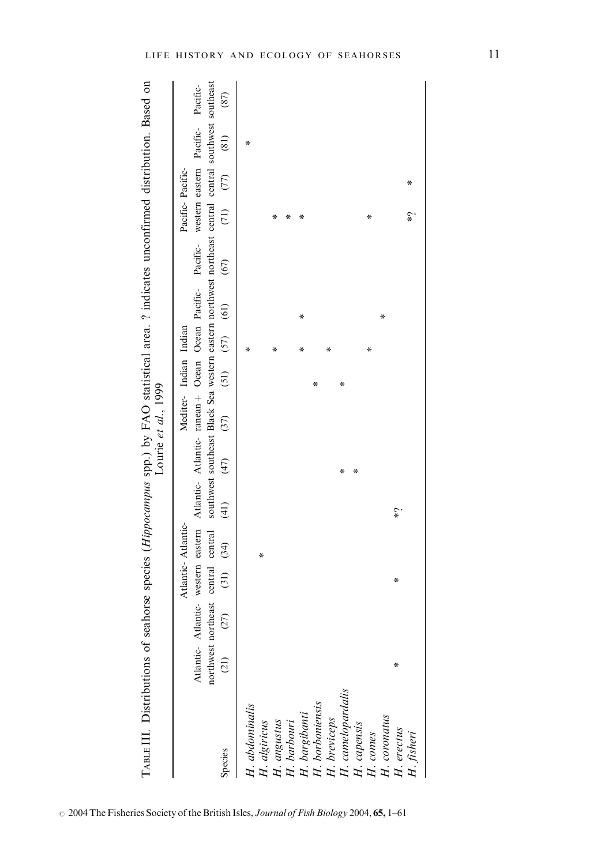| (21) |                                   |   |   | $\left( \frac{1}{2} \right)$ |                                                           |      |      |                     |                        |                      |      |   |                                   | (87)                                                                                                                                                                                                                                                                                                                                                                                                |
|------|-----------------------------------|---|---|------------------------------|-----------------------------------------------------------|------|------|---------------------|------------------------|----------------------|------|---|-----------------------------------|-----------------------------------------------------------------------------------------------------------------------------------------------------------------------------------------------------------------------------------------------------------------------------------------------------------------------------------------------------------------------------------------------------|
|      |                                   |   |   |                              |                                                           |      |      | ×                   |                        |                      |      |   | ∗                                 |                                                                                                                                                                                                                                                                                                                                                                                                     |
|      |                                   |   | ∗ |                              |                                                           |      |      |                     |                        |                      |      |   |                                   |                                                                                                                                                                                                                                                                                                                                                                                                     |
|      |                                   |   |   |                              |                                                           |      |      | ⋇                   |                        |                      | ⋇    |   |                                   |                                                                                                                                                                                                                                                                                                                                                                                                     |
|      |                                   |   |   |                              |                                                           |      |      |                     |                        |                      | ∗    |   |                                   |                                                                                                                                                                                                                                                                                                                                                                                                     |
|      |                                   |   |   |                              |                                                           |      |      | ∗                   | ∗                      |                      | ∗    |   |                                   |                                                                                                                                                                                                                                                                                                                                                                                                     |
|      |                                   |   |   |                              |                                                           |      | ⋇    |                     |                        |                      |      |   |                                   |                                                                                                                                                                                                                                                                                                                                                                                                     |
|      |                                   |   |   |                              |                                                           |      |      | ∗                   |                        |                      |      |   |                                   |                                                                                                                                                                                                                                                                                                                                                                                                     |
|      |                                   |   |   |                              | ∗                                                         |      | ⋇    |                     |                        |                      |      |   |                                   |                                                                                                                                                                                                                                                                                                                                                                                                     |
|      |                                   |   |   |                              | x                                                         |      |      |                     |                        |                      |      |   |                                   |                                                                                                                                                                                                                                                                                                                                                                                                     |
|      |                                   |   |   |                              |                                                           |      |      | ∗                   |                        |                      | ∗    |   |                                   |                                                                                                                                                                                                                                                                                                                                                                                                     |
|      |                                   |   |   |                              |                                                           |      |      |                     | ∗                      |                      |      |   |                                   |                                                                                                                                                                                                                                                                                                                                                                                                     |
| ∗    |                                   | ∗ |   | $\hat{\zeta}$                |                                                           |      |      |                     |                        |                      |      |   |                                   |                                                                                                                                                                                                                                                                                                                                                                                                     |
|      |                                   |   |   |                              |                                                           |      |      |                     |                        |                      | ς¥   | ∗ |                                   |                                                                                                                                                                                                                                                                                                                                                                                                     |
|      | H. breviceps<br>H. camelopardalis |   |   | $(27)$ $(31)$ $(34)$         | northwest northeast central central<br>Atlantic-Atlantic- | (47) | (37) | Lourie et al., 1999 | Mediter- Indian Indian | $(51)$ $(57)$ $(61)$ | (67) |   | $(71)$ $(77)$<br>Pacific-Pacific- | southwest southeast Black Sea western eastern northwest northeast central central southwest southeast<br>TABLE II. Distributions of seahorse species ( <i>Hippocampus</i> spp.) by FAO statistical area. ? indicates unconfirmed distribution. Based on<br>Atlantic- Atlantic- western eastern Atlantic- Atlantic- ranean + Ocean Ocean Pacific- Pacific- western eastern Pacific- Pacific-<br>(81) |

 $\circ$  2004 The Fisheries Society of the British Isles, Journal of Fish Biology 2004, 65, 1–61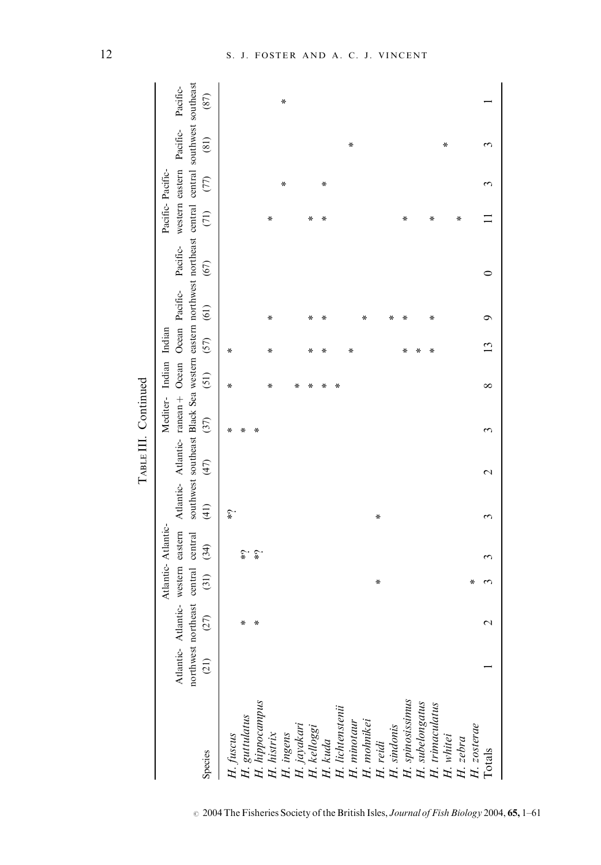|                                                                                                                                                                                                                                                                            |      |                                                                    |      |                    |                  |                  | TABLE III. Continued   |      |      |      |                                                                                                                                                                                                       |                  |      |      |      |
|----------------------------------------------------------------------------------------------------------------------------------------------------------------------------------------------------------------------------------------------------------------------------|------|--------------------------------------------------------------------|------|--------------------|------------------|------------------|------------------------|------|------|------|-------------------------------------------------------------------------------------------------------------------------------------------------------------------------------------------------------|------------------|------|------|------|
|                                                                                                                                                                                                                                                                            |      |                                                                    |      | Atlantic-Atlantic- |                  |                  | Mediter- Indian Indian |      |      |      |                                                                                                                                                                                                       | Pacific-Pacific- |      |      |      |
|                                                                                                                                                                                                                                                                            |      | Atlantic- Atlantic- western eastern<br>northwest northeast central |      | central            |                  |                  |                        |      |      |      | southwest southeast Black Sea western eastern northwest northeast central central southwest southeast<br>Atlantic- Atlantic- ranean + Ocean Ocean Pacific- Pacific- western eastern Pacific- Pacific- |                  |      |      |      |
| Species                                                                                                                                                                                                                                                                    | (21) | (27)                                                               | (31) | (34)               | $\left(1\right)$ | (47)             | (37)                   | (51) | (57) | (61) | (67)                                                                                                                                                                                                  | (71)             | (77) | (81) | (87) |
| H. fuscus                                                                                                                                                                                                                                                                  |      |                                                                    |      |                    | ٤.               |                  | ∗                      | ∗    | ∗    |      |                                                                                                                                                                                                       |                  |      |      |      |
|                                                                                                                                                                                                                                                                            |      | ∗                                                                  |      | $\hat{\zeta}^*$    |                  |                  | ∗                      |      |      |      |                                                                                                                                                                                                       |                  |      |      |      |
|                                                                                                                                                                                                                                                                            |      | ∗                                                                  |      | $\hat{\zeta}$      |                  |                  | ⋇                      |      |      |      |                                                                                                                                                                                                       |                  |      |      |      |
|                                                                                                                                                                                                                                                                            |      |                                                                    |      |                    |                  |                  |                        | ∗    | ∗    | ∗    |                                                                                                                                                                                                       | ⋇                |      |      |      |
|                                                                                                                                                                                                                                                                            |      |                                                                    |      |                    |                  |                  |                        |      |      |      |                                                                                                                                                                                                       |                  | ∗    |      | ∗    |
|                                                                                                                                                                                                                                                                            |      |                                                                    |      |                    |                  |                  |                        | ∗    |      |      |                                                                                                                                                                                                       |                  |      |      |      |
|                                                                                                                                                                                                                                                                            |      |                                                                    |      |                    |                  |                  |                        | ∗    | ∗    | ∗    |                                                                                                                                                                                                       | ∗                |      |      |      |
|                                                                                                                                                                                                                                                                            |      |                                                                    |      |                    |                  |                  |                        | ∗    | ∗    | ⋇    |                                                                                                                                                                                                       | ⋇                | ∗    |      |      |
|                                                                                                                                                                                                                                                                            |      |                                                                    |      |                    |                  |                  |                        | ∗    |      |      |                                                                                                                                                                                                       |                  |      |      |      |
|                                                                                                                                                                                                                                                                            |      |                                                                    |      |                    |                  |                  |                        |      | ∗    |      |                                                                                                                                                                                                       |                  |      | ∗    |      |
|                                                                                                                                                                                                                                                                            |      |                                                                    |      |                    |                  |                  |                        |      |      | ∗    |                                                                                                                                                                                                       |                  |      |      |      |
|                                                                                                                                                                                                                                                                            |      |                                                                    | ∗    |                    | ∗                |                  |                        |      |      |      |                                                                                                                                                                                                       |                  |      |      |      |
|                                                                                                                                                                                                                                                                            |      |                                                                    |      |                    |                  |                  |                        |      |      | ∗    |                                                                                                                                                                                                       |                  |      |      |      |
|                                                                                                                                                                                                                                                                            |      |                                                                    |      |                    |                  |                  |                        |      | ∗    | ∗    |                                                                                                                                                                                                       | ∗                |      |      |      |
|                                                                                                                                                                                                                                                                            |      |                                                                    |      |                    |                  |                  |                        |      | ∗    |      |                                                                                                                                                                                                       |                  |      |      |      |
|                                                                                                                                                                                                                                                                            |      |                                                                    |      |                    |                  |                  |                        |      | ∗    | ∗    |                                                                                                                                                                                                       | ∗                |      |      |      |
|                                                                                                                                                                                                                                                                            |      |                                                                    |      |                    |                  |                  |                        |      |      |      |                                                                                                                                                                                                       |                  |      | ⋇    |      |
| H. guttulatus<br>H. hippocampus<br>H. histrix<br>H. ingens<br>H. kelloggi<br>H. kelloggi<br>H. kuda<br>H. inhotaur<br>H. subelongatus<br>H. subelongatus<br>H. subelongatus<br>H. subelongatus<br>H. subelongatus<br>H. subelongatus<br>H. subelongatus<br>H. subelongatus |      |                                                                    |      |                    |                  |                  |                        |      |      |      |                                                                                                                                                                                                       | ∗                |      |      |      |
|                                                                                                                                                                                                                                                                            |      |                                                                    | ∗    |                    |                  |                  |                        |      |      |      |                                                                                                                                                                                                       |                  |      |      |      |
| Totals                                                                                                                                                                                                                                                                     |      | $\mathcal{L}$                                                      | ς    |                    | 3                | $\mathrel{\sim}$ | 3                      | ∞    |      | σ    | ⊂                                                                                                                                                                                                     |                  |      |      |      |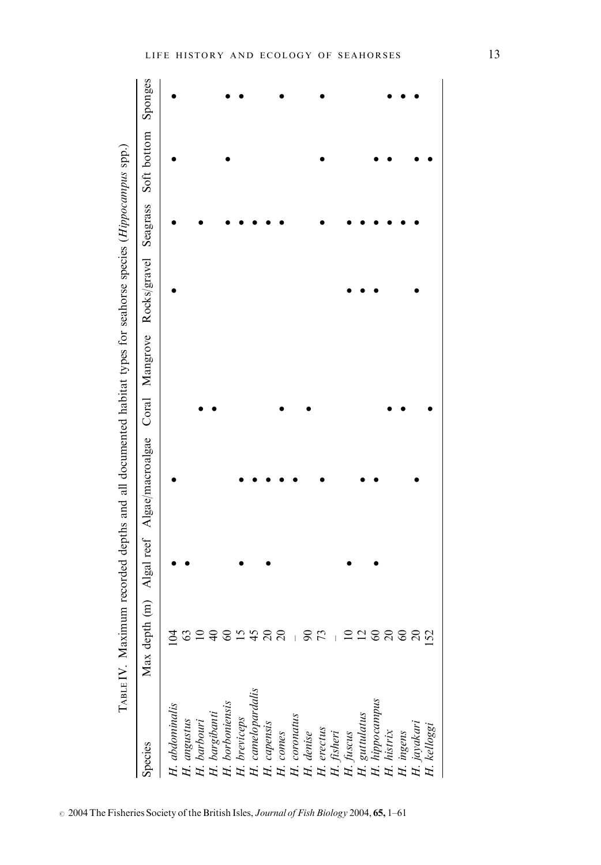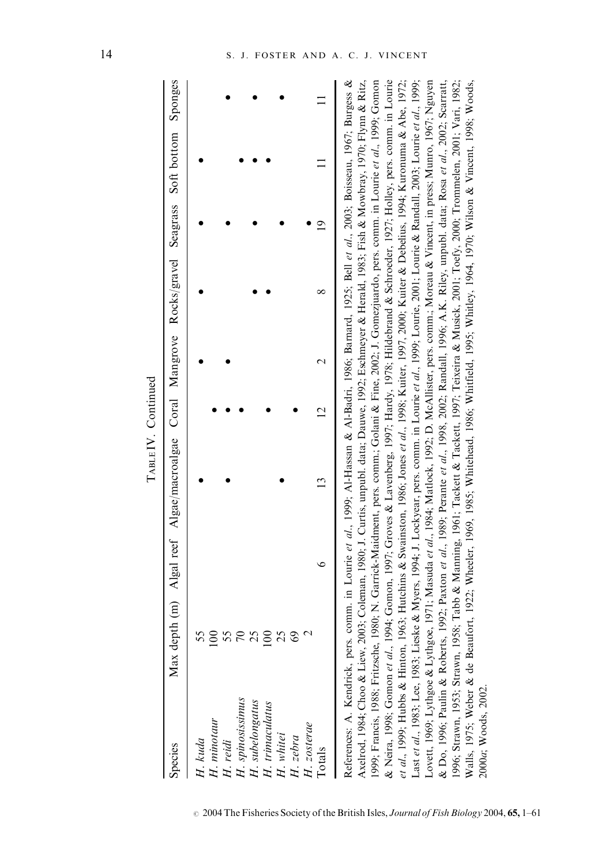|                                                                                                                                                                 |                |   | TABLE IV. Continued                                                                                                                                                                                                                                                                                                                                                                                                                                                                                                                                                                                                                                                                                                                                                                                                                                                                                                                                                                                                                                                                                                                                                                                                                                                                                                                                                                                                                                       |                |   |               |             |         |
|-----------------------------------------------------------------------------------------------------------------------------------------------------------------|----------------|---|-----------------------------------------------------------------------------------------------------------------------------------------------------------------------------------------------------------------------------------------------------------------------------------------------------------------------------------------------------------------------------------------------------------------------------------------------------------------------------------------------------------------------------------------------------------------------------------------------------------------------------------------------------------------------------------------------------------------------------------------------------------------------------------------------------------------------------------------------------------------------------------------------------------------------------------------------------------------------------------------------------------------------------------------------------------------------------------------------------------------------------------------------------------------------------------------------------------------------------------------------------------------------------------------------------------------------------------------------------------------------------------------------------------------------------------------------------------|----------------|---|---------------|-------------|---------|
| Species                                                                                                                                                         |                |   | Max depth (m) Algal reef Algae/macroalgae Coral Mangrove Rocks/gravel                                                                                                                                                                                                                                                                                                                                                                                                                                                                                                                                                                                                                                                                                                                                                                                                                                                                                                                                                                                                                                                                                                                                                                                                                                                                                                                                                                                     |                |   | Seagrass      | Soft bottom | Sponges |
| H. kuda                                                                                                                                                         | 55             |   |                                                                                                                                                                                                                                                                                                                                                                                                                                                                                                                                                                                                                                                                                                                                                                                                                                                                                                                                                                                                                                                                                                                                                                                                                                                                                                                                                                                                                                                           |                |   |               |             |         |
|                                                                                                                                                                 | 100            |   |                                                                                                                                                                                                                                                                                                                                                                                                                                                                                                                                                                                                                                                                                                                                                                                                                                                                                                                                                                                                                                                                                                                                                                                                                                                                                                                                                                                                                                                           |                |   |               |             |         |
|                                                                                                                                                                 |                |   |                                                                                                                                                                                                                                                                                                                                                                                                                                                                                                                                                                                                                                                                                                                                                                                                                                                                                                                                                                                                                                                                                                                                                                                                                                                                                                                                                                                                                                                           |                |   |               |             |         |
| H. minotaur<br>H. reidi<br>H. spinosissimus<br>H. subelongatus<br>H. rimaculatus<br>H. rebra<br>H. zebra                                                        | 58<br>58<br>58 |   |                                                                                                                                                                                                                                                                                                                                                                                                                                                                                                                                                                                                                                                                                                                                                                                                                                                                                                                                                                                                                                                                                                                                                                                                                                                                                                                                                                                                                                                           |                |   |               |             |         |
|                                                                                                                                                                 |                |   |                                                                                                                                                                                                                                                                                                                                                                                                                                                                                                                                                                                                                                                                                                                                                                                                                                                                                                                                                                                                                                                                                                                                                                                                                                                                                                                                                                                                                                                           |                |   |               |             |         |
|                                                                                                                                                                 |                |   |                                                                                                                                                                                                                                                                                                                                                                                                                                                                                                                                                                                                                                                                                                                                                                                                                                                                                                                                                                                                                                                                                                                                                                                                                                                                                                                                                                                                                                                           |                |   |               |             |         |
|                                                                                                                                                                 |                |   |                                                                                                                                                                                                                                                                                                                                                                                                                                                                                                                                                                                                                                                                                                                                                                                                                                                                                                                                                                                                                                                                                                                                                                                                                                                                                                                                                                                                                                                           |                |   |               |             |         |
|                                                                                                                                                                 | 69             |   |                                                                                                                                                                                                                                                                                                                                                                                                                                                                                                                                                                                                                                                                                                                                                                                                                                                                                                                                                                                                                                                                                                                                                                                                                                                                                                                                                                                                                                                           |                |   |               |             |         |
| H. zosterae                                                                                                                                                     |                |   |                                                                                                                                                                                                                                                                                                                                                                                                                                                                                                                                                                                                                                                                                                                                                                                                                                                                                                                                                                                                                                                                                                                                                                                                                                                                                                                                                                                                                                                           |                |   |               |             |         |
| Totals                                                                                                                                                          |                | ∘ | $\frac{3}{2}$                                                                                                                                                                                                                                                                                                                                                                                                                                                                                                                                                                                                                                                                                                                                                                                                                                                                                                                                                                                                                                                                                                                                                                                                                                                                                                                                                                                                                                             | $\overline{2}$ | ∞ | $\frac{1}{2}$ |             |         |
| Axelrod, 1984; Choo & Liew, 200<br>1999; Francis, 1988; Fritzsche, 19<br>References: A. Kendrick, pers.<br>& Do, 1996; Paulin & Roberts,<br>2000a; Woods, 2002. |                |   | 33; Coleman, 1980; J. Curtis, unpubl. data; Dauwe, 1992; Eschmeyer & Herald, 1983; Fish & Mowbray, 1970; Flynn & Ritz,<br>80; N. Garrick-Maidment, pers. comm.; Golani & Fine, 2002; J. Gomezjuardo, pers. comm. in Lourie et al., 1999; Gomon<br>& Neira, 1998; Gomon et al., 1994; Gomon, 1997; Groves & Lavenberg, 1997; Hardy, 1978; Hildebrand & Schroeder, 1927; Holley, pers. comm. in Lourie<br>Lovett, 1969; Lythgoe & Lythgoe, 1971; Masuda et al., 1984; Matlock, 1992; D. McAllister, pers. comm.; Moreau & Vincent, in press; Munro, 1967; Nguyen<br>1992; Paxton et al., 1989; Perante et al., 1998, 2002; Randall, 1996; A.K. Riley, unpubl. data; Rosa et al., 2002; Scarratt,<br>comm. in Lourie et al., 1999; Al-Hassan & Al-Badri, 1986; Barnard, 1925; Bell et al., 2003; Boisseau, 1967; Burgess &<br>Last et al., 1983; Lee, 1983; Lieske & Myers, 1994; J. Lockyear, pers. comm. in Lourie et al., 1999; Lourie 2001; Lourie & Randall, 2003; Lourie et al., 1999;<br>996; Strawn, 1953; Strawn, 1958; Tabb & Manning, 1961; Tackett & Tackett, 1997; Teixeira & Musick, 2001; Toefy, 2000; Trommelen, 2001; Vari, 1982;<br>et al., 1999; Hubbs & Hinton, 1963; Hutchins & Swainston, 1986; Jones et al., 1998; Kuiter, 1997, 2000; Kuiter & Debelius, 1994; Kuronuma & Abe, 1972;<br>Walls, 1975; Weber & de Beaufort, 1922; Wheeler, 1969, 1985; Whitehead, 1986; Whitfield, 1995; Whitley, 1970; Wilson & Vincent, 1998; Woods, |                |   |               |             |         |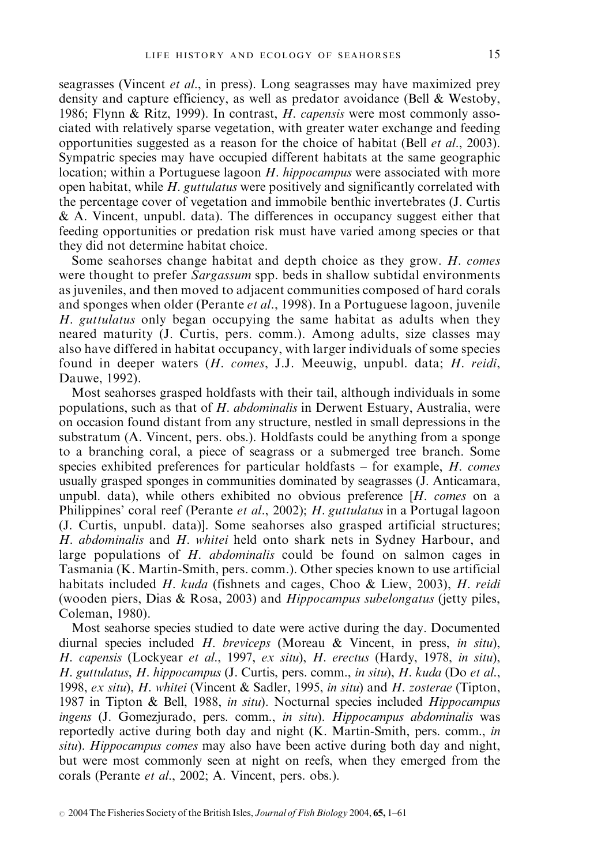seagrasses (Vincent et al., in press). Long seagrasses may have maximized prey density and capture efficiency, as well as predator avoidance (Bell & Westoby, 1986; Flynn & Ritz, 1999). In contrast, *H. capensis* were most commonly associated with relatively sparse vegetation, with greater water exchange and feeding opportunities suggested as a reason for the choice of habitat (Bell et al., 2003). Sympatric species may have occupied different habitats at the same geographic location; within a Portuguese lagoon H. hippocampus were associated with more open habitat, while  $H$ , *guttulatus* were positively and significantly correlated with the percentage cover of vegetation and immobile benthic invertebrates (J. Curtis & A. Vincent, unpubl. data). The differences in occupancy suggest either that feeding opportunities or predation risk must have varied among species or that they did not determine habitat choice.

Some seahorses change habitat and depth choice as they grow. H. comes were thought to prefer Sargassum spp. beds in shallow subtidal environments as juveniles, and then moved to adjacent communities composed of hard corals and sponges when older (Perante et al., 1998). In a Portuguese lagoon, juvenile H. guttulatus only began occupying the same habitat as adults when they neared maturity (J. Curtis, pers. comm.). Among adults, size classes may also have differed in habitat occupancy, with larger individuals of some species found in deeper waters (H. comes, J.J. Meeuwig, unpubl. data; H. reidi, Dauwe, 1992).

Most seahorses grasped holdfasts with their tail, although individuals in some populations, such as that of  $H$ . *abdominalis* in Derwent Estuary, Australia, were on occasion found distant from any structure, nestled in small depressions in the substratum (A. Vincent, pers. obs.). Holdfasts could be anything from a sponge to a branching coral, a piece of seagrass or a submerged tree branch. Some species exhibited preferences for particular holdfasts  $-$  for example,  $H$ . comes usually grasped sponges in communities dominated by seagrasses (J. Anticamara, unpubl. data), while others exhibited no obvious preference  $[H. \; comes on a$ Philippines' coral reef (Perante et al., 2002); H. guttulatus in a Portugal lagoon (J. Curtis, unpubl. data)]. Some seahorses also grasped artificial structures; H. abdominalis and H. whitei held onto shark nets in Sydney Harbour, and large populations of  $H$ . *abdominalis* could be found on salmon cages in Tasmania (K. Martin-Smith, pers. comm.). Other species known to use artificial habitats included H. kuda (fishnets and cages, Choo & Liew, 2003), H. reidi (wooden piers, Dias & Rosa, 2003) and Hippocampus subelongatus (jetty piles, Coleman, 1980).

Most seahorse species studied to date were active during the day. Documented diurnal species included H. breviceps (Moreau & Vincent, in press, in situ), H. capensis (Lockyear et al., 1997, ex situ), H. erectus (Hardy, 1978, in situ), H. guttulatus, H. hippocampus (J. Curtis, pers. comm., in situ), H. kuda (Do et al., 1998, ex situ), H. whitei (Vincent & Sadler, 1995, in situ) and H. zosterae (Tipton, 1987 in Tipton & Bell, 1988, in situ). Nocturnal species included *Hippocampus* ingens (J. Gomezjurado, pers. comm., in situ). Hippocampus abdominalis was reportedly active during both day and night (K. Martin-Smith, pers. comm., in situ). Hippocampus comes may also have been active during both day and night, but were most commonly seen at night on reefs, when they emerged from the corals (Perante et al., 2002; A. Vincent, pers. obs.).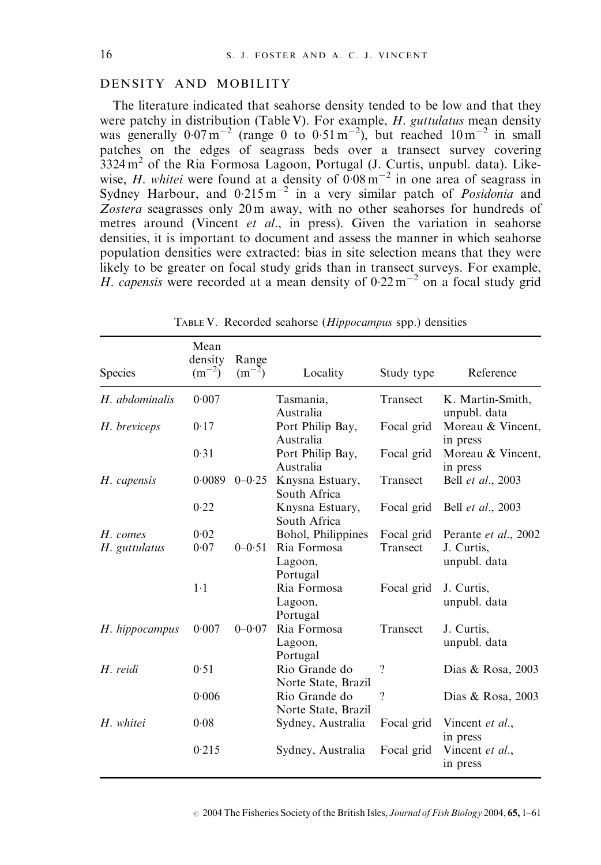## DENSITY AND MOBILITY

The literature indicated that seahorse density tended to be low and that they were patchy in distribution (Table V). For example, *H. guttulatus* mean density was generally  $0.07 \text{ m}^{-2}$  (range 0 to  $0.51 \text{ m}^{-2}$ ), but reached  $10 \text{ m}^{-2}$  in small patches on the edges of seagrass beds over a transect survey covering  $3324 \text{ m}^2$  of the Ria Formosa Lagoon, Portugal (J. Curtis, unpubl. data). Likewise, H. whitei were found at a density of  $0.08 \text{ m}^{-2}$  in one area of seagrass in Sydney Harbour, and  $0.215 \text{ m}^{-2}$  in a very similar patch of *Posidonia* and Zostera seagrasses only 20 m away, with no other seahorses for hundreds of metres around (Vincent et al., in press). Given the variation in seahorse densities, it is important to document and assess the manner in which seahorse population densities were extracted: bias in site selection means that they were likely to be greater on focal study grids than in transect surveys. For example, H. capensis were recorded at a mean density of  $0.22 \text{ m}^{-2}$  on a focal study grid

| Species        | Mean<br>density<br>$(m^{-2})$ | Range<br>$(m^{-2})$ | Locality                             | Study type      | Reference                        |
|----------------|-------------------------------|---------------------|--------------------------------------|-----------------|----------------------------------|
| H. abdominalis | 0.007                         |                     | Tasmania,<br>Australia               | <b>Transect</b> | K. Martin-Smith,<br>unpubl. data |
| H. breviceps   | 0.17                          |                     | Port Philip Bay,<br>Australia        | Focal grid      | Moreau & Vincent,<br>in press    |
|                | 0.31                          |                     | Port Philip Bay,<br>Australia        | Focal grid      | Moreau & Vincent,<br>in press    |
| H. capensis    | 0.0089                        | $0 - 0.25$          | Knysna Estuary,<br>South Africa      | <b>Transect</b> | Bell et al., 2003                |
|                | 0.22                          |                     | Knysna Estuary,<br>South Africa      | Focal grid      | Bell <i>et al.</i> , 2003        |
| H. comes       | 0.02                          |                     | Bohol, Philippines                   | Focal grid      | Perante et al., 2002             |
| H. guttulatus  | 0.07                          | $0 - 0.51$          | Ria Formosa<br>Lagoon,<br>Portugal   | Transect        | J. Curtis.<br>unpubl. data       |
|                | $1-1$                         |                     | Ria Formosa<br>Lagoon,<br>Portugal   | Focal grid      | J. Curtis,<br>unpubl. data       |
| H. hippocampus | 0.007                         | $0 - 0.07$          | Ria Formosa<br>Lagoon,<br>Portugal   | Transect        | J. Curtis,<br>unpubl. data       |
| H. reidi       | 0.51                          |                     | Rio Grande do<br>Norte State, Brazil | $\gamma$        | Dias & Rosa, 2003                |
|                | 0.006                         |                     | Rio Grande do<br>Norte State, Brazil | $\gamma$        | Dias & Rosa, 2003                |
| H. whitei      | 0.08                          |                     | Sydney, Australia                    | Focal grid      | Vincent et al.,<br>in press      |
|                | 0.215                         |                     | Sydney, Australia                    | Focal grid      | Vincent et al.,<br>in press      |

TABLE V. Recorded seahorse (Hippocampus spp.) densities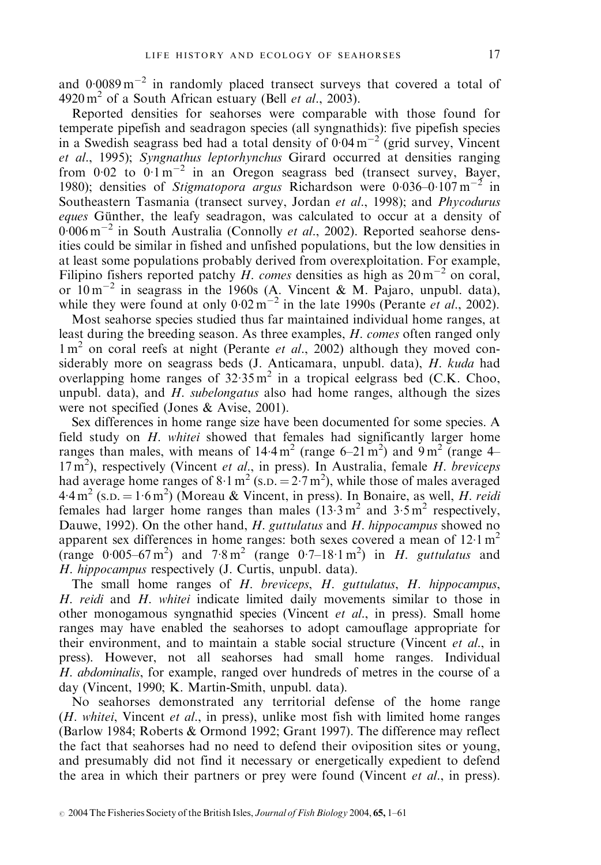and  $0.0089 \,\mathrm{m}^{-2}$  in randomly placed transect surveys that covered a total of  $4920 \text{ m}^2$  of a South African estuary (Bell *et al.*, 2003).

Reported densities for seahorses were comparable with those found for temperate pipefish and seadragon species (all syngnathids): five pipefish species in a Swedish seagrass bed had a total density of  $\overline{0.04 \text{ m}^{-2}}$  (grid survey, Vincent et al., 1995); Syngnathus leptorhynchus Girard occurred at densities ranging from  $0.02$  to  $0.1 \text{ m}^{-2}$  in an Oregon seagrass bed (transect survey, Bayer, 1980); densities of Stigmatopora argus Richardson were  $0.036-0.107 \text{ m}^{-2}$  in Southeastern Tasmania (transect survey, Jordan et al., 1998); and *Phycodurus* eques Günther, the leafy seadragon, was calculated to occur at a density of  $0.006 \,\mathrm{m}^{-2}$  in South Australia (Connolly *et al.*, 2002). Reported seahorse densities could be similar in fished and unfished populations, but the low densities in at least some populations probably derived from overexploitation. For example, Filipino fishers reported patchy  $\hat{H}$ . comes densities as high as  $20 \text{ m}^{-2}$  on coral, or  $10 \text{ m}^{-2}$  in seagrass in the 1960s (A. Vincent & M. Pajaro, unpubl. data), while they were found at only  $0.02 \text{ m}^{-2}$  in the late 1990s (Perante *et al.*, 2002).

Most seahorse species studied thus far maintained individual home ranges, at least during the breeding season. As three examples, H. comes often ranged only  $1 \text{ m}^2$  on coral reefs at night (Perante *et al.*, 2002) although they moved considerably more on seagrass beds (J. Anticamara, unpubl. data), H. kuda had overlapping home ranges of  $32.35 \text{ m}^2$  in a tropical eelgrass bed (C.K. Choo, unpubl. data), and  $H$ . *subelongatus* also had home ranges, although the sizes were not specified (Jones & Avise, 2001).

Sex differences in home range size have been documented for some species. A field study on H. whitei showed that females had significantly larger home ranges than males, with means of  $14.4 \text{ m}^2$  (range 6–21 m<sup>2</sup>) and 9 m<sup>2</sup> (range 4–  $17 \text{ m}^2$ ), respectively (Vincent et al., in press). In Australia, female H. breviceps had average home ranges of  $8.1 \text{ m}^2 \text{(s.p.} = 2.7 \text{ m}^2)$ , while those of males averaged  $4.4 \,\mathrm{m}^2$  (s.p. =  $1.6 \,\mathrm{m}^2$ ) (Moreau & Vincent, in press). In Bonaire, as well, *H. reidi* females had larger home ranges than males  $(13.3 \text{ m}^2 \text{ and } 3.5 \text{ m}^2 \text{ respectively},$ Dauwe, 1992). On the other hand, H. guttulatus and H. hippocampus showed no apparent sex differences in home ranges: both sexes covered a mean of  $12 \cdot 1 \text{ m}^2$ (range  $0.005-67 \text{ m}^2$ ) and  $7.8 \text{ m}^2$  (range  $0.7-18.1 \text{ m}^2$ ) in H. guttulatus and H. hippocampus respectively (J. Curtis, unpubl. data).

The small home ranges of H. breviceps, H. guttulatus, H. hippocampus, H. reidi and H. whitei indicate limited daily movements similar to those in other monogamous syngnathid species (Vincent et al., in press). Small home ranges may have enabled the seahorses to adopt camouflage appropriate for their environment, and to maintain a stable social structure (Vincent et al., in press). However, not all seahorses had small home ranges. Individual H. abdominalis, for example, ranged over hundreds of metres in the course of a day (Vincent, 1990; K. Martin-Smith, unpubl. data).

No seahorses demonstrated any territorial defense of the home range  $(H. whitei, Vincent et al., in press), unlike most fish with limited home ranges$ (Barlow 1984; Roberts & Ormond 1992; Grant 1997). The difference may reflect the fact that seahorses had no need to defend their oviposition sites or young, and presumably did not find it necessary or energetically expedient to defend the area in which their partners or prey were found (Vincent *et al.*, in press).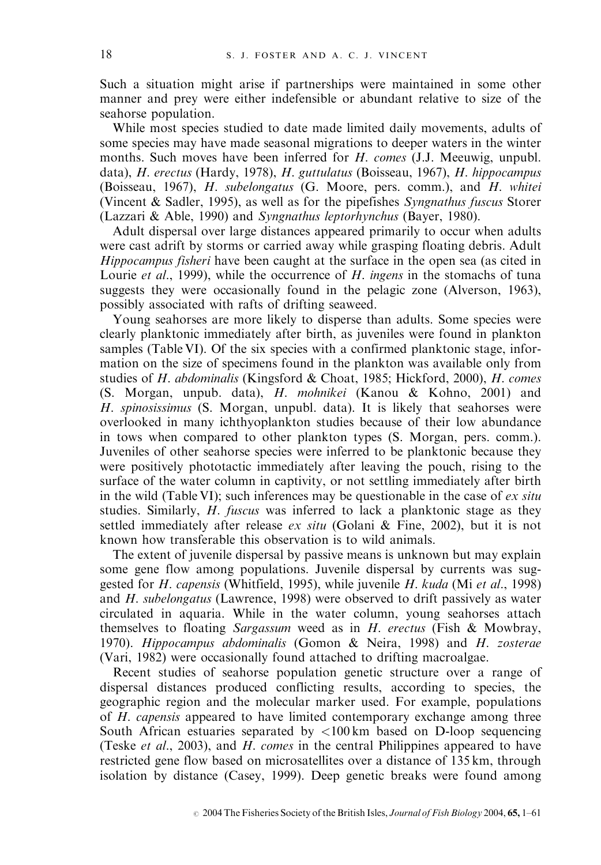Such a situation might arise if partnerships were maintained in some other manner and prey were either indefensible or abundant relative to size of the seahorse population.

While most species studied to date made limited daily movements, adults of some species may have made seasonal migrations to deeper waters in the winter months. Such moves have been inferred for H. comes (J.J. Meeuwig, unpubl. data), H. erectus (Hardy, 1978), H. guttulatus (Boisseau, 1967), H. hippocampus (Boisseau, 1967), H. subelongatus (G. Moore, pers. comm.), and H. whitei (Vincent & Sadler, 1995), as well as for the pipefishes Syngnathus fuscus Storer (Lazzari & Able, 1990) and Syngnathus leptorhynchus (Bayer, 1980).

Adult dispersal over large distances appeared primarily to occur when adults were cast adrift by storms or carried away while grasping floating debris. Adult Hippocampus fisheri have been caught at the surface in the open sea (as cited in Lourie *et al.*, 1999), while the occurrence of H. ingens in the stomachs of tuna suggests they were occasionally found in the pelagic zone (Alverson, 1963), possibly associated with rafts of drifting seaweed.

Young seahorses are more likely to disperse than adults. Some species were clearly planktonic immediately after birth, as juveniles were found in plankton samples (Table VI). Of the six species with a confirmed planktonic stage, information on the size of specimens found in the plankton was available only from studies of H. abdominalis (Kingsford & Choat, 1985; Hickford, 2000), H. comes (S. Morgan, unpub. data), H. mohnikei (Kanou & Kohno, 2001) and H. spinosissimus (S. Morgan, unpubl. data). It is likely that seahorses were overlooked in many ichthyoplankton studies because of their low abundance in tows when compared to other plankton types (S. Morgan, pers. comm.). Juveniles of other seahorse species were inferred to be planktonic because they were positively phototactic immediately after leaving the pouch, rising to the surface of the water column in captivity, or not settling immediately after birth in the wild (Table VI); such inferences may be questionable in the case of  $ex$  situ studies. Similarly, *H. fuscus* was inferred to lack a planktonic stage as they settled immediately after release  $ex\ situ$  (Golani & Fine, 2002), but it is not known how transferable this observation is to wild animals.

The extent of juvenile dispersal by passive means is unknown but may explain some gene flow among populations. Juvenile dispersal by currents was suggested for H. capensis (Whitfield, 1995), while juvenile H. kuda (Mi et al., 1998) and H. subelongatus (Lawrence, 1998) were observed to drift passively as water circulated in aquaria. While in the water column, young seahorses attach themselves to floating Sargassum weed as in  $H$ . erectus (Fish & Mowbray, 1970). Hippocampus abdominalis (Gomon & Neira, 1998) and H. zosterae (Vari, 1982) were occasionally found attached to drifting macroalgae.

Recent studies of seahorse population genetic structure over a range of dispersal distances produced conflicting results, according to species, the geographic region and the molecular marker used. For example, populations of H. capensis appeared to have limited contemporary exchange among three South African estuaries separated by  $\langle 100 \text{ km}$  based on D-loop sequencing (Teske et al., 2003), and H. comes in the central Philippines appeared to have restricted gene flow based on microsatellites over a distance of 135 km, through isolation by distance (Casey, 1999). Deep genetic breaks were found among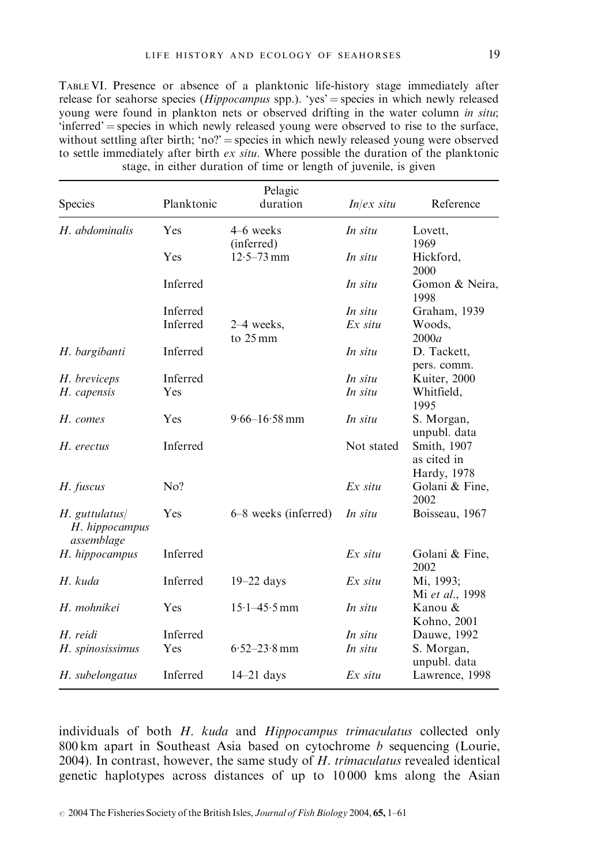TABLE VI. Presence or absence of a planktonic life-history stage immediately after release for seahorse species ( $Hippocampus$  spp.). 'yes' = species in which newly released young were found in plankton nets or observed drifting in the water column in situ;  $'interred'$  = species in which newly released young were observed to rise to the surface, without settling after birth; 'no?' = species in which newly released young were observed to settle immediately after birth  $ex\, situ.$  Where possible the duration of the planktonic stage, in either duration of time or length of juvenile, is given

| Species                                          | Planktonic | Pelagic<br>duration          | $Inlex$ situ | Reference                                 |
|--------------------------------------------------|------------|------------------------------|--------------|-------------------------------------------|
| H. abdominalis                                   | Yes        | 4–6 weeks                    | In situ      | Lovett.                                   |
|                                                  | Yes        | (inferred)<br>$12.5 - 73$ mm | In situ      | 1969<br>Hickford,<br>2000                 |
|                                                  | Inferred   |                              | In situ      | Gomon & Neira,<br>1998                    |
|                                                  | Inferred   |                              | In situ      | Graham, 1939                              |
|                                                  | Inferred   | $2-4$ weeks,<br>to 25 mm     | $Ex$ situ    | Woods,<br>2000a                           |
| H. bargibanti                                    | Inferred   |                              | In situ      | D. Tackett,<br>pers. comm.                |
| H. breviceps                                     | Inferred   |                              | In situ      | Kuiter, 2000                              |
| H. capensis                                      | Yes        |                              | In situ      | Whitfield,<br>1995                        |
| H. comes                                         | Yes        | $9.66 - 16.58$ mm            | In situ      | S. Morgan,<br>unpubl. data                |
| H. erectus                                       | Inferred   |                              | Not stated   | Smith, 1907<br>as cited in<br>Hardy, 1978 |
| H. fuscus                                        | No?        |                              | $Ex$ situ    | Golani & Fine,<br>2002                    |
| $H.$ guttulatus/<br>H. hippocampus<br>assemblage | Yes        | 6–8 weeks (inferred)         | In situ      | Boisseau, 1967                            |
| H. hippocampus                                   | Inferred   |                              | $Ex$ situ    | Golani & Fine,<br>2002                    |
| H. kuda                                          | Inferred   | $19-22$ days                 | $Ex$ situ    | Mi, 1993;<br>Mi et al., 1998              |
| H. mohnikei                                      | Yes        | $15.1 - 45.5$ mm             | In situ      | Kanou &<br>Kohno, 2001                    |
| H. reidi                                         | Inferred   |                              | In situ      | Dauwe, 1992                               |
| H. spinosissimus                                 | Yes        | $6.52 - 23.8$ mm             | In situ      | S. Morgan,<br>unpubl. data                |
| H. subelongatus                                  | Inferred   | $14 - 21$ days               | $Ex$ situ    | Lawrence, 1998                            |

individuals of both H. kuda and Hippocampus trimaculatus collected only 800 km apart in Southeast Asia based on cytochrome  $b$  sequencing (Lourie, 2004). In contrast, however, the same study of H. trimaculatus revealed identical genetic haplotypes across distances of up to 10 000 kms along the Asian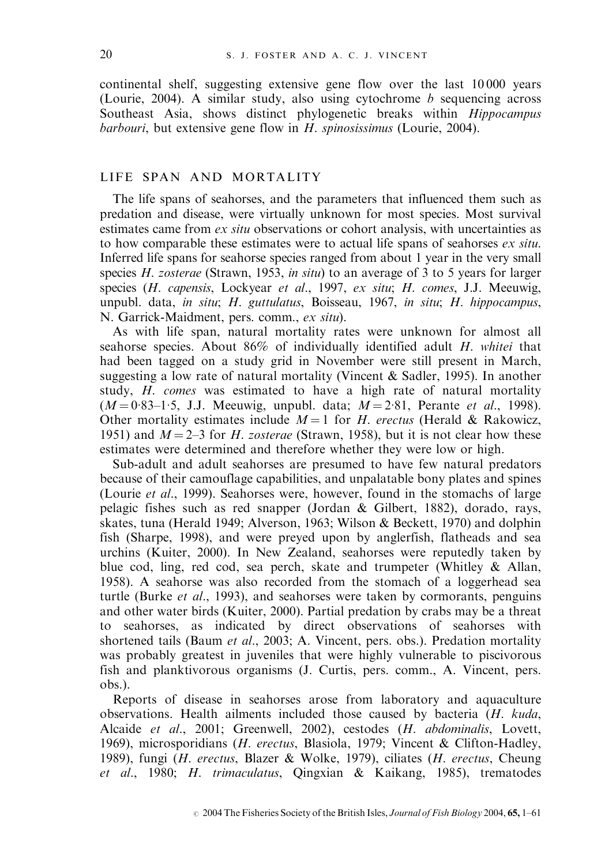continental shelf, suggesting extensive gene flow over the last 10 000 years (Lourie, 2004). A similar study, also using cytochrome  $b$  sequencing across Southeast Asia, shows distinct phylogenetic breaks within Hippocampus barbouri, but extensive gene flow in  $H$ . spinosissimus (Lourie, 2004).

## LIFE SPAN AND MORTALITY

The life spans of seahorses, and the parameters that influenced them such as predation and disease, were virtually unknown for most species. Most survival estimates came from *ex situ* observations or cohort analysis, with uncertainties as to how comparable these estimates were to actual life spans of seahorses *ex situ*. Inferred life spans for seahorse species ranged from about 1 year in the very small species H. zosterae (Strawn, 1953, in situ) to an average of 3 to 5 years for larger species (H. capensis, Lockyear et al., 1997, ex situ; H. comes, J.J. Meeuwig, unpubl. data, in situ; H. guttulatus, Boisseau, 1967, in situ; H. hippocampus, N. Garrick-Maidment, pers. comm., ex situ).

As with life span, natural mortality rates were unknown for almost all seahorse species. About 86% of individually identified adult H. whitei that had been tagged on a study grid in November were still present in March, suggesting a low rate of natural mortality (Vincent  $&$  Sadler, 1995). In another study, H. comes was estimated to have a high rate of natural mortality  $(M = 0.83 - 1.5, J.J. Meeuwig, unpubl. data; M = 2.81, Perante *et al.*, 1998).$ Other mortality estimates include  $M = 1$  for H. erectus (Herald & Rakowicz, 1951) and  $M = 2-3$  for H. zosterae (Strawn, 1958), but it is not clear how these estimates were determined and therefore whether they were low or high.

Sub-adult and adult seahorses are presumed to have few natural predators because of their camouflage capabilities, and unpalatable bony plates and spines (Lourie et al., 1999). Seahorses were, however, found in the stomachs of large pelagic fishes such as red snapper (Jordan & Gilbert, 1882), dorado, rays, skates, tuna (Herald 1949; Alverson, 1963; Wilson & Beckett, 1970) and dolphin fish (Sharpe, 1998), and were preyed upon by anglerfish, flatheads and sea urchins (Kuiter, 2000). In New Zealand, seahorses were reputedly taken by blue cod, ling, red cod, sea perch, skate and trumpeter (Whitley & Allan, 1958). A seahorse was also recorded from the stomach of a loggerhead sea turtle (Burke *et al.*, 1993), and seahorses were taken by cormorants, penguins and other water birds (Kuiter, 2000). Partial predation by crabs may be a threat to seahorses, as indicated by direct observations of seahorses with shortened tails (Baum et al., 2003; A. Vincent, pers. obs.). Predation mortality was probably greatest in juveniles that were highly vulnerable to piscivorous fish and planktivorous organisms (J. Curtis, pers. comm., A. Vincent, pers. obs.).

Reports of disease in seahorses arose from laboratory and aquaculture observations. Health ailments included those caused by bacteria (H. kuda, Alcaide et al., 2001; Greenwell, 2002), cestodes (H. abdominalis, Lovett, 1969), microsporidians (H. erectus, Blasiola, 1979; Vincent & Clifton-Hadley, 1989), fungi (H. erectus, Blazer & Wolke, 1979), ciliates (H. erectus, Cheung et al., 1980; H. trimaculatus, Qingxian & Kaikang, 1985), trematodes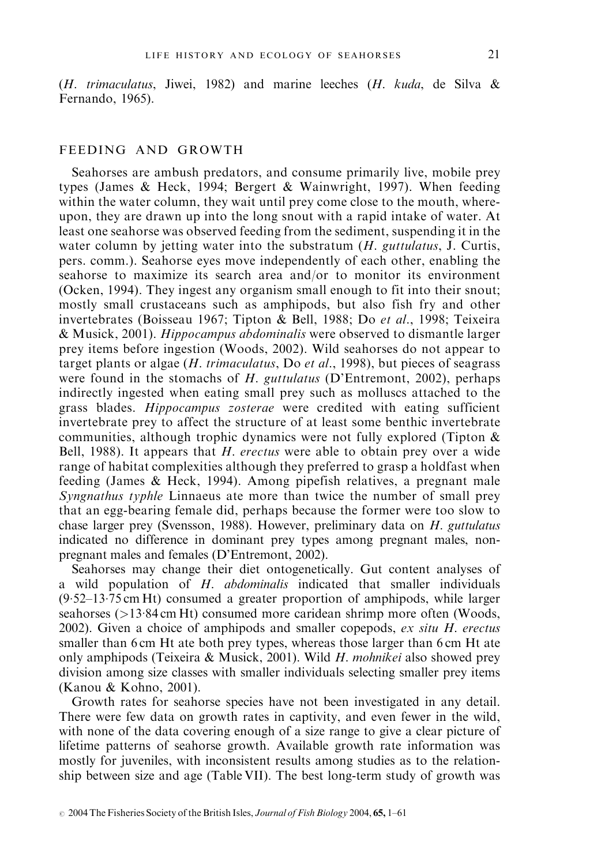(H. trimaculatus, Jiwei, 1982) and marine leeches  $(H. kuda, de Silva &$ Fernando, 1965).

## FEEDING AND GROWTH

Seahorses are ambush predators, and consume primarily live, mobile prey types (James & Heck, 1994; Bergert & Wainwright, 1997). When feeding within the water column, they wait until prey come close to the mouth, whereupon, they are drawn up into the long snout with a rapid intake of water. At least one seahorse was observed feeding from the sediment, suspending it in the water column by jetting water into the substratum  $(H.$  guttulatus, J. Curtis, pers. comm.). Seahorse eyes move independently of each other, enabling the seahorse to maximize its search area and/or to monitor its environment (Ocken, 1994). They ingest any organism small enough to fit into their snout; mostly small crustaceans such as amphipods, but also fish fry and other invertebrates (Boisseau 1967; Tipton & Bell, 1988; Do et al., 1998; Teixeira & Musick, 2001). Hippocampus abdominalis were observed to dismantle larger prey items before ingestion (Woods, 2002). Wild seahorses do not appear to target plants or algae  $(H. trimaculatus, Do et al., 1998)$ , but pieces of seagrass were found in the stomachs of H. guttulatus (D'Entremont, 2002), perhaps indirectly ingested when eating small prey such as molluscs attached to the grass blades. Hippocampus zosterae were credited with eating sufficient invertebrate prey to affect the structure of at least some benthic invertebrate communities, although trophic dynamics were not fully explored (Tipton & Bell, 1988). It appears that  $H$ . erectus were able to obtain prey over a wide range of habitat complexities although they preferred to grasp a holdfast when feeding (James & Heck, 1994). Among pipefish relatives, a pregnant male Syngnathus typhle Linnaeus ate more than twice the number of small prey that an egg-bearing female did, perhaps because the former were too slow to chase larger prey (Svensson, 1988). However, preliminary data on H. guttulatus indicated no difference in dominant prey types among pregnant males, nonpregnant males and females (D'Entremont, 2002).

Seahorses may change their diet ontogenetically. Gut content analyses of a wild population of H. abdominalis indicated that smaller individuals  $(9.52-13.75 \text{ cm Ht})$  consumed a greater proportion of amphipods, while larger seahorses (>13.84 cm Ht) consumed more caridean shrimp more often (Woods, 2002). Given a choice of amphipods and smaller copepods,  $ex\ situ\ H.$  erectus smaller than 6 cm Ht ate both prey types, whereas those larger than 6 cm Ht ate only amphipods (Teixeira & Musick, 2001). Wild  $H$ . mohnikei also showed prey division among size classes with smaller individuals selecting smaller prey items (Kanou & Kohno, 2001).

Growth rates for seahorse species have not been investigated in any detail. There were few data on growth rates in captivity, and even fewer in the wild, with none of the data covering enough of a size range to give a clear picture of lifetime patterns of seahorse growth. Available growth rate information was mostly for juveniles, with inconsistent results among studies as to the relationship between size and age (Table VII). The best long-term study of growth was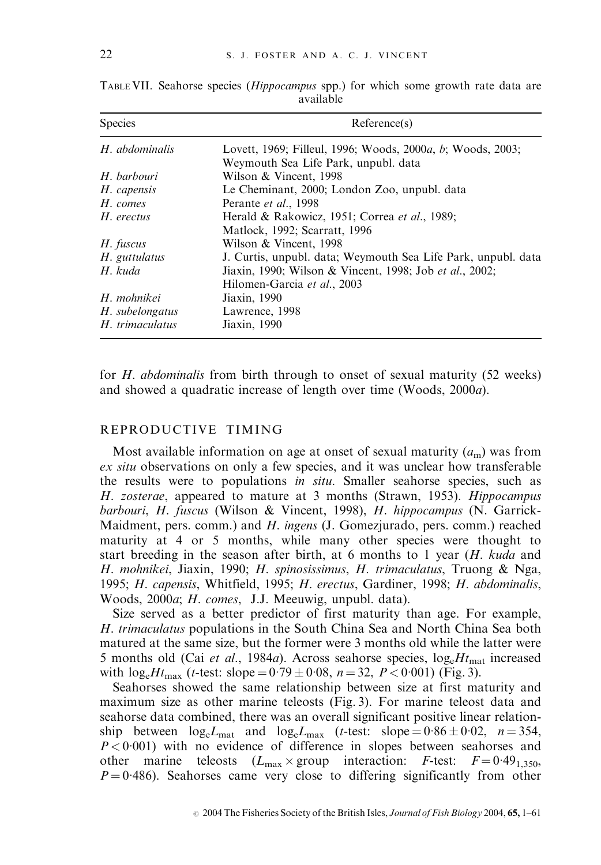| Species         | Reference(s)                                                                |
|-----------------|-----------------------------------------------------------------------------|
| H. abdominalis  | Lovett, 1969; Filleul, 1996; Woods, 2000 <i>a</i> , <i>b</i> ; Woods, 2003; |
|                 | Weymouth Sea Life Park, unpubl. data                                        |
| H. barbouri     | Wilson & Vincent, 1998                                                      |
| H. capensis     | Le Cheminant, 2000; London Zoo, unpubl. data                                |
| H. comes        | Perante et al., 1998                                                        |
| H. erectus      | Herald & Rakowicz, 1951; Correa et al., 1989;                               |
|                 | Matlock, 1992; Scarratt, 1996                                               |
| H. fuscus       | Wilson & Vincent, 1998                                                      |
| H. guttulatus   | J. Curtis, unpubl. data; Weymouth Sea Life Park, unpubl. data               |
| H. kuda         | Jiaxin, 1990; Wilson & Vincent, 1998; Job et al., 2002;                     |
|                 | Hilomen-Garcia et al., 2003                                                 |
| H. mohnikei     | Jiaxin, 1990                                                                |
| H. subelongatus | Lawrence, 1998                                                              |
| H. trimaculatus | Jiaxin, 1990                                                                |

TABLE VII. Seahorse species (Hippocampus spp.) for which some growth rate data are available

for H. abdominalis from birth through to onset of sexual maturity (52 weeks) and showed a quadratic increase of length over time (Woods, 2000a).

#### REPRODUCTIVE TIMING

Most available information on age at onset of sexual maturity  $(a<sub>m</sub>)$  was from ex situ observations on only a few species, and it was unclear how transferable the results were to populations in situ. Smaller seahorse species, such as H. zosterae, appeared to mature at 3 months (Strawn, 1953). Hippocampus barbouri, H. fuscus (Wilson & Vincent, 1998), H. hippocampus (N. Garrick-Maidment, pers. comm.) and H. ingens (J. Gomezjurado, pers. comm.) reached maturity at 4 or 5 months, while many other species were thought to start breeding in the season after birth, at 6 months to 1 year  $(H. kuda$  and H. mohnikei, Jiaxin, 1990; H. spinosissimus, H. trimaculatus, Truong & Nga, 1995; H. capensis, Whitfield, 1995; H. erectus, Gardiner, 1998; H. abdominalis, Woods, 2000a; H. comes, J.J. Meeuwig, unpubl. data).

Size served as a better predictor of first maturity than age. For example, H. trimaculatus populations in the South China Sea and North China Sea both matured at the same size, but the former were 3 months old while the latter were 5 months old (Cai et al., 1984a). Across seahorse species,  $log_e H_{\text{mat}}$  increased with  $log_e Ht_{\text{max}}$  (*t*-test: slope =  $0.79 \pm 0.08$ , *n* = 32, *P* < 0.001) (Fig. 3).

Seahorses showed the same relationship between size at first maturity and maximum size as other marine teleosts (Fig. 3). For marine teleost data and seahorse data combined, there was an overall significant positive linear relationship between  $log_e L_{\text{mat}}$  and  $log_e L_{\text{max}}$  (*t*-test: slope =  $0.86 \pm 0.02$ , *n* = 354,  $P < 0.001$ ) with no evidence of difference in slopes between seahorses and other marine teleosts  $(L_{\text{max}} \times \text{group interaction: } F\text{-test: } F = 0.49_{1.350}$  $P = 0.486$ ). Seahorses came very close to differing significantly from other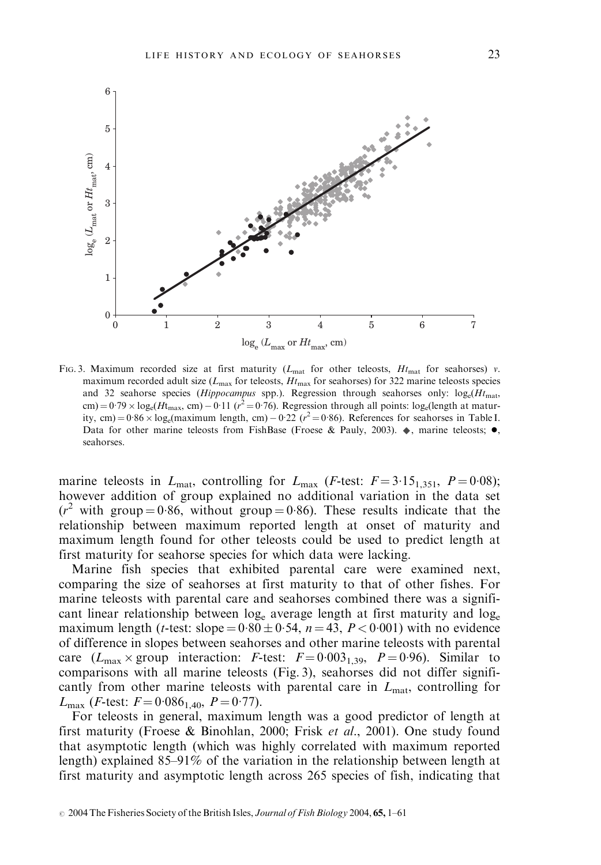

FIG. 3. Maximum recorded size at first maturity ( $L_{\text{mat}}$  for other teleosts,  $H_{\text{mat}}$  for seahorses) v. maximum recorded adult size ( $L_{\text{max}}$  for teleosts,  $Ht_{\text{max}}$  for seahorses) for 322 marine teleosts species and 32 seahorse species (Hippocampus spp.). Regression through seahorses only:  $log_e(H_{\text{mat}})$ cm) =  $0.79 \times \log_e(Ht_{\text{max}}, \text{ cm}) - 0.11$  ( $r^2 = 0.76$ ). Regression through all points: log<sub>e</sub>(length at maturity, cm) =  $0.86 \times \log_e(\text{maximum length}, \text{ cm}) - 0.22 (r^2 = 0.86)$ . References for seahorses in Table I. Data for other marine teleosts from FishBase (Froese & Pauly, 2003).  $\bullet$ , marine teleosts;  $\bullet$ , seahorses.

marine teleosts in  $L_{\text{mat}}$ , controlling for  $L_{\text{max}}$  (*F*-test:  $F = 3.15_{1.351}$ ,  $P = 0.08$ ); however addition of group explained no additional variation in the data set  $(r^2$  with group = 0.86, without group = 0.86). These results indicate that the relationship between maximum reported length at onset of maturity and maximum length found for other teleosts could be used to predict length at first maturity for seahorse species for which data were lacking.

Marine fish species that exhibited parental care were examined next, comparing the size of seahorses at first maturity to that of other fishes. For marine teleosts with parental care and seahorses combined there was a significant linear relationship between  $log_e$  average length at first maturity and  $log_e$ maximum length (*t*-test: slope =  $0.80 \pm 0.54$ , *n* = 43, *P* < 0.001) with no evidence of difference in slopes between seahorses and other marine teleosts with parental care  $(L_{\text{max}} \times \text{group interaction: } F\text{-test: } F = 0.003_{1.39}, P = 0.96$ . Similar to comparisons with all marine teleosts (Fig. 3), seahorses did not differ significantly from other marine teleosts with parental care in  $L_{\text{mat}}$ , controlling for  $L_{\text{max}}$  (*F*-test:  $F = 0.086_{1.40}$ ,  $P = 0.77$ ).

For teleosts in general, maximum length was a good predictor of length at first maturity (Froese & Binohlan, 2000; Frisk et al., 2001). One study found that asymptotic length (which was highly correlated with maximum reported length) explained 85–91% of the variation in the relationship between length at first maturity and asymptotic length across 265 species of fish, indicating that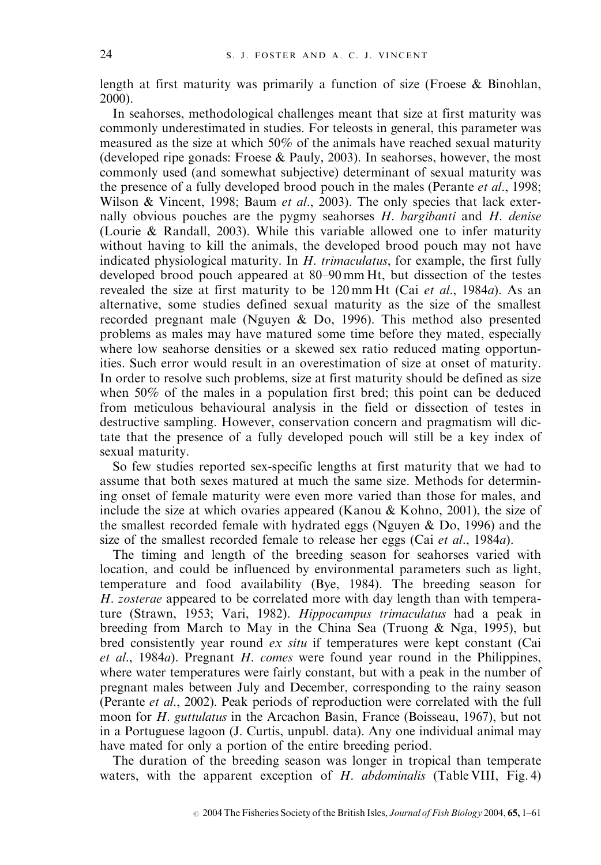length at first maturity was primarily a function of size (Froese & Binohlan, 2000).

In seahorses, methodological challenges meant that size at first maturity was commonly underestimated in studies. For teleosts in general, this parameter was measured as the size at which 50% of the animals have reached sexual maturity (developed ripe gonads: Froese & Pauly, 2003). In seahorses, however, the most commonly used (and somewhat subjective) determinant of sexual maturity was the presence of a fully developed brood pouch in the males (Perante *et al.*, 1998; Wilson & Vincent, 1998; Baum et al., 2003). The only species that lack externally obvious pouches are the pygmy seahorses  $H$ , *bargibanti* and  $H$ , *denise* (Lourie & Randall, 2003). While this variable allowed one to infer maturity without having to kill the animals, the developed brood pouch may not have indicated physiological maturity. In  $H$ . trimaculatus, for example, the first fully developed brood pouch appeared at 80–90 mm Ht, but dissection of the testes revealed the size at first maturity to be 120 mm Ht (Cai et al., 1984a). As an alternative, some studies defined sexual maturity as the size of the smallest recorded pregnant male (Nguyen & Do, 1996). This method also presented problems as males may have matured some time before they mated, especially where low seahorse densities or a skewed sex ratio reduced mating opportunities. Such error would result in an overestimation of size at onset of maturity. In order to resolve such problems, size at first maturity should be defined as size when 50% of the males in a population first bred; this point can be deduced from meticulous behavioural analysis in the field or dissection of testes in destructive sampling. However, conservation concern and pragmatism will dictate that the presence of a fully developed pouch will still be a key index of sexual maturity.

So few studies reported sex-specific lengths at first maturity that we had to assume that both sexes matured at much the same size. Methods for determining onset of female maturity were even more varied than those for males, and include the size at which ovaries appeared (Kanou & Kohno, 2001), the size of the smallest recorded female with hydrated eggs (Nguyen  $\&$  Do, 1996) and the size of the smallest recorded female to release her eggs (Cai *et al.*, 1984*a*).

The timing and length of the breeding season for seahorses varied with location, and could be influenced by environmental parameters such as light, temperature and food availability (Bye, 1984). The breeding season for H. zosterae appeared to be correlated more with day length than with temperature (Strawn, 1953; Vari, 1982). Hippocampus trimaculatus had a peak in breeding from March to May in the China Sea (Truong  $\&$  Nga, 1995), but bred consistently year round *ex situ* if temperatures were kept constant (Cai et al., 1984a). Pregnant H. comes were found year round in the Philippines, where water temperatures were fairly constant, but with a peak in the number of pregnant males between July and December, corresponding to the rainy season (Perante et al., 2002). Peak periods of reproduction were correlated with the full moon for H. guttulatus in the Arcachon Basin, France (Boisseau, 1967), but not in a Portuguese lagoon (J. Curtis, unpubl. data). Any one individual animal may have mated for only a portion of the entire breeding period.

The duration of the breeding season was longer in tropical than temperate waters, with the apparent exception of  $H$ . abdominalis (Table VIII, Fig. 4)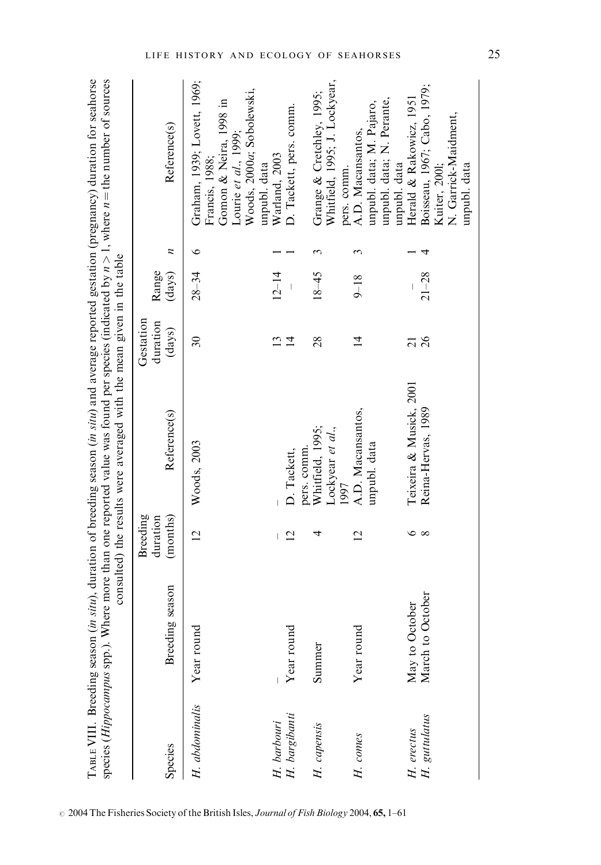|                              |                            |                                         | consulted) the results were averaged with the mean given in the table |                                 |                 |                  | species <i>(Hippocampus</i> spp.). Where more than one reported value was found per species (indicated by $n > 1$ , where $n =$ the number of sources |
|------------------------------|----------------------------|-----------------------------------------|-----------------------------------------------------------------------|---------------------------------|-----------------|------------------|-------------------------------------------------------------------------------------------------------------------------------------------------------|
| Species                      | g season<br><b>Breedin</b> | <b>Breeding</b><br>(months)<br>duration | Reference(s)                                                          | Gestation<br>duration<br>(days) | Range<br>(days) | $\boldsymbol{z}$ | Reference(s)                                                                                                                                          |
| H. abdominalis               | Year round                 | $\overline{2}$                          | Woods, 2003                                                           | $30\,$                          | $28 - 34$       | $\circ$          | Graham, 1939; Lovett, 1969;<br>Woods, 2000a; Sobolewski,<br>Gomon & Neira, 1998 in<br>Lourie et $al., 1999;$<br>Francis, 1988;<br>unpubl. data        |
|                              |                            | $\overline{\phantom{a}}$                |                                                                       | 13                              | $12 - 14$       |                  | Warland, 2003                                                                                                                                         |
| H. barbouri<br>H. bargibanti | Year round                 | $\overline{2}$                          | D. Tackett,                                                           | $\overline{1}$                  | $\mid$          |                  | D. Tackett, pers. comm.                                                                                                                               |
| H. capensis                  | Summer                     | 4                                       | Whitfield, 1995;<br>Lockyear et al.,<br>pers. comm.<br>1997           | 28                              | $18 - 45$       | 3                | Whitfield, 1995; J. Lockyear,<br>Grange & Cretchley, 1995;<br>pers. comm.                                                                             |
| H. comes                     | Year round                 | $\overline{2}$                          | A.D. Macansantos,<br>unpubl. data                                     | $\overline{1}$                  | $9 - 18$        | 3                | unpubl. data; N. Perante,<br>unpubl. data; M. Pajaro,<br>A.D. Macansantos,<br>unpubl. data                                                            |
| H. erectus                   | May to October             | ७                                       | Teixeira & Musick, 2001                                               | $\overline{c}$                  |                 |                  | Herald & Rakowicz, 1951                                                                                                                               |
| H. guttulatus                | October<br>March to        | $\infty$                                | Reina-Hervas, 1989                                                    | 26                              | $21 - 28$       |                  | Boisseau, 1967; Cabo, 1979;<br>N. Garrick-Maidment,<br>unpubl. data<br>Kuiter, 2001;                                                                  |

TABLE VIII. Breeding season (*in situ*), duration of breeding season (*in situ*) and average reported gestation (pregnancy) duration for seahorse TABLE VIII. Breeding season (in situ), duration of breeding season (in situ) and average reported gestation (pregnancy) duration for seahorse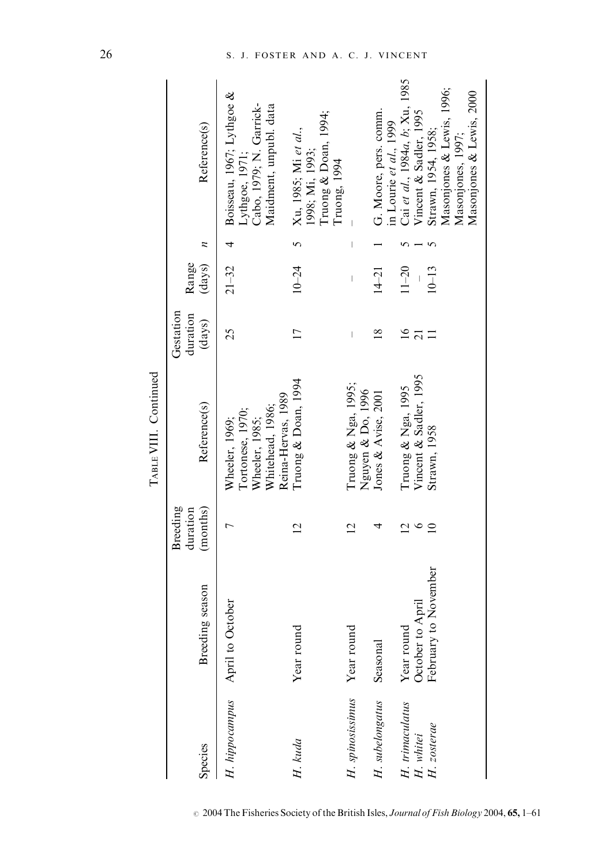|                          |                                |                                         | TWEE VIII. Communication                                                                       |                                    |                          |                                |                                                                                                   |
|--------------------------|--------------------------------|-----------------------------------------|------------------------------------------------------------------------------------------------|------------------------------------|--------------------------|--------------------------------|---------------------------------------------------------------------------------------------------|
| Species                  | Breeding season                | <b>Breeding</b><br>(months)<br>duration | Reference(s)                                                                                   | Gestation<br>duration<br>(days)    | Range<br>(days)          | $\overline{z}$                 | Reference(s)                                                                                      |
| H. hippocampus           | April to October               |                                         | Reina-Hervas, 1989<br>Whitehead, 1986;<br>Tortonese, 1970;<br>Wheeler, 1985;<br>Wheeler, 1969; | 25                                 | $21 - 32$                | 4                              | Boisseau, 1967; Lythgoe &<br>Cabo, 1979; N. Garrick-<br>Maidment, unpubl. data<br>Lythgoe, 1971;  |
| H. kuda                  | Year rounc                     |                                         | Truong & Doan, 1994                                                                            |                                    | $10 - 24$                | 5                              | Truong & Doan, 1994;<br>Xu, 1985; Mi et al.,<br>1998; Mi, 1993;<br>Truong, 1994                   |
| H. spinosissimus         | Year round                     |                                         | Truong & Nga, 1995;<br>Nguyen & Do, 1996                                                       | $\begin{array}{c} \end{array}$     | $\overline{\phantom{a}}$ | $\begin{array}{c} \end{array}$ |                                                                                                   |
| H. subelongatus          | Seasonal                       |                                         | Jones & Avise, 2001                                                                            | $\frac{8}{18}$                     | $14 - 21$                |                                | G. Moore, pers. comm.<br>in Lourie et al., 1999                                                   |
| H. trimaculatus          | October to April<br>Year round | $\circ$<br>$\bar{\omega}$               | Vincent & Sadler, 1995<br>Truong & Nga, 1995                                                   | $\overline{16}$<br>$\overline{21}$ | $11 - 20$                |                                | Cai et al., 1984a, b; Xu, 1985<br>Vincent & Sadler, 1995                                          |
| H. whitei<br>H. zosterae | February to November           | $\overline{10}$                         | Strawn, 1958                                                                                   |                                    | $10 - 13$                |                                | Masonjones & Lewis, 1996;<br>Masonjones & Lewis, 2000<br>Strawn, 1954, 1958;<br>Masonjones, 1997; |

 $T_{ABLE} VIII$ . Continued TABLE VIII. Continued

 $\circ$  2004 The Fisheries Society of the British Isles, Journal of Fish Biology 2004, 65, 1–61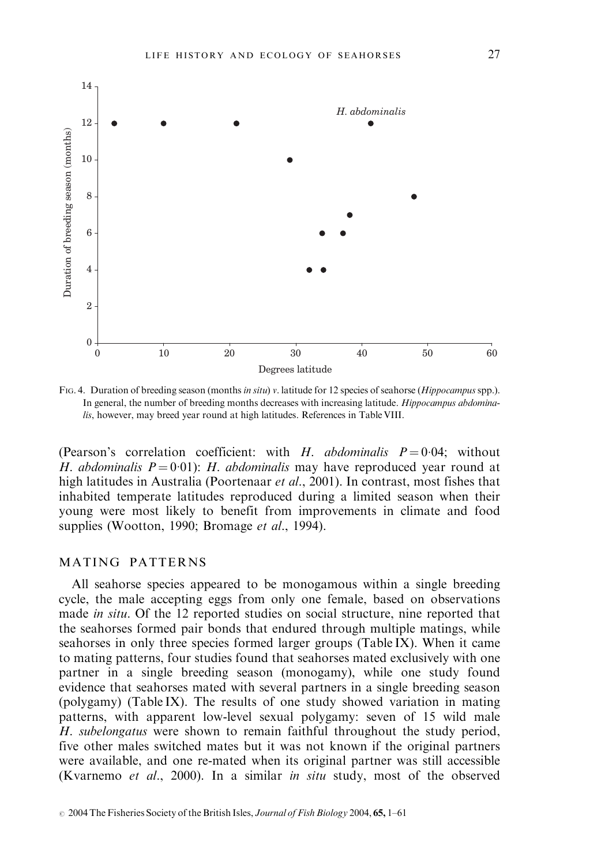

FIG. 4. Duration of breeding season (months in situ) v. latitude for 12 species of seahorse (*Hippocampus* spp.). In general, the number of breeding months decreases with increasing latitude. *Hippocampus abdomina*lis, however, may breed year round at high latitudes. References in Table VIII.

(Pearson's correlation coefficient: with H. abdominalis  $P = 0.04$ ; without H. abdominalis  $P = 0.01$ : H. abdominalis may have reproduced year round at high latitudes in Australia (Poortenaar et al., 2001). In contrast, most fishes that inhabited temperate latitudes reproduced during a limited season when their young were most likely to benefit from improvements in climate and food supplies (Wootton, 1990; Bromage et al., 1994).

#### MATING PATTERNS

All seahorse species appeared to be monogamous within a single breeding cycle, the male accepting eggs from only one female, based on observations made in situ. Of the 12 reported studies on social structure, nine reported that the seahorses formed pair bonds that endured through multiple matings, while seahorses in only three species formed larger groups (Table IX). When it came to mating patterns, four studies found that seahorses mated exclusively with one partner in a single breeding season (monogamy), while one study found evidence that seahorses mated with several partners in a single breeding season (polygamy) (Table IX). The results of one study showed variation in mating patterns, with apparent low-level sexual polygamy: seven of 15 wild male H. subelongatus were shown to remain faithful throughout the study period, five other males switched mates but it was not known if the original partners were available, and one re-mated when its original partner was still accessible (Kvarnemo et al., 2000). In a similar in situ study, most of the observed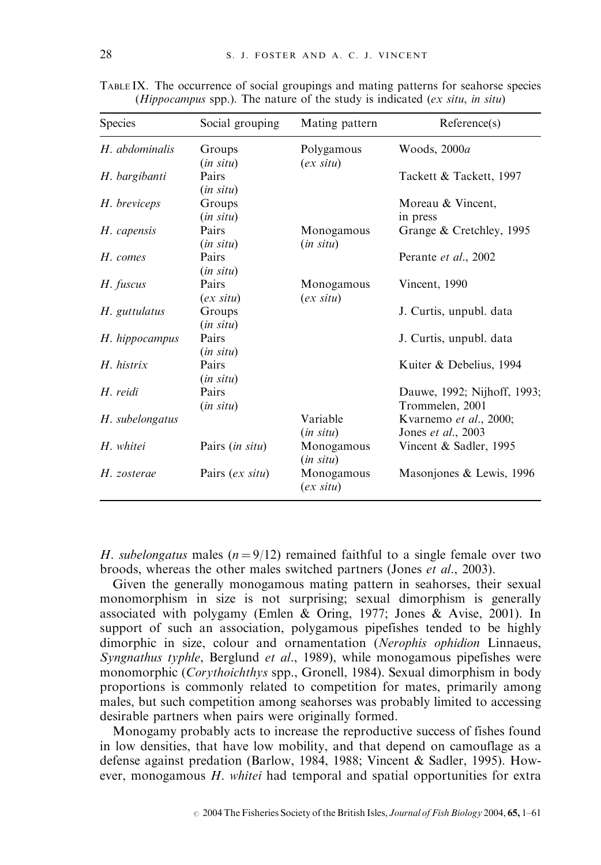| <b>Species</b>  | Social grouping       | Mating pattern             | Reference(s)                                         |
|-----------------|-----------------------|----------------------------|------------------------------------------------------|
| H. abdominalis  | Groups<br>(in situ)   | Polygamous<br>$(ex\ situ)$ | Woods, 2000a                                         |
| H. bargibanti   | Pairs<br>(in situ)    |                            | Tackett & Tackett, 1997                              |
| H. breviceps    | Groups<br>(in situ)   |                            | Moreau & Vincent,<br>in press                        |
| H. capensis     | Pairs<br>(in situ)    | Monogamous<br>(in situ)    | Grange & Cretchley, 1995                             |
| H. comes        | Pairs<br>(in situ)    |                            | Perante et al., 2002                                 |
| H. fuscus       | Pairs<br>$(ex\ situ)$ | Monogamous<br>$(ex\ situ)$ | Vincent, 1990                                        |
| H. guttulatus   | Groups<br>(in situ)   |                            | J. Curtis, unpubl. data                              |
| H. hippocampus  | Pairs<br>(in situ)    |                            | J. Curtis, unpubl. data                              |
| $H.$ histrix    | Pairs<br>(in situ)    |                            | Kuiter & Debelius, 1994                              |
| H. reidi        | Pairs<br>(in situ)    |                            | Dauwe, 1992; Nijhoff, 1993;<br>Trommelen, 2001       |
| H. subelongatus |                       | Variable<br>(in situ)      | Kvarnemo <i>et al.</i> , 2000;<br>Jones et al., 2003 |
| H. whitei       | Pairs (in situ)       | Monogamous<br>(in situ)    | Vincent & Sadler, 1995                               |
| H. zosterae     | Pairs (ex situ)       | Monogamous<br>$(ex\ situ)$ | Masonjones & Lewis, 1996                             |

TABLE IX. The occurrence of social groupings and mating patterns for seahorse species (*Hippocampus* spp.). The nature of the study is indicated (*ex situ, in situ*)

H. subelongatus males ( $n = 9/12$ ) remained faithful to a single female over two broods, whereas the other males switched partners (Jones et al., 2003).

Given the generally monogamous mating pattern in seahorses, their sexual monomorphism in size is not surprising; sexual dimorphism is generally associated with polygamy (Emlen & Oring, 1977; Jones & Avise, 2001). In support of such an association, polygamous pipefishes tended to be highly dimorphic in size, colour and ornamentation (Nerophis ophidion Linnaeus, Syngnathus typhle, Berglund et al., 1989), while monogamous pipefishes were monomorphic (Corythoichthys spp., Gronell, 1984). Sexual dimorphism in body proportions is commonly related to competition for mates, primarily among males, but such competition among seahorses was probably limited to accessing desirable partners when pairs were originally formed.

Monogamy probably acts to increase the reproductive success of fishes found in low densities, that have low mobility, and that depend on camouflage as a defense against predation (Barlow, 1984, 1988; Vincent & Sadler, 1995). However, monogamous H. whitei had temporal and spatial opportunities for extra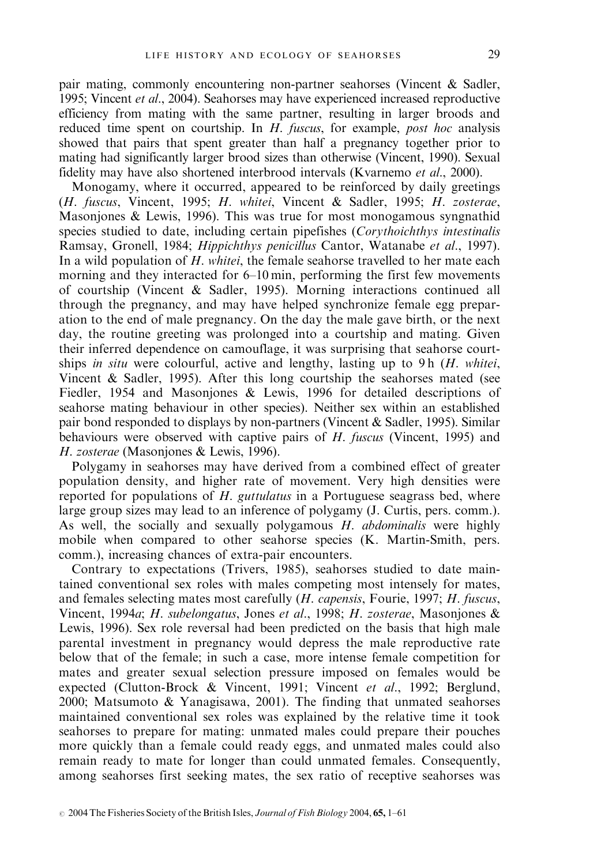pair mating, commonly encountering non-partner seahorses (Vincent & Sadler, 1995; Vincent *et al.*, 2004). Seahorses may have experienced increased reproductive efficiency from mating with the same partner, resulting in larger broods and reduced time spent on courtship. In H. fuscus, for example, post hoc analysis showed that pairs that spent greater than half a pregnancy together prior to mating had significantly larger brood sizes than otherwise (Vincent, 1990). Sexual fidelity may have also shortened interbrood intervals (Kvarnemo et al., 2000).

Monogamy, where it occurred, appeared to be reinforced by daily greetings (H. fuscus, Vincent, 1995; H. whitei, Vincent & Sadler, 1995; H. zosterae, Masonjones & Lewis, 1996). This was true for most monogamous syngnathid species studied to date, including certain pipefishes (Corythoichthys intestinalis Ramsay, Gronell, 1984; Hippichthys penicillus Cantor, Watanabe et al., 1997). In a wild population of  $H$ , whitei, the female seahorse travelled to her mate each morning and they interacted for 6–10 min, performing the first few movements of courtship (Vincent & Sadler, 1995). Morning interactions continued all through the pregnancy, and may have helped synchronize female egg preparation to the end of male pregnancy. On the day the male gave birth, or the next day, the routine greeting was prolonged into a courtship and mating. Given their inferred dependence on camouflage, it was surprising that seahorse courtships in situ were colourful, active and lengthy, lasting up to 9h  $(H. \text{ whitei},$ Vincent & Sadler, 1995). After this long courtship the seahorses mated (see Fiedler, 1954 and Masonjones & Lewis, 1996 for detailed descriptions of seahorse mating behaviour in other species). Neither sex within an established pair bond responded to displays by non-partners (Vincent & Sadler, 1995). Similar behaviours were observed with captive pairs of  $H$ . fuscus (Vincent, 1995) and H. zosterae (Masonjones & Lewis, 1996).

Polygamy in seahorses may have derived from a combined effect of greater population density, and higher rate of movement. Very high densities were reported for populations of H. guttulatus in a Portuguese seagrass bed, where large group sizes may lead to an inference of polygamy (J. Curtis, pers. comm.). As well, the socially and sexually polygamous H. abdominalis were highly mobile when compared to other seahorse species (K. Martin-Smith, pers. comm.), increasing chances of extra-pair encounters.

Contrary to expectations (Trivers, 1985), seahorses studied to date maintained conventional sex roles with males competing most intensely for mates, and females selecting mates most carefully (H. capensis, Fourie, 1997; H. fuscus, Vincent, 1994a; H. subelongatus, Jones et al., 1998; H. zosterae, Masonjones & Lewis, 1996). Sex role reversal had been predicted on the basis that high male parental investment in pregnancy would depress the male reproductive rate below that of the female; in such a case, more intense female competition for mates and greater sexual selection pressure imposed on females would be expected (Clutton-Brock & Vincent, 1991; Vincent et al., 1992; Berglund, 2000; Matsumoto & Yanagisawa, 2001). The finding that unmated seahorses maintained conventional sex roles was explained by the relative time it took seahorses to prepare for mating: unmated males could prepare their pouches more quickly than a female could ready eggs, and unmated males could also remain ready to mate for longer than could unmated females. Consequently, among seahorses first seeking mates, the sex ratio of receptive seahorses was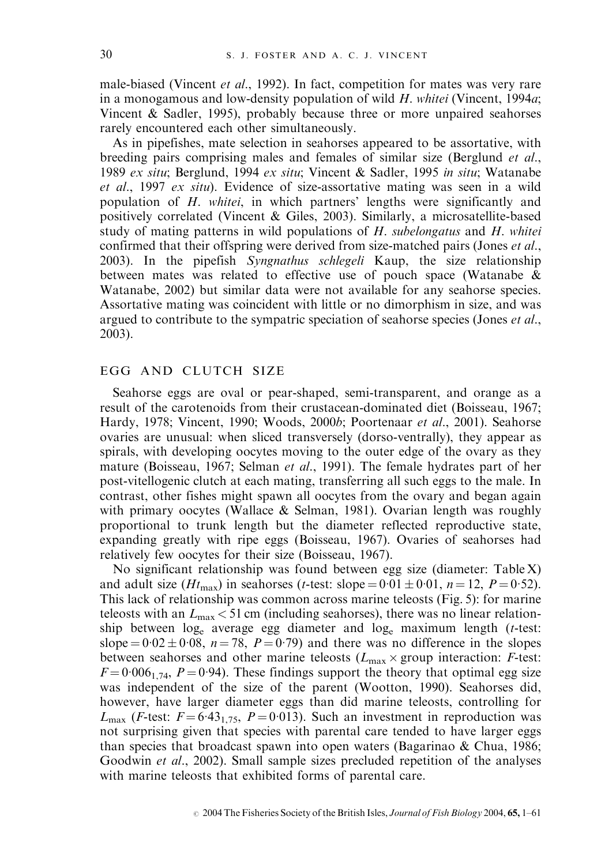male-biased (Vincent *et al.*, 1992). In fact, competition for mates was very rare in a monogamous and low-density population of wild  $H$ . whitei (Vincent, 1994 $a$ ; Vincent & Sadler, 1995), probably because three or more unpaired seahorses rarely encountered each other simultaneously.

As in pipefishes, mate selection in seahorses appeared to be assortative, with breeding pairs comprising males and females of similar size (Berglund et al., 1989 ex situ; Berglund, 1994 ex situ; Vincent & Sadler, 1995 in situ; Watanabe et al., 1997 ex situ). Evidence of size-assortative mating was seen in a wild population of H. whitei, in which partners' lengths were significantly and positively correlated (Vincent & Giles, 2003). Similarly, a microsatellite-based study of mating patterns in wild populations of  $H$ . *subelongatus* and  $H$ . *whitei* confirmed that their offspring were derived from size-matched pairs (Jones *et al.*, 2003). In the pipefish Syngnathus schlegeli Kaup, the size relationship between mates was related to effective use of pouch space (Watanabe  $\&$ Watanabe, 2002) but similar data were not available for any seahorse species. Assortative mating was coincident with little or no dimorphism in size, and was argued to contribute to the sympatric speciation of seahorse species (Jones *et al.*, 2003).

#### EGG AND CLUTCH SIZE

Seahorse eggs are oval or pear-shaped, semi-transparent, and orange as a result of the carotenoids from their crustacean-dominated diet (Boisseau, 1967; Hardy, 1978; Vincent, 1990; Woods, 2000b; Poortenaar et al., 2001). Seahorse ovaries are unusual: when sliced transversely (dorso-ventrally), they appear as spirals, with developing oocytes moving to the outer edge of the ovary as they mature (Boisseau, 1967; Selman et al., 1991). The female hydrates part of her post-vitellogenic clutch at each mating, transferring all such eggs to the male. In contrast, other fishes might spawn all oocytes from the ovary and began again with primary oocytes (Wallace & Selman, 1981). Ovarian length was roughly proportional to trunk length but the diameter reflected reproductive state, expanding greatly with ripe eggs (Boisseau, 1967). Ovaries of seahorses had relatively few oocytes for their size (Boisseau, 1967).

No significant relationship was found between egg size (diameter: Table X) and adult size (Ht<sub>max</sub>) in seahorses (t-test: slope =  $0.01 \pm 0.01$ , n = 12, P = 0.52). This lack of relationship was common across marine teleosts (Fig. 5): for marine teleosts with an  $L_{\text{max}}$  < 51 cm (including seahorses), there was no linear relationship between  $log_e$  average egg diameter and  $log_e$  maximum length (t-test: slope =  $0.02 \pm 0.08$ ,  $n = 78$ ,  $P = 0.79$ ) and there was no difference in the slopes between seahorses and other marine teleosts  $(L_{\text{max}} \times \text{group interaction: } F\text{-test: }$  $F = 0.006_{1.74}$ ,  $P = 0.94$ ). These findings support the theory that optimal egg size was independent of the size of the parent (Wootton, 1990). Seahorses did, however, have larger diameter eggs than did marine teleosts, controlling for  $L_{\text{max}}$  (*F*-test:  $F = 6.43_{1.75}$ ,  $P = 0.013$ ). Such an investment in reproduction was not surprising given that species with parental care tended to have larger eggs than species that broadcast spawn into open waters (Bagarinao & Chua, 1986; Goodwin *et al.*, 2002). Small sample sizes precluded repetition of the analyses with marine teleosts that exhibited forms of parental care.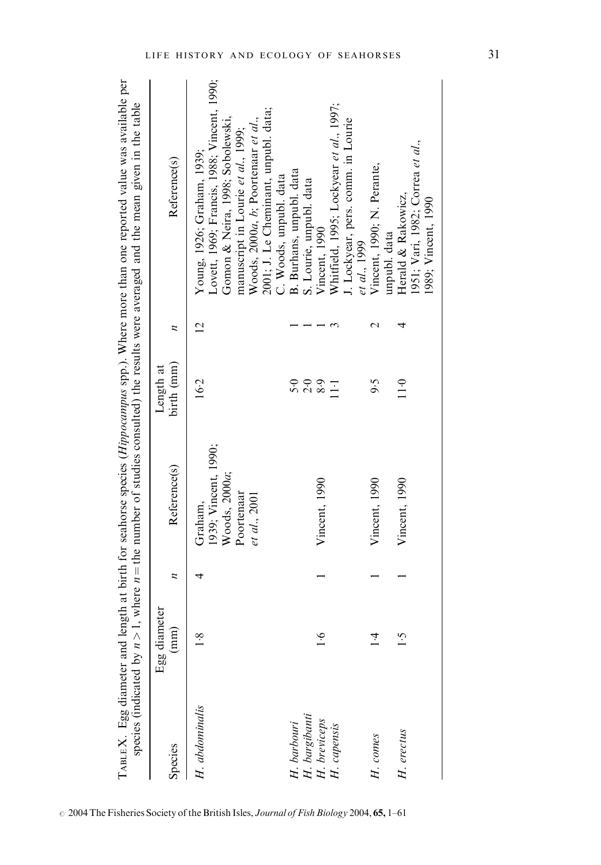| species (indicated by $n >$                    |                       |              |                                                  |                           |                | TABLE X. Egg diameter and length at birth for seahorse species $(Hippocampus$ spp.). Where more than one reported value was available per<br>1, where $n =$ the number of studies consulted) the results were averaged and the mean given in the table |
|------------------------------------------------|-----------------------|--------------|--------------------------------------------------|---------------------------|----------------|--------------------------------------------------------------------------------------------------------------------------------------------------------------------------------------------------------------------------------------------------------|
| Species                                        | Egg diameter<br>(mm)  | $\mathbf{z}$ | Reference(s)                                     | birth (mm)<br>Length at   | z              | Reference(s)                                                                                                                                                                                                                                           |
| H. abdominalis                                 | $\overline{1\cdot 8}$ |              | 1939; Vincent, 1990;<br>Woods, 2000a;<br>Graham, | 16.2                      | $\overline{2}$ | Lovett, 1969; Francis, 1988; Vincent, 1990;<br>Gomon & Neira, 1998; Sobolewski,<br>Young, 1926; Graham, 1939;                                                                                                                                          |
|                                                |                       |              | Poortenaar<br>et al., 2001                       |                           |                | 2001; J. Le Cheminant, unpubl. data;<br>Woods, 2000a, b; Poortenaar et al.,<br>manuscript in Lourie et al., 1999;                                                                                                                                      |
| H. barbouri                                    |                       |              |                                                  | $5-0$                     |                | B. Burhans, unpubl. data<br>C. Woods, unpubl. data<br>S. Lourie, unpubl. data                                                                                                                                                                          |
| H. bargibanti<br>H. breviceps<br>$H.$ capensis | $\ddot{6}$            |              | Vincent, 1990                                    | $\frac{6}{8}$ .9<br>$\Xi$ |                | Whitfield, 1995; Lockyear et al., 1997;<br>Vincent, 1990                                                                                                                                                                                               |
| H. comes                                       | $\frac{4}{3}$         |              | Vincent, 1990                                    | 9.5                       |                | I. Lockyear, pers. comm. in Lourie<br>Vincent, 1990; N. Perante,<br>et al., 1999                                                                                                                                                                       |
| H. erectus                                     | $\ddot{ }$ :1         |              | Vincent, 1990                                    | 11.0                      | 4              | Herald & Rakowicz,<br>unpubl. data                                                                                                                                                                                                                     |
|                                                |                       |              |                                                  |                           |                | 1951; Vari, 1982; Correa et al.,<br>1989; Vincent, 1990                                                                                                                                                                                                |

 $\degree$  2004 The Fisheries Society of the British Isles, Journal of Fish Biology 2004, 65, 1–61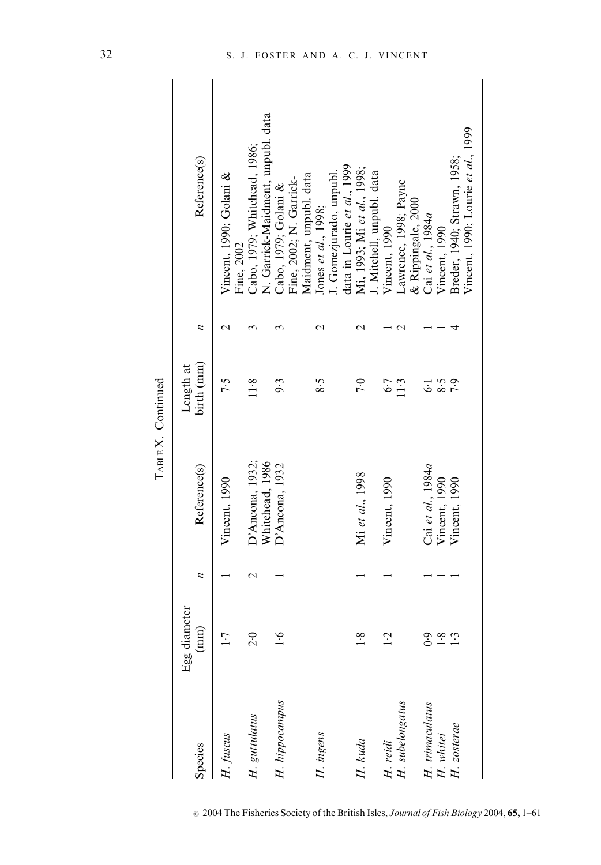| г |  |
|---|--|

| Species         | Egg diameter<br>(mm) | $\overline{z}$ | Reference(s)                          | birth (mm)<br>Length at | z | Reference(s)                                                      |
|-----------------|----------------------|----------------|---------------------------------------|-------------------------|---|-------------------------------------------------------------------|
| H. fuscus       | $\overline{1}$       |                | Vincent, 1990                         | 7.5                     |   | Vincent, 1990; Golani &<br>Fine, 2002                             |
| H. guttulatus   | 2.0                  |                | Whitehead, 1986<br>$D'$ Ancona, 1932; | 11.8                    |   | N. Garrick-Maidment, unpubl. data<br>Cabo, 1979; Whitehead, 1986; |
| H. hippocampus  | $\frac{6}{1}$        |                | D'Ancona, 1932                        | 9.3                     |   | Fine, 2002; N. Garrick-<br>Cabo, 1979; Golani &                   |
| H. ingens       |                      |                |                                       | 8.5                     |   | Maidment, unpubl. data<br>Jones et al., 1998;                     |
|                 |                      |                |                                       |                         |   | data in Lourie et al., 1999<br>. Gomezjurado, unpubl.             |
| H. kuda         | $\frac{8}{1}$        |                | Mi et al., 1998                       | 7.0                     |   | Mi, 1993; Mi et al., 1998;                                        |
| H. reidi        | $\overline{c}$       |                | Vincent, 1990                         | $6-7$                   |   | I. Mitchell, unpubl. data<br>Vincent, 1990                        |
| H. subelongatus |                      |                |                                       | 11.3                    |   | Lawrence, 1998; Payne<br>& Rippingale, 2000                       |
| H. trimaculatus |                      |                | Cai et al., 1984a                     | 5                       |   | Cai et al., 1984a                                                 |
| H. whitei       |                      |                | Vincent, 1990                         | 8.5                     |   | Vincent, 1990                                                     |
| H. zosterae     |                      |                | Vincent, 1990                         | 7.9                     |   | Breder, 1940; Strawn, 1958;                                       |
|                 |                      |                |                                       |                         |   | Vincent, 1990; Lourie et al., 1999                                |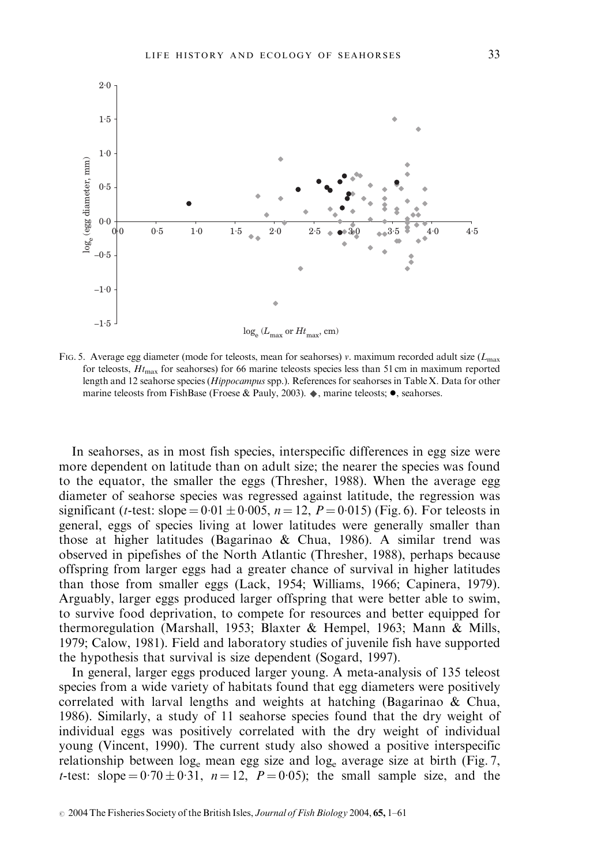

FIG. 5. Average egg diameter (mode for teleosts, mean for seahorses) v. maximum recorded adult size ( $L_{\text{max}}$ ) for teleosts,  $H_{\text{max}}$  for seahorses) for 66 marine teleosts species less than 51 cm in maximum reported length and 12 seahorse species (Hippocampus spp.). References for seahorses in Table X. Data for other marine teleosts from FishBase (Froese & Pauly, 2003).  $\blacklozenge$ , marine teleosts;  $\blacklozenge$ , seahorses.

In seahorses, as in most fish species, interspecific differences in egg size were more dependent on latitude than on adult size; the nearer the species was found to the equator, the smaller the eggs (Thresher, 1988). When the average egg diameter of seahorse species was regressed against latitude, the regression was significant (*t*-test: slope =  $0.01 \pm 0.005$ , *n* = 12, *P* = 0.015) (Fig. 6). For teleosts in general, eggs of species living at lower latitudes were generally smaller than those at higher latitudes (Bagarinao & Chua, 1986). A similar trend was observed in pipefishes of the North Atlantic (Thresher, 1988), perhaps because offspring from larger eggs had a greater chance of survival in higher latitudes than those from smaller eggs (Lack, 1954; Williams, 1966; Capinera, 1979). Arguably, larger eggs produced larger offspring that were better able to swim, to survive food deprivation, to compete for resources and better equipped for thermoregulation (Marshall, 1953; Blaxter & Hempel, 1963; Mann & Mills, 1979; Calow, 1981). Field and laboratory studies of juvenile fish have supported the hypothesis that survival is size dependent (Sogard, 1997).

In general, larger eggs produced larger young. A meta-analysis of 135 teleost species from a wide variety of habitats found that egg diameters were positively correlated with larval lengths and weights at hatching (Bagarinao & Chua, 1986). Similarly, a study of 11 seahorse species found that the dry weight of individual eggs was positively correlated with the dry weight of individual young (Vincent, 1990). The current study also showed a positive interspecific relationship between log<sub>e</sub> mean egg size and log<sub>e</sub> average size at birth (Fig. 7, t-test: slope =  $0.70 \pm 0.31$ ,  $n = 12$ ,  $P = 0.05$ ); the small sample size, and the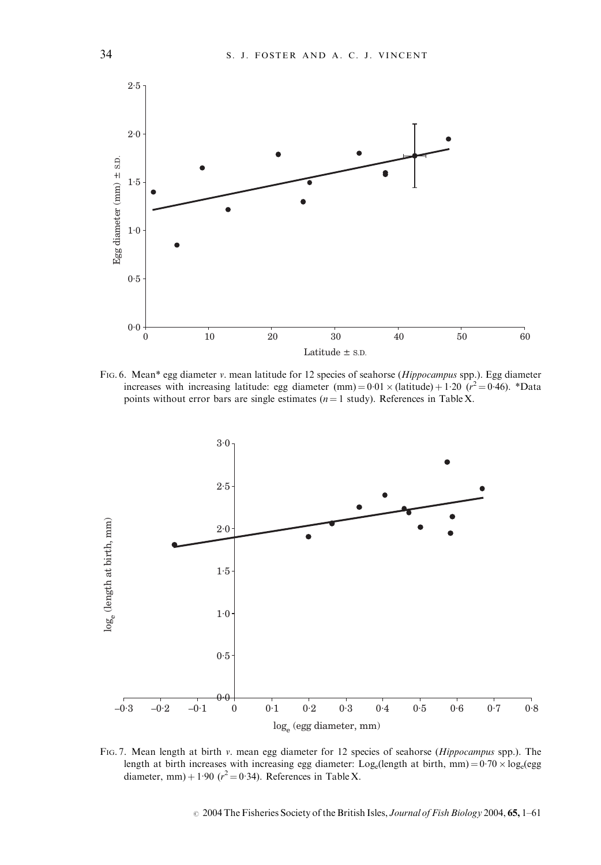

FIG. 6. Mean\* egg diameter v. mean latitude for 12 species of seahorse (Hippocampus spp.). Egg diameter increases with increasing latitude: egg diameter (mm) =  $0.01 \times$  (latitude) + 1.20 ( $r^2 = 0.46$ ). \*Data points without error bars are single estimates ( $n = 1$  study). References in Table X.



FIG. 7. Mean length at birth v. mean egg diameter for 12 species of seahorse (Hippocampus spp.). The length at birth increases with increasing egg diameter:  $Log_e(length at birth, mm) = 0.70 \times log_e(egg)$ diameter, mm) + 1.90 ( $r^2 = 0.34$ ). References in Table X.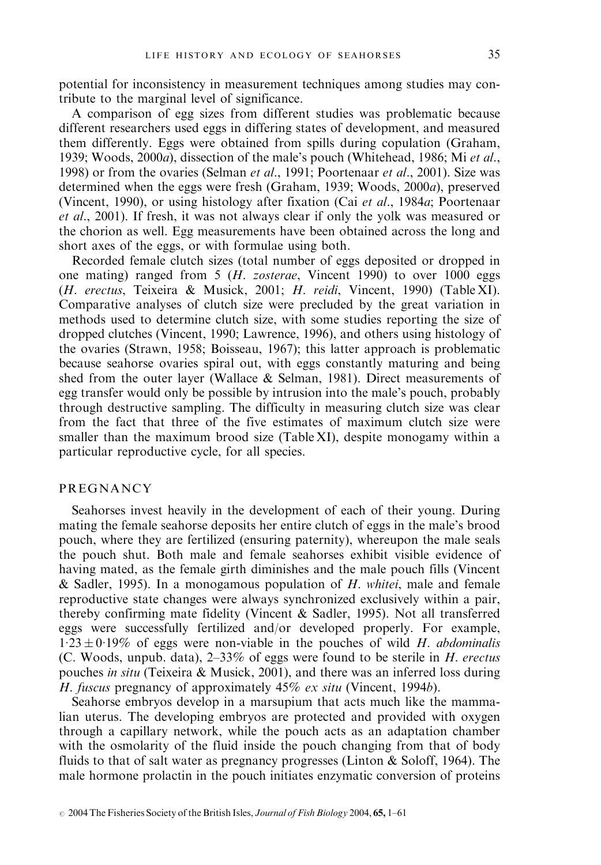potential for inconsistency in measurement techniques among studies may contribute to the marginal level of significance.

A comparison of egg sizes from different studies was problematic because different researchers used eggs in differing states of development, and measured them differently. Eggs were obtained from spills during copulation (Graham, 1939; Woods, 2000a), dissection of the male's pouch (Whitehead, 1986; Mi et al., 1998) or from the ovaries (Selman et al., 1991; Poortenaar et al., 2001). Size was determined when the eggs were fresh (Graham, 1939; Woods, 2000a), preserved (Vincent, 1990), or using histology after fixation (Cai et al., 1984a; Poortenaar et al., 2001). If fresh, it was not always clear if only the yolk was measured or the chorion as well. Egg measurements have been obtained across the long and short axes of the eggs, or with formulae using both.

Recorded female clutch sizes (total number of eggs deposited or dropped in one mating) ranged from 5 (H. zosterae, Vincent 1990) to over 1000 eggs (H. erectus, Teixeira & Musick, 2001; H. reidi, Vincent, 1990) (Table XI). Comparative analyses of clutch size were precluded by the great variation in methods used to determine clutch size, with some studies reporting the size of dropped clutches (Vincent, 1990; Lawrence, 1996), and others using histology of the ovaries (Strawn, 1958; Boisseau, 1967); this latter approach is problematic because seahorse ovaries spiral out, with eggs constantly maturing and being shed from the outer layer (Wallace & Selman, 1981). Direct measurements of egg transfer would only be possible by intrusion into the male's pouch, probably through destructive sampling. The difficulty in measuring clutch size was clear from the fact that three of the five estimates of maximum clutch size were smaller than the maximum brood size (Table XI), despite monogamy within a particular reproductive cycle, for all species.

## **PREGNANCY**

Seahorses invest heavily in the development of each of their young. During mating the female seahorse deposits her entire clutch of eggs in the male's brood pouch, where they are fertilized (ensuring paternity), whereupon the male seals the pouch shut. Both male and female seahorses exhibit visible evidence of having mated, as the female girth diminishes and the male pouch fills (Vincent & Sadler, 1995). In a monogamous population of  $H$ . whitei, male and female reproductive state changes were always synchronized exclusively within a pair, thereby confirming mate fidelity (Vincent & Sadler, 1995). Not all transferred eggs were successfully fertilized and/or developed properly. For example,  $1.23 \pm 0.19\%$  of eggs were non-viable in the pouches of wild H. abdominalis (C. Woods, unpub. data),  $2-33\%$  of eggs were found to be sterile in H. erectus pouches in situ (Teixeira & Musick, 2001), and there was an inferred loss during H. fuscus pregnancy of approximately 45% ex situ (Vincent, 1994b).

Seahorse embryos develop in a marsupium that acts much like the mammalian uterus. The developing embryos are protected and provided with oxygen through a capillary network, while the pouch acts as an adaptation chamber with the osmolarity of the fluid inside the pouch changing from that of body fluids to that of salt water as pregnancy progresses (Linton  $&$  Soloff, 1964). The male hormone prolactin in the pouch initiates enzymatic conversion of proteins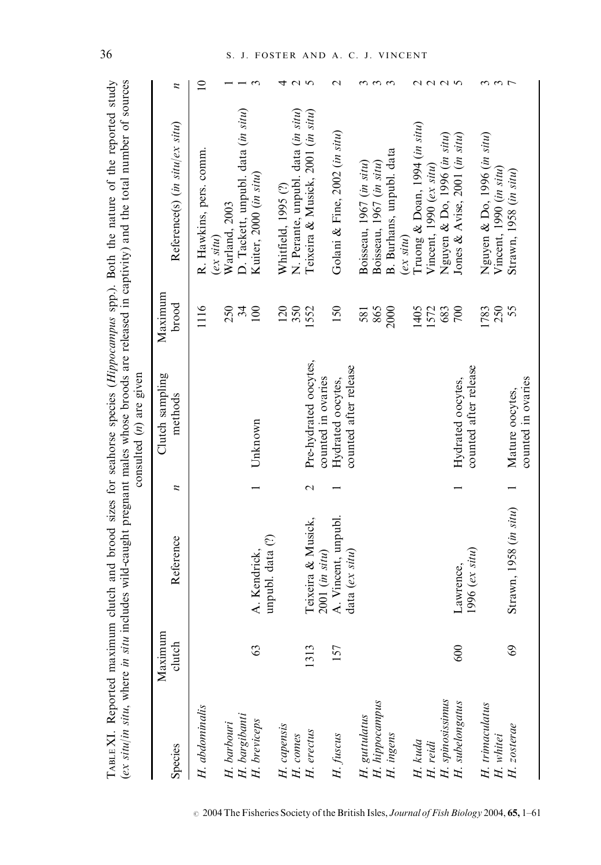| TABLE XI. Reported maximum          |                   |                                       |             | consulted $(n)$ are given                  |                  | (ex situ/in situ, where in situ includes wild-caught pregnant males whose broods are released in captivity) and the total number of sources<br>clutch and brood sizes for seahorse species $(Hippocampus$ spp.). Both the nature of the reported study |                   |
|-------------------------------------|-------------------|---------------------------------------|-------------|--------------------------------------------|------------------|--------------------------------------------------------------------------------------------------------------------------------------------------------------------------------------------------------------------------------------------------------|-------------------|
| Species                             | Maximum<br>clutch | Reference                             | z           | Clutch sampling<br>methods                 | Maximum<br>brood | Reference(s) (in situ/ex situ)                                                                                                                                                                                                                         | $\overline{z}$    |
| H. abdominalis                      |                   |                                       |             |                                            | 1116             | R. Hawkins, pers. comm<br>$(ex\, situ)$                                                                                                                                                                                                                | $\supseteq$       |
| H. barbouri<br>H. bargibanti        |                   |                                       |             |                                            | 250              | Warland, 2003                                                                                                                                                                                                                                          |                   |
|                                     |                   |                                       |             |                                            | 34               | D. Tackett, unpubl. data (in situ)                                                                                                                                                                                                                     |                   |
| H. breviceps                        | S                 | unpubl. data (?)<br>A. Kendrick,      |             | Unknown                                    | 100              | Kuiter, 2000 (in situ)                                                                                                                                                                                                                                 | $\epsilon$        |
| H. capensis                         |                   |                                       |             |                                            | 120              | Whitfield, 1995 (?)                                                                                                                                                                                                                                    | ↽                 |
| H. comes                            |                   |                                       |             |                                            | 350              | N. Perante, unpubl. data (in situ)                                                                                                                                                                                                                     | $\sim$ $\sim$     |
| $H.$ erectus                        | 1313              | Teixeira & Musick,                    | $\mathbf 2$ | Pre-hydrated oocytes,                      | 1552             | Teixeira & Musick, 2001 (in situ)                                                                                                                                                                                                                      |                   |
|                                     |                   | 2001 (in situ)                        |             | counted in ovaries                         |                  |                                                                                                                                                                                                                                                        |                   |
| H. fuscus                           | 157               | A. Vincent, unpubl.<br>data (ex situ) |             | counted after release<br>Hydrated oocytes, | 150              | Golani & Fine, 2002 (in situ)                                                                                                                                                                                                                          | $\mathrel{\sim}$  |
| H. guttulatus                       |                   |                                       |             |                                            | 581              | Boisseau, 1967 (in situ)                                                                                                                                                                                                                               | 3                 |
| H. hippocampus                      |                   |                                       |             |                                            | 865              | Boisseau, 1967 (in situ)                                                                                                                                                                                                                               | $\omega$ $\omega$ |
| H. ingens                           |                   |                                       |             |                                            | 2000             | B. Burhans, unpubl. data                                                                                                                                                                                                                               |                   |
|                                     |                   |                                       |             |                                            |                  | $(ex\,slim)$                                                                                                                                                                                                                                           |                   |
| H. kuda                             |                   |                                       |             |                                            | 1405             | Truong & Doan, 1994 (in situ)                                                                                                                                                                                                                          |                   |
| H. reidi                            |                   |                                       |             |                                            | 1572             | Vincent, 1990 $(ex\, situ)$                                                                                                                                                                                                                            | 2225              |
|                                     |                   |                                       |             |                                            | 683              | Nguyen & Do, 1996 (in situ)                                                                                                                                                                                                                            |                   |
| H. spinosissimus<br>H. subelongatus | 600               | $1996$ (ex situ)<br>Lawrence,         |             | counted after release<br>Hydrated oocytes, | 700              | Jones & Avise, 2001 (in situ)                                                                                                                                                                                                                          |                   |
| H. trimaculatus                     |                   |                                       |             |                                            | 1783             | Nguyen & Do, 1996 (in situ)                                                                                                                                                                                                                            | ო ო               |
| H. whitei                           |                   |                                       |             |                                            | 250              | Vincent, 1990 (in situ)                                                                                                                                                                                                                                |                   |
| H. zosterae                         | 69                | Strawn, 1958 (in situ)                |             | counted in ovaries<br>Mature oocytes,      | 55               | Strawn, 1958 (in situ)                                                                                                                                                                                                                                 | $\overline{ }$    |

## 36 S. J. FOSTER AND A. C. J. VINCENT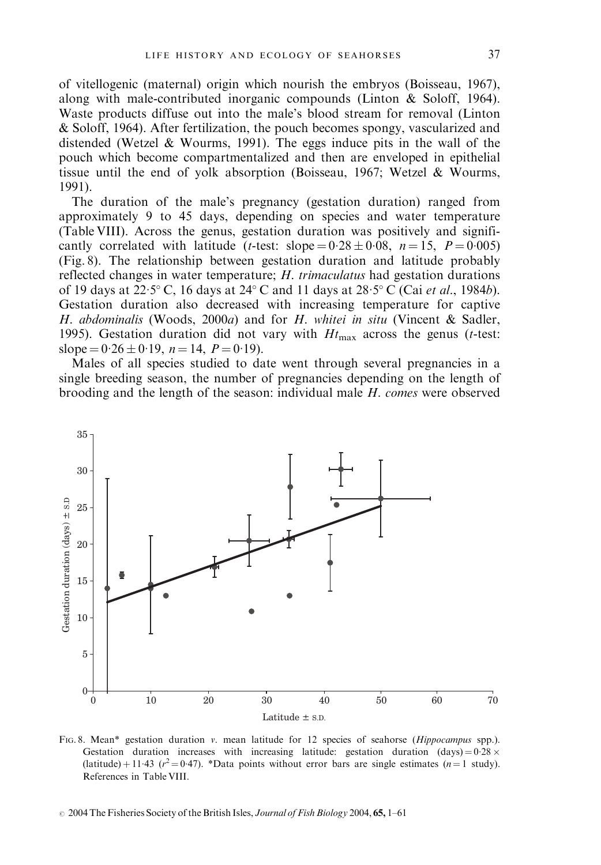of vitellogenic (maternal) origin which nourish the embryos (Boisseau, 1967), along with male-contributed inorganic compounds (Linton & Soloff, 1964). Waste products diffuse out into the male's blood stream for removal (Linton & Soloff, 1964). After fertilization, the pouch becomes spongy, vascularized and distended (Wetzel & Wourms, 1991). The eggs induce pits in the wall of the pouch which become compartmentalized and then are enveloped in epithelial tissue until the end of yolk absorption (Boisseau, 1967; Wetzel & Wourms, 1991).

The duration of the male's pregnancy (gestation duration) ranged from approximately 9 to 45 days, depending on species and water temperature (Table VIII). Across the genus, gestation duration was positively and significantly correlated with latitude (*t*-test: slope =  $0.28 \pm 0.08$ ,  $n = 15$ ,  $P = 0.005$ ) (Fig. 8). The relationship between gestation duration and latitude probably reflected changes in water temperature; H. trimaculatus had gestation durations of 19 days at  $22.5^{\circ}$  C, 16 days at  $24^{\circ}$  C and 11 days at  $28.5^{\circ}$  C (Cai *et al.*, 1984*b*). Gestation duration also decreased with increasing temperature for captive H. abdominalis (Woods, 2000a) and for H. whitei in situ (Vincent & Sadler, 1995). Gestation duration did not vary with  $Ht_{\text{max}}$  across the genus (*t*-test: slope =  $0.26 \pm 0.19$ ,  $n = 14$ ,  $P = 0.19$ ).

Males of all species studied to date went through several pregnancies in a single breeding season, the number of pregnancies depending on the length of brooding and the length of the season: individual male H. comes were observed



FIG. 8. Mean\* gestation duration v. mean latitude for 12 species of seahorse (Hippocampus spp.). Gestation duration increases with increasing latitude: gestation duration (days) =  $0.28 \times$ (latitude) + 11.43 ( $r^2 = 0.47$ ). \*Data points without error bars are single estimates ( $n = 1$  study). References in Table VIII.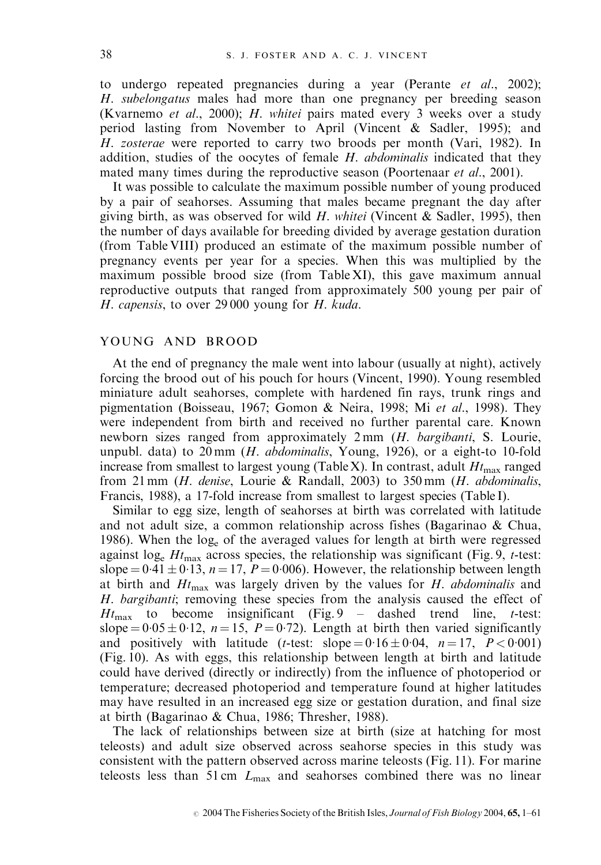to undergo repeated pregnancies during a year (Perante et al., 2002); H. subelongatus males had more than one pregnancy per breeding season (Kvarnemo et al., 2000); H. whitei pairs mated every 3 weeks over a study period lasting from November to April (Vincent & Sadler, 1995); and H. zosterae were reported to carry two broods per month (Vari, 1982). In addition, studies of the oocytes of female H. abdominalis indicated that they mated many times during the reproductive season (Poortenaar *et al.*, 2001).

It was possible to calculate the maximum possible number of young produced by a pair of seahorses. Assuming that males became pregnant the day after giving birth, as was observed for wild  $H$ . whitei (Vincent & Sadler, 1995), then the number of days available for breeding divided by average gestation duration (from Table VIII) produced an estimate of the maximum possible number of pregnancy events per year for a species. When this was multiplied by the maximum possible brood size (from Table XI), this gave maximum annual reproductive outputs that ranged from approximately 500 young per pair of H. capensis, to over 29 000 young for H. kuda.

#### YOUNG AND BROOD

At the end of pregnancy the male went into labour (usually at night), actively forcing the brood out of his pouch for hours (Vincent, 1990). Young resembled miniature adult seahorses, complete with hardened fin rays, trunk rings and pigmentation (Boisseau, 1967; Gomon & Neira, 1998; Mi et al., 1998). They were independent from birth and received no further parental care. Known newborn sizes ranged from approximately 2 mm (*H. bargibanti*, S. Lourie, unpubl. data) to 20 mm (H. abdominalis, Young, 1926), or a eight-to 10-fold increase from smallest to largest young (Table X). In contrast, adult  $H_{\text{tmax}}$  ranged from 21 mm ( $H$ . denise, Lourie & Randall, 2003) to 350 mm ( $H$ . abdominalis, Francis, 1988), a 17-fold increase from smallest to largest species (Table I).

Similar to egg size, length of seahorses at birth was correlated with latitude and not adult size, a common relationship across fishes (Bagarinao & Chua, 1986). When the loge of the averaged values for length at birth were regressed against  $log_e Ht_{\text{max}}$  across species, the relationship was significant (Fig. 9, t-test: slope =  $0.41 \pm 0.13$ ,  $n = 17$ ,  $P = 0.006$ ). However, the relationship between length at birth and  $H_{\text{max}}$  was largely driven by the values for H. abdominalis and H. bargibanti; removing these species from the analysis caused the effect of  $Ht_{\text{max}}$  to become insignificant (Fig. 9 – dashed trend line, t-test: slope =  $0.05 \pm 0.12$ , n = 15, P = 0.72). Length at birth then varied significantly and positively with latitude (*t*-test: slope =  $0.16 \pm 0.04$ ,  $n = 17$ ,  $P < 0.001$ ) (Fig. 10). As with eggs, this relationship between length at birth and latitude could have derived (directly or indirectly) from the influence of photoperiod or temperature; decreased photoperiod and temperature found at higher latitudes may have resulted in an increased egg size or gestation duration, and final size at birth (Bagarinao & Chua, 1986; Thresher, 1988).

The lack of relationships between size at birth (size at hatching for most teleosts) and adult size observed across seahorse species in this study was consistent with the pattern observed across marine teleosts (Fig. 11). For marine teleosts less than  $51 \text{ cm}$   $L_{\text{max}}$  and seahorses combined there was no linear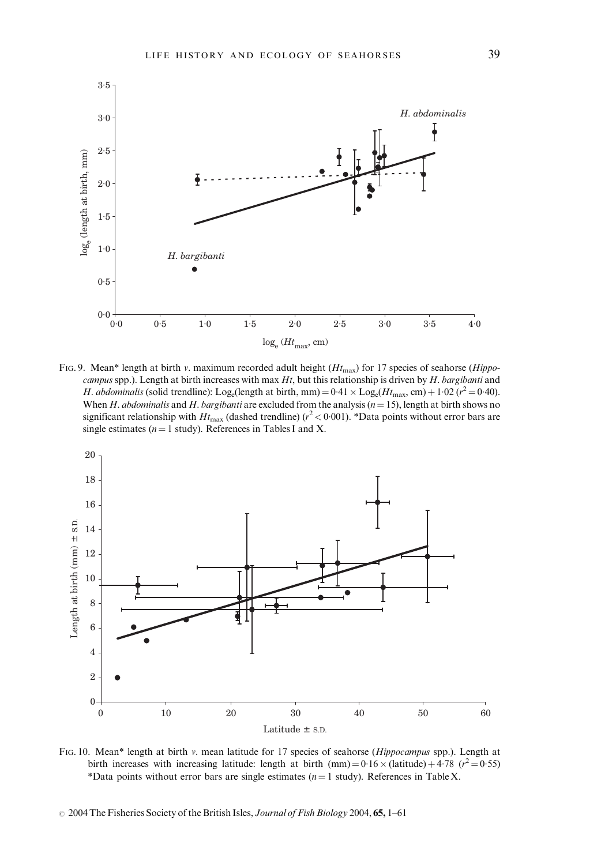

FIG. 9. Mean\* length at birth v. maximum recorded adult height ( $H_{\text{max}}$ ) for 17 species of seahorse (Hippocampus spp.). Length at birth increases with max  $Ht$ , but this relationship is driven by  $H$ . bargibanti and H. abdominalis (solid trendline): Log<sub>e</sub>(length at birth, mm) =  $0.41 \times$  Log<sub>e</sub>(Ht<sub>max</sub>, cm) + 1.02 ( $r^2$  = 0.40). When H. abdominalis and H. bargibanti are excluded from the analysis  $(n = 15)$ , length at birth shows no significant relationship with  $Ht_{\text{max}}$  (dashed trendline) ( $r^2$  < 0.001). \*Data points without error bars are single estimates ( $n = 1$  study). References in Tables I and X.



FIG. 10. Mean\* length at birth v. mean latitude for 17 species of seahorse (Hippocampus spp.). Length at birth increases with increasing latitude: length at birth  $(mm) = 0.16 \times (lattice) + 4.78$  ( $r^2 = 0.55$ ) \*Data points without error bars are single estimates ( $n = 1$  study). References in Table X.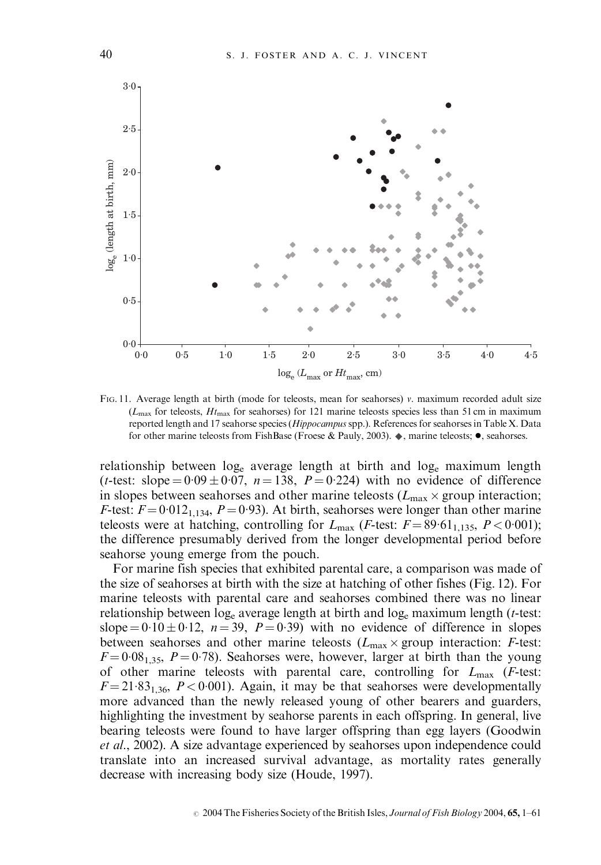

FIG. 11. Average length at birth (mode for teleosts, mean for seahorses) v. maximum recorded adult size  $(L_{\text{max}}$  for teleosts,  $Ht_{\text{max}}$  for seahorses) for 121 marine teleosts species less than 51 cm in maximum reported length and 17 seahorse species (Hippocampus spp.). References for seahorses in Table X. Data for other marine teleosts from FishBase (Froese & Pauly, 2003).  $\bullet$ , marine teleosts;  $\bullet$ , seahorses.

relationship between  $log_e$  average length at birth and  $log_e$  maximum length (*t*-test: slope =  $0.09 \pm 0.07$ ,  $n = 138$ ,  $P = 0.224$ ) with no evidence of difference in slopes between seahorses and other marine teleosts ( $L_{\text{max}} \times$  group interaction; *F*-test:  $F = 0.012_{1,134}$ ,  $P = 0.93$ ). At birth, seahorses were longer than other marine teleosts were at hatching, controlling for  $L_{\text{max}}$  (*F*-test:  $F = 89.61_{1,135}$ ,  $P < 0.001$ ); the difference presumably derived from the longer developmental period before seahorse young emerge from the pouch.

For marine fish species that exhibited parental care, a comparison was made of the size of seahorses at birth with the size at hatching of other fishes (Fig. 12). For marine teleosts with parental care and seahorses combined there was no linear relationship between  $log_e$  average length at birth and  $log_e$  maximum length (*t*-test: slope =  $0.10 \pm 0.12$ ,  $n = 39$ ,  $P = 0.39$ ) with no evidence of difference in slopes between seahorses and other marine teleosts ( $L_{\text{max}} \times \text{group interaction: } F\text{-test:}$  $F = 0.08<sub>1.35</sub>$ ,  $P = 0.78$ ). Seahorses were, however, larger at birth than the young of other marine teleosts with parental care, controlling for  $L_{\text{max}}$  (*F*-test:  $F = 21.83_{1,36}$ ,  $P < 0.001$ ). Again, it may be that seahorses were developmentally more advanced than the newly released young of other bearers and guarders, highlighting the investment by seahorse parents in each offspring. In general, live bearing teleosts were found to have larger offspring than egg layers (Goodwin et al., 2002). A size advantage experienced by seahorses upon independence could translate into an increased survival advantage, as mortality rates generally decrease with increasing body size (Houde, 1997).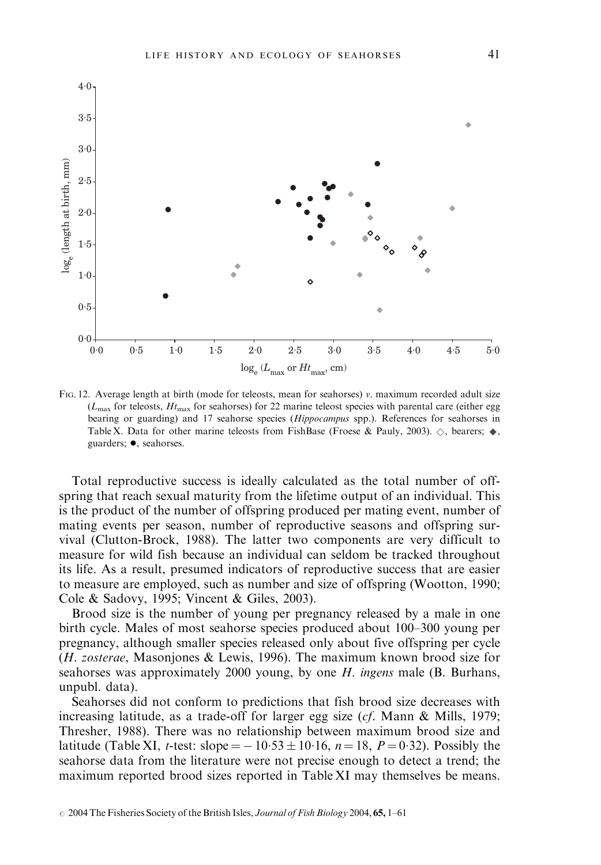

FIG. 12. Average length at birth (mode for teleosts, mean for seahorses) v. maximum recorded adult size  $(L_{\text{max}}$  for teleosts,  $H_{\text{max}}$  for seahorses) for 22 marine teleost species with parental care (either egg bearing or guarding) and 17 seahorse species (Hippocampus spp.). References for seahorses in Table X. Data for other marine teleosts from FishBase (Froese & Pauly, 2003).  $\diamondsuit$ , bearers;  $\blacklozenge$ , guarders;  $\bullet$ , seahorses.

Total reproductive success is ideally calculated as the total number of offspring that reach sexual maturity from the lifetime output of an individual. This is the product of the number of offspring produced per mating event, number of mating events per season, number of reproductive seasons and offspring survival (Clutton-Brock, 1988). The latter two components are very difficult to measure for wild fish because an individual can seldom be tracked throughout its life. As a result, presumed indicators of reproductive success that are easier to measure are employed, such as number and size of offspring (Wootton, 1990; Cole & Sadovy, 1995; Vincent & Giles, 2003).

Brood size is the number of young per pregnancy released by a male in one birth cycle. Males of most seahorse species produced about 100–300 young per pregnancy, although smaller species released only about five offspring per cycle (H. zosterae, Masonjones & Lewis, 1996). The maximum known brood size for seahorses was approximately 2000 young, by one H. ingens male (B. Burhans, unpubl. data).

Seahorses did not conform to predictions that fish brood size decreases with increasing latitude, as a trade-off for larger egg size (cf. Mann & Mills, 1979; Thresher, 1988). There was no relationship between maximum brood size and latitude (Table XI, *t*-test: slope =  $-10.53 \pm 10.16$ , *n* = 18, *P* = 0.32). Possibly the seahorse data from the literature were not precise enough to detect a trend; the maximum reported brood sizes reported in Table XI may themselves be means.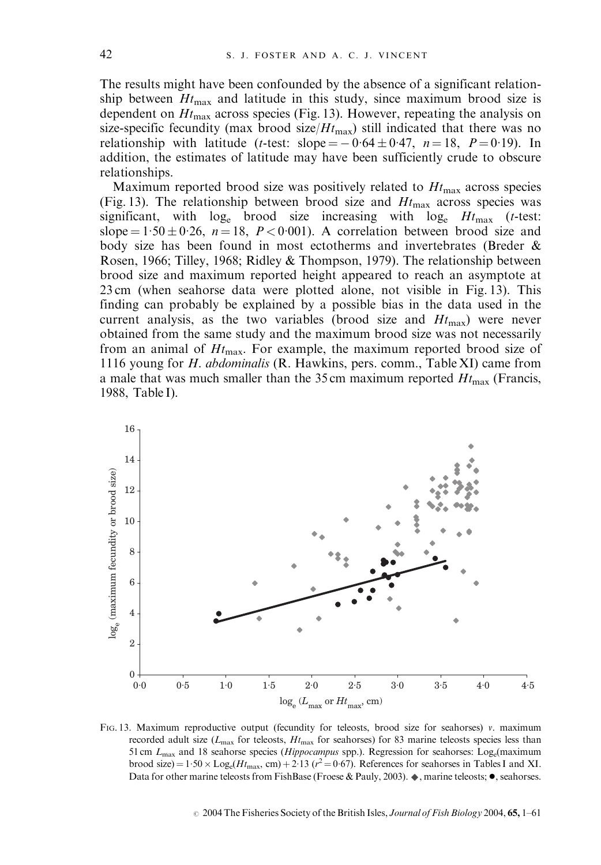The results might have been confounded by the absence of a significant relationship between  $Ht_{\text{max}}$  and latitude in this study, since maximum brood size is dependent on  $Ht_{\text{max}}$  across species (Fig. 13). However, repeating the analysis on size-specific fecundity (max brood size/ $Ht_{\text{max}}$ ) still indicated that there was no relationship with latitude (*t*-test: slope =  $-0.64 \pm 0.47$ , *n* = 18, *P* = 0.19). In addition, the estimates of latitude may have been sufficiently crude to obscure relationships.

Maximum reported brood size was positively related to  $Ht_{\text{max}}$  across species (Fig. 13). The relationship between brood size and  $Ht_{\text{max}}$  across species was significant, with  $log_e$  brood size increasing with  $log_e$   $Ht_{\text{max}}$  (*t*-test: slope =  $1.50 \pm 0.26$ , n = 18, P < 0.001). A correlation between brood size and body size has been found in most ectotherms and invertebrates (Breder & Rosen, 1966; Tilley, 1968; Ridley & Thompson, 1979). The relationship between brood size and maximum reported height appeared to reach an asymptote at 23 cm (when seahorse data were plotted alone, not visible in Fig. 13). This finding can probably be explained by a possible bias in the data used in the current analysis, as the two variables (brood size and  $Ht_{\text{max}}$ ) were never obtained from the same study and the maximum brood size was not necessarily from an animal of  $H_{\text{max}}$ . For example, the maximum reported brood size of 1116 young for H. abdominalis (R. Hawkins, pers. comm., Table XI) came from a male that was much smaller than the 35 cm maximum reported  $H_{\text{max}}$  (Francis, 1988, Table I).



FIG. 13. Maximum reproductive output (fecundity for teleosts, brood size for seahorses)  $v$ . maximum recorded adult size ( $L_{\text{max}}$  for teleosts,  $H_{\text{max}}$  for seahorses) for 83 marine teleosts species less than 51 cm  $L_{\text{max}}$  and 18 seahorse species (*Hippocampus* spp.). Regression for seahorses: Log<sub>e</sub>(maximum brood size) =  $1.50 \times$  Log<sub>e</sub>( $Ht_{\text{max}}$ , cm) + 2.13 ( $r^2$  = 0.67). References for seahorses in Tables I and XI. Data for other marine teleosts from FishBase (Froese & Pauly, 2003).  $\bullet$ , marine teleosts;  $\bullet$ , seahorses.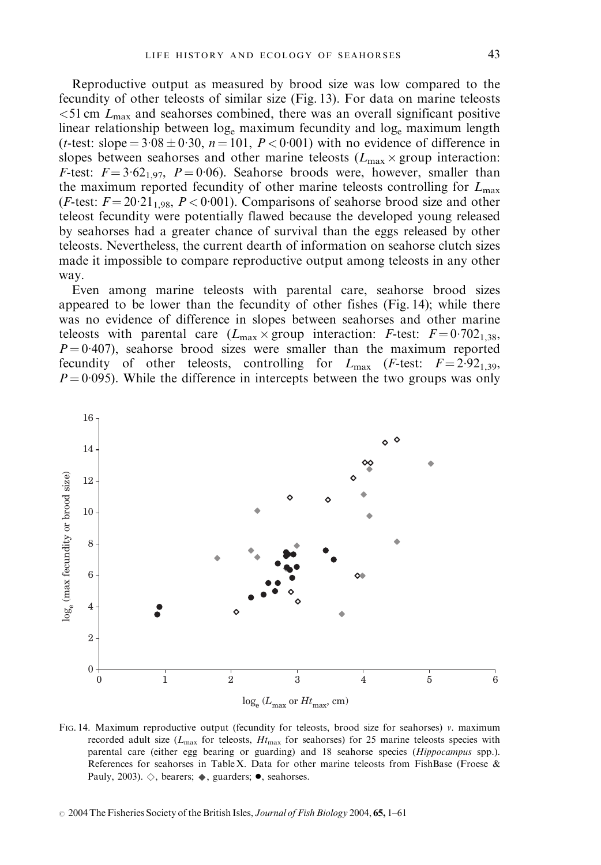Reproductive output as measured by brood size was low compared to the fecundity of other teleosts of similar size (Fig. 13). For data on marine teleosts  $<$ 51 cm  $L_{\text{max}}$  and seahorses combined, there was an overall significant positive linear relationship between log<sub>e</sub> maximum fecundity and log<sub>e</sub> maximum length (*t*-test: slope =  $3.08 \pm 0.30$ ,  $n = 101$ ,  $P < 0.001$ ) with no evidence of difference in slopes between seahorses and other marine teleosts ( $L_{\text{max}} \times \text{group interaction}$ : F-test:  $F = 3.62_{1.97}$ ,  $P = 0.06$ ). Seahorse broods were, however, smaller than the maximum reported fecundity of other marine teleosts controlling for  $L_{\text{max}}$ (F-test:  $F = 20.21_{1.98}$ ,  $P < 0.001$ ). Comparisons of seahorse brood size and other teleost fecundity were potentially flawed because the developed young released by seahorses had a greater chance of survival than the eggs released by other teleosts. Nevertheless, the current dearth of information on seahorse clutch sizes made it impossible to compare reproductive output among teleosts in any other way.

Even among marine teleosts with parental care, seahorse brood sizes appeared to be lower than the fecundity of other fishes (Fig. 14); while there was no evidence of difference in slopes between seahorses and other marine teleosts with parental care  $(L_{\text{max}} \times \text{group interaction: } F\text{-test: } F = 0.702_{1.38}$ ,  $P = 0.407$ , seahorse brood sizes were smaller than the maximum reported fecundity of other teleosts, controlling for  $L_{\text{max}}$  (*F*-test:  $F = 2.92_{1,39}$ ,  $P = 0.095$ ). While the difference in intercepts between the two groups was only



FIG. 14. Maximum reproductive output (fecundity for teleosts, brood size for seahorses) v. maximum recorded adult size ( $L_{\text{max}}$  for teleosts,  $Ht_{\text{max}}$  for seahorses) for 25 marine teleosts species with parental care (either egg bearing or guarding) and 18 seahorse species (Hippocampus spp.). References for seahorses in Table X. Data for other marine teleosts from FishBase (Froese & Pauly, 2003).  $\diamondsuit$ , bearers;  $\blacklozenge$ , guarders;  $\blacklozenge$ , seahorses.

 $\odot$  2004 The Fisheries Society of the British Isles, *Journal of Fish Biology* 2004, 65, 1–61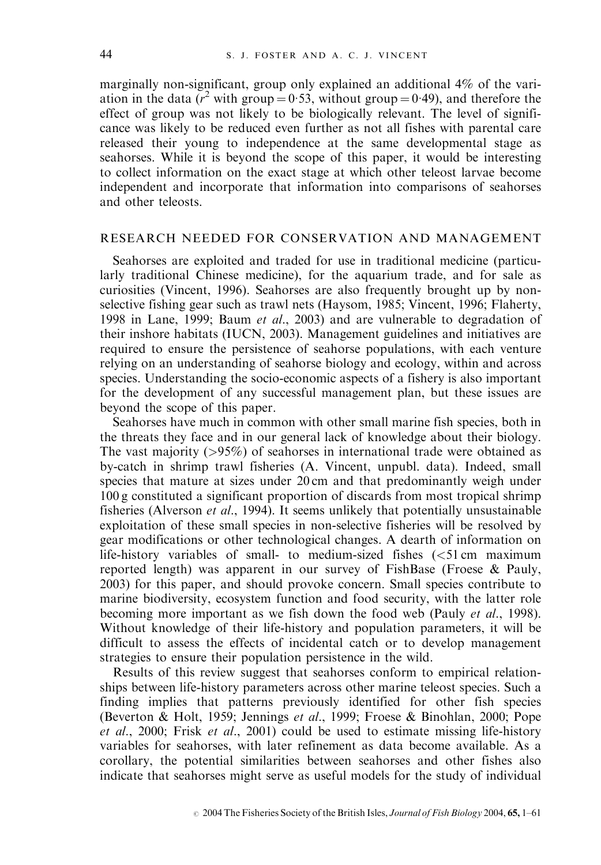marginally non-significant, group only explained an additional 4% of the variation in the data ( $r^2$  with group = 0.53, without group = 0.49), and therefore the effect of group was not likely to be biologically relevant. The level of significance was likely to be reduced even further as not all fishes with parental care released their young to independence at the same developmental stage as seahorses. While it is beyond the scope of this paper, it would be interesting to collect information on the exact stage at which other teleost larvae become independent and incorporate that information into comparisons of seahorses and other teleosts.

### RESEARCH NEEDED FOR CONSERVATION AND MANAGEMENT

Seahorses are exploited and traded for use in traditional medicine (particularly traditional Chinese medicine), for the aquarium trade, and for sale as curiosities (Vincent, 1996). Seahorses are also frequently brought up by nonselective fishing gear such as trawl nets (Haysom, 1985; Vincent, 1996; Flaherty, 1998 in Lane, 1999; Baum et al., 2003) and are vulnerable to degradation of their inshore habitats (IUCN, 2003). Management guidelines and initiatives are required to ensure the persistence of seahorse populations, with each venture relying on an understanding of seahorse biology and ecology, within and across species. Understanding the socio-economic aspects of a fishery is also important for the development of any successful management plan, but these issues are beyond the scope of this paper.

Seahorses have much in common with other small marine fish species, both in the threats they face and in our general lack of knowledge about their biology. The vast majority  $(>\frac{95\%}{0}$  of seahorses in international trade were obtained as by-catch in shrimp trawl fisheries (A. Vincent, unpubl. data). Indeed, small species that mature at sizes under 20 cm and that predominantly weigh under 100 g constituted a significant proportion of discards from most tropical shrimp fisheries (Alverson et al., 1994). It seems unlikely that potentially unsustainable exploitation of these small species in non-selective fisheries will be resolved by gear modifications or other technological changes. A dearth of information on life-history variables of small- to medium-sized fishes  $\left( \langle 51 \text{ cm} \rangle \right)$  maximum reported length) was apparent in our survey of FishBase (Froese & Pauly, 2003) for this paper, and should provoke concern. Small species contribute to marine biodiversity, ecosystem function and food security, with the latter role becoming more important as we fish down the food web (Pauly et al., 1998). Without knowledge of their life-history and population parameters, it will be difficult to assess the effects of incidental catch or to develop management strategies to ensure their population persistence in the wild.

Results of this review suggest that seahorses conform to empirical relationships between life-history parameters across other marine teleost species. Such a finding implies that patterns previously identified for other fish species (Beverton & Holt, 1959; Jennings et al., 1999; Froese & Binohlan, 2000; Pope et al., 2000; Frisk et al., 2001) could be used to estimate missing life-history variables for seahorses, with later refinement as data become available. As a corollary, the potential similarities between seahorses and other fishes also indicate that seahorses might serve as useful models for the study of individual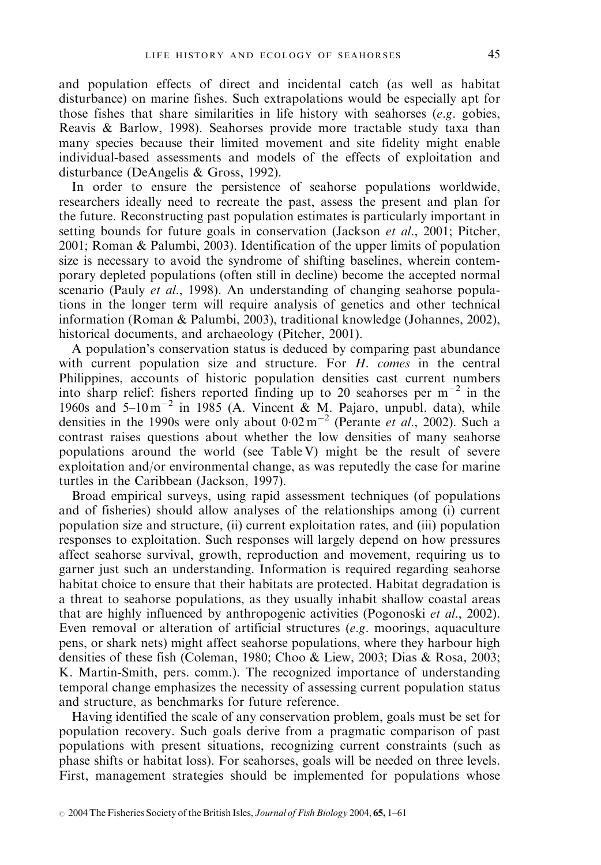and population effects of direct and incidental catch (as well as habitat disturbance) on marine fishes. Such extrapolations would be especially apt for those fishes that share similarities in life history with seahorses  $(e.g.$  gobies, Reavis & Barlow, 1998). Seahorses provide more tractable study taxa than many species because their limited movement and site fidelity might enable individual-based assessments and models of the effects of exploitation and disturbance (DeAngelis & Gross, 1992).

In order to ensure the persistence of seahorse populations worldwide, researchers ideally need to recreate the past, assess the present and plan for the future. Reconstructing past population estimates is particularly important in setting bounds for future goals in conservation (Jackson et al., 2001; Pitcher, 2001; Roman & Palumbi, 2003). Identification of the upper limits of population size is necessary to avoid the syndrome of shifting baselines, wherein contemporary depleted populations (often still in decline) become the accepted normal scenario (Pauly *et al.*, 1998). An understanding of changing seahorse populations in the longer term will require analysis of genetics and other technical information (Roman & Palumbi, 2003), traditional knowledge (Johannes, 2002), historical documents, and archaeology (Pitcher, 2001).

A population's conservation status is deduced by comparing past abundance with current population size and structure. For H. comes in the central Philippines, accounts of historic population densities cast current numbers into sharp relief: fishers reported finding up to 20 seahorses per  $m^{-2}$  in the 1960s and  $5-10 \text{ m}^{-2}$  in 1985 (A. Vincent & M. Pajaro, unpubl. data), while densities in the 1990s were only about  $0.02 \text{ m}^{-2}$  (Perante *et al.*, 2002). Such a contrast raises questions about whether the low densities of many seahorse populations around the world (see Table V) might be the result of severe exploitation and/or environmental change, as was reputedly the case for marine turtles in the Caribbean (Jackson, 1997).

Broad empirical surveys, using rapid assessment techniques (of populations and of fisheries) should allow analyses of the relationships among (i) current population size and structure, (ii) current exploitation rates, and (iii) population responses to exploitation. Such responses will largely depend on how pressures affect seahorse survival, growth, reproduction and movement, requiring us to garner just such an understanding. Information is required regarding seahorse habitat choice to ensure that their habitats are protected. Habitat degradation is a threat to seahorse populations, as they usually inhabit shallow coastal areas that are highly influenced by anthropogenic activities (Pogonoski et al., 2002). Even removal or alteration of artificial structures (e.g. moorings, aquaculture pens, or shark nets) might affect seahorse populations, where they harbour high densities of these fish (Coleman, 1980; Choo & Liew, 2003; Dias & Rosa, 2003; K. Martin-Smith, pers. comm.). The recognized importance of understanding temporal change emphasizes the necessity of assessing current population status and structure, as benchmarks for future reference.

Having identified the scale of any conservation problem, goals must be set for population recovery. Such goals derive from a pragmatic comparison of past populations with present situations, recognizing current constraints (such as phase shifts or habitat loss). For seahorses, goals will be needed on three levels. First, management strategies should be implemented for populations whose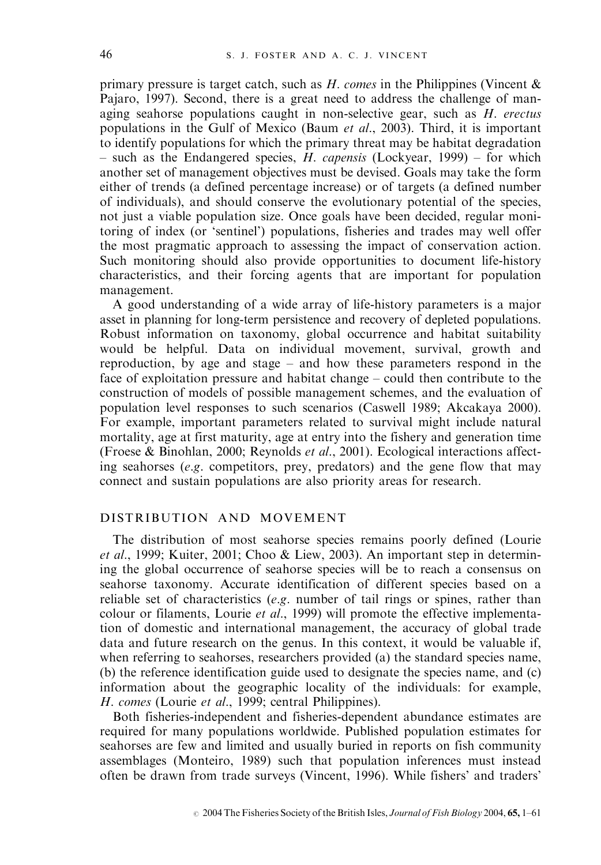primary pressure is target catch, such as  $H$ . comes in the Philippines (Vincent  $\&$ Pajaro, 1997). Second, there is a great need to address the challenge of managing seahorse populations caught in non-selective gear, such as  $H$ . erectus populations in the Gulf of Mexico (Baum et al., 2003). Third, it is important to identify populations for which the primary threat may be habitat degradation – such as the Endangered species,  $H$ . *capensis* (Lockyear, 1999) – for which another set of management objectives must be devised. Goals may take the form either of trends (a defined percentage increase) or of targets (a defined number of individuals), and should conserve the evolutionary potential of the species, not just a viable population size. Once goals have been decided, regular monitoring of index (or 'sentinel') populations, fisheries and trades may well offer the most pragmatic approach to assessing the impact of conservation action. Such monitoring should also provide opportunities to document life-history characteristics, and their forcing agents that are important for population management.

A good understanding of a wide array of life-history parameters is a major asset in planning for long-term persistence and recovery of depleted populations. Robust information on taxonomy, global occurrence and habitat suitability would be helpful. Data on individual movement, survival, growth and reproduction, by age and stage – and how these parameters respond in the face of exploitation pressure and habitat change – could then contribute to the construction of models of possible management schemes, and the evaluation of population level responses to such scenarios (Caswell 1989; Akcakaya 2000). For example, important parameters related to survival might include natural mortality, age at first maturity, age at entry into the fishery and generation time (Froese & Binohlan, 2000; Reynolds et al., 2001). Ecological interactions affecting seahorses ( $e.g.$  competitors, prey, predators) and the gene flow that may connect and sustain populations are also priority areas for research.

## DISTRIBUTION AND MOVEMENT

The distribution of most seahorse species remains poorly defined (Lourie et al., 1999; Kuiter, 2001; Choo & Liew, 2003). An important step in determining the global occurrence of seahorse species will be to reach a consensus on seahorse taxonomy. Accurate identification of different species based on a reliable set of characteristics (e.g. number of tail rings or spines, rather than colour or filaments, Lourie et al., 1999) will promote the effective implementation of domestic and international management, the accuracy of global trade data and future research on the genus. In this context, it would be valuable if, when referring to seahorses, researchers provided (a) the standard species name, (b) the reference identification guide used to designate the species name, and (c) information about the geographic locality of the individuals: for example, H. comes (Lourie et al., 1999; central Philippines).

Both fisheries-independent and fisheries-dependent abundance estimates are required for many populations worldwide. Published population estimates for seahorses are few and limited and usually buried in reports on fish community assemblages (Monteiro, 1989) such that population inferences must instead often be drawn from trade surveys (Vincent, 1996). While fishers' and traders'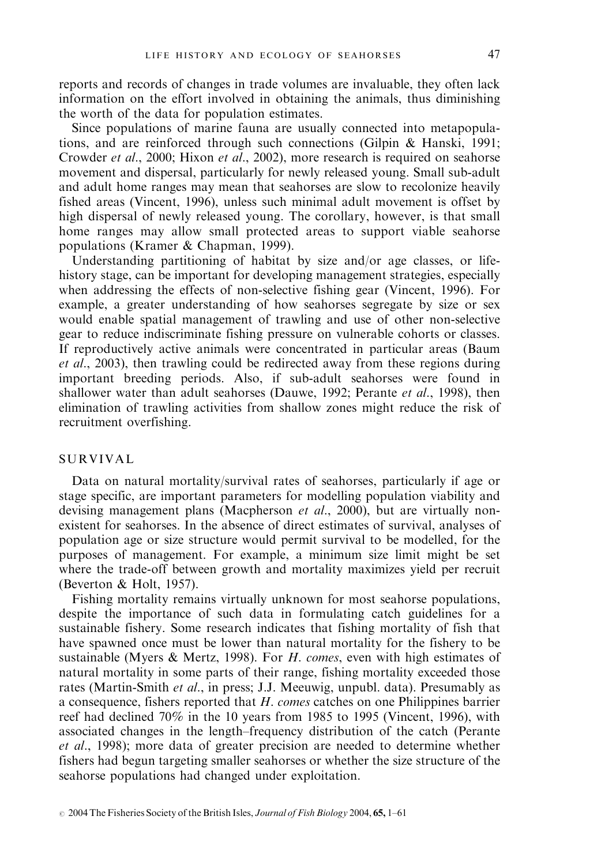reports and records of changes in trade volumes are invaluable, they often lack information on the effort involved in obtaining the animals, thus diminishing the worth of the data for population estimates.

Since populations of marine fauna are usually connected into metapopulations, and are reinforced through such connections (Gilpin & Hanski, 1991; Crowder et al., 2000; Hixon et al., 2002), more research is required on seahorse movement and dispersal, particularly for newly released young. Small sub-adult and adult home ranges may mean that seahorses are slow to recolonize heavily fished areas (Vincent, 1996), unless such minimal adult movement is offset by high dispersal of newly released young. The corollary, however, is that small home ranges may allow small protected areas to support viable seahorse populations (Kramer & Chapman, 1999).

Understanding partitioning of habitat by size and/or age classes, or lifehistory stage, can be important for developing management strategies, especially when addressing the effects of non-selective fishing gear (Vincent, 1996). For example, a greater understanding of how seahorses segregate by size or sex would enable spatial management of trawling and use of other non-selective gear to reduce indiscriminate fishing pressure on vulnerable cohorts or classes. If reproductively active animals were concentrated in particular areas (Baum et al., 2003), then trawling could be redirected away from these regions during important breeding periods. Also, if sub-adult seahorses were found in shallower water than adult seahorses (Dauwe, 1992; Perante *et al.*, 1998), then elimination of trawling activities from shallow zones might reduce the risk of recruitment overfishing.

#### SURVIVAL

Data on natural mortality/survival rates of seahorses, particularly if age or stage specific, are important parameters for modelling population viability and devising management plans (Macpherson *et al.*, 2000), but are virtually nonexistent for seahorses. In the absence of direct estimates of survival, analyses of population age or size structure would permit survival to be modelled, for the purposes of management. For example, a minimum size limit might be set where the trade-off between growth and mortality maximizes yield per recruit (Beverton & Holt, 1957).

Fishing mortality remains virtually unknown for most seahorse populations, despite the importance of such data in formulating catch guidelines for a sustainable fishery. Some research indicates that fishing mortality of fish that have spawned once must be lower than natural mortality for the fishery to be sustainable (Myers & Mertz, 1998). For *H. comes*, even with high estimates of natural mortality in some parts of their range, fishing mortality exceeded those rates (Martin-Smith et al., in press; J.J. Meeuwig, unpubl. data). Presumably as a consequence, fishers reported that H. comes catches on one Philippines barrier reef had declined 70% in the 10 years from 1985 to 1995 (Vincent, 1996), with associated changes in the length–frequency distribution of the catch (Perante et al., 1998); more data of greater precision are needed to determine whether fishers had begun targeting smaller seahorses or whether the size structure of the seahorse populations had changed under exploitation.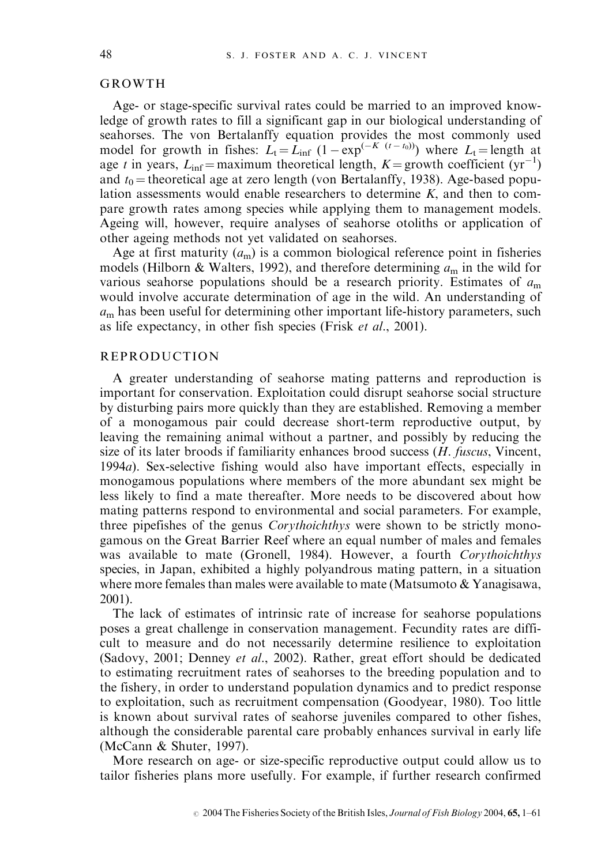#### GROWTH

Age- or stage-specific survival rates could be married to an improved knowledge of growth rates to fill a significant gap in our biological understanding of seahorses. The von Bertalanffy equation provides the most commonly used model for growth in fishes:  $L_t = L_{inf} (1 - \exp^{(-K (t - t_0))})$  where  $L_t =$  length at age t in years,  $L_{\text{inf}} = \text{maximum}$  theoretical length,  $K = \text{growth coefficient (yr}^{-1})$ and  $t_0$  = theoretical age at zero length (von Bertalanffy, 1938). Age-based population assessments would enable researchers to determine  $K$ , and then to compare growth rates among species while applying them to management models. Ageing will, however, require analyses of seahorse otoliths or application of other ageing methods not yet validated on seahorses.

Age at first maturity  $(a_m)$  is a common biological reference point in fisheries models (Hilborn & Walters, 1992), and therefore determining  $a_m$  in the wild for various seahorse populations should be a research priority. Estimates of  $a<sub>m</sub>$ would involve accurate determination of age in the wild. An understanding of  $a<sub>m</sub>$  has been useful for determining other important life-history parameters, such as life expectancy, in other fish species (Frisk et al., 2001).

## REPRODUCTION

A greater understanding of seahorse mating patterns and reproduction is important for conservation. Exploitation could disrupt seahorse social structure by disturbing pairs more quickly than they are established. Removing a member of a monogamous pair could decrease short-term reproductive output, by leaving the remaining animal without a partner, and possibly by reducing the size of its later broods if familiarity enhances brood success  $(H.$  fuscus, Vincent, 1994a). Sex-selective fishing would also have important effects, especially in monogamous populations where members of the more abundant sex might be less likely to find a mate thereafter. More needs to be discovered about how mating patterns respond to environmental and social parameters. For example, three pipefishes of the genus *Corythoichthys* were shown to be strictly monogamous on the Great Barrier Reef where an equal number of males and females was available to mate (Gronell, 1984). However, a fourth Corythoichthys species, in Japan, exhibited a highly polyandrous mating pattern, in a situation where more females than males were available to mate (Matsumoto  $\&$  Yanagisawa, 2001).

The lack of estimates of intrinsic rate of increase for seahorse populations poses a great challenge in conservation management. Fecundity rates are difficult to measure and do not necessarily determine resilience to exploitation (Sadovy, 2001; Denney et al., 2002). Rather, great effort should be dedicated to estimating recruitment rates of seahorses to the breeding population and to the fishery, in order to understand population dynamics and to predict response to exploitation, such as recruitment compensation (Goodyear, 1980). Too little is known about survival rates of seahorse juveniles compared to other fishes, although the considerable parental care probably enhances survival in early life (McCann & Shuter, 1997).

More research on age- or size-specific reproductive output could allow us to tailor fisheries plans more usefully. For example, if further research confirmed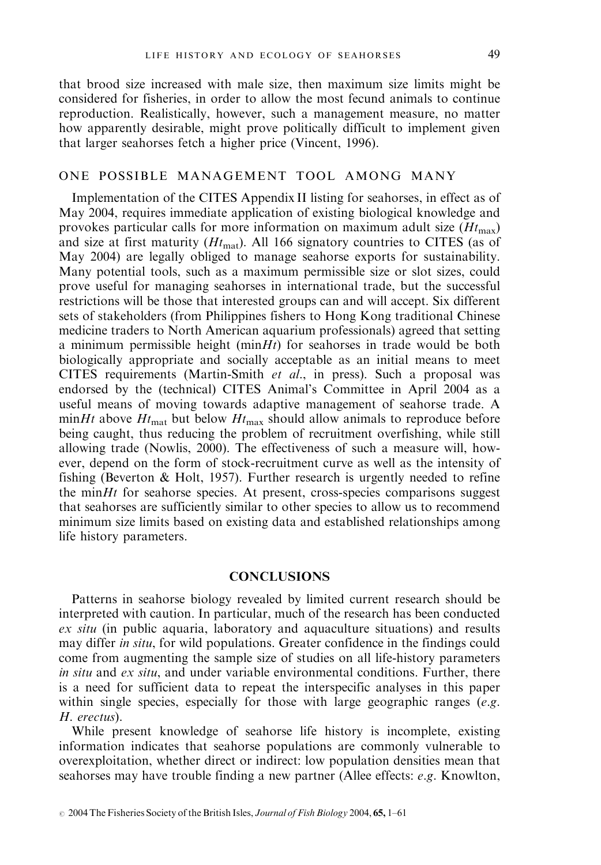that brood size increased with male size, then maximum size limits might be considered for fisheries, in order to allow the most fecund animals to continue reproduction. Realistically, however, such a management measure, no matter how apparently desirable, might prove politically difficult to implement given that larger seahorses fetch a higher price (Vincent, 1996).

#### ONE POSSIBLE MANAGEMENT TOOL AMONG MANY

Implementation of the CITES Appendix II listing for seahorses, in effect as of May 2004, requires immediate application of existing biological knowledge and provokes particular calls for more information on maximum adult size  $(Ht<sub>max</sub>)$ and size at first maturity  $(Ht_{\text{mat}})$ . All 166 signatory countries to CITES (as of May 2004) are legally obliged to manage seahorse exports for sustainability. Many potential tools, such as a maximum permissible size or slot sizes, could prove useful for managing seahorses in international trade, but the successful restrictions will be those that interested groups can and will accept. Six different sets of stakeholders (from Philippines fishers to Hong Kong traditional Chinese medicine traders to North American aquarium professionals) agreed that setting a minimum permissible height  $(\min Ht)$  for seahorses in trade would be both biologically appropriate and socially acceptable as an initial means to meet CITES requirements (Martin-Smith et al., in press). Such a proposal was endorsed by the (technical) CITES Animal's Committee in April 2004 as a useful means of moving towards adaptive management of seahorse trade. A minHt above  $Ht_{\text{mat}}$  but below  $Ht_{\text{max}}$  should allow animals to reproduce before being caught, thus reducing the problem of recruitment overfishing, while still allowing trade (Nowlis, 2000). The effectiveness of such a measure will, however, depend on the form of stock-recruitment curve as well as the intensity of fishing (Beverton & Holt, 1957). Further research is urgently needed to refine the  $minHt$  for seahorse species. At present, cross-species comparisons suggest that seahorses are sufficiently similar to other species to allow us to recommend minimum size limits based on existing data and established relationships among life history parameters.

### **CONCLUSIONS**

Patterns in seahorse biology revealed by limited current research should be interpreted with caution. In particular, much of the research has been conducted ex situ (in public aquaria, laboratory and aquaculture situations) and results may differ *in situ*, for wild populations. Greater confidence in the findings could come from augmenting the sample size of studies on all life-history parameters in situ and  $ex\ situ$ , and under variable environmental conditions. Further, there is a need for sufficient data to repeat the interspecific analyses in this paper within single species, especially for those with large geographic ranges  $(e.g.,)$ H. erectus).

While present knowledge of seahorse life history is incomplete, existing information indicates that seahorse populations are commonly vulnerable to overexploitation, whether direct or indirect: low population densities mean that seahorses may have trouble finding a new partner (Allee effects: e.g. Knowlton,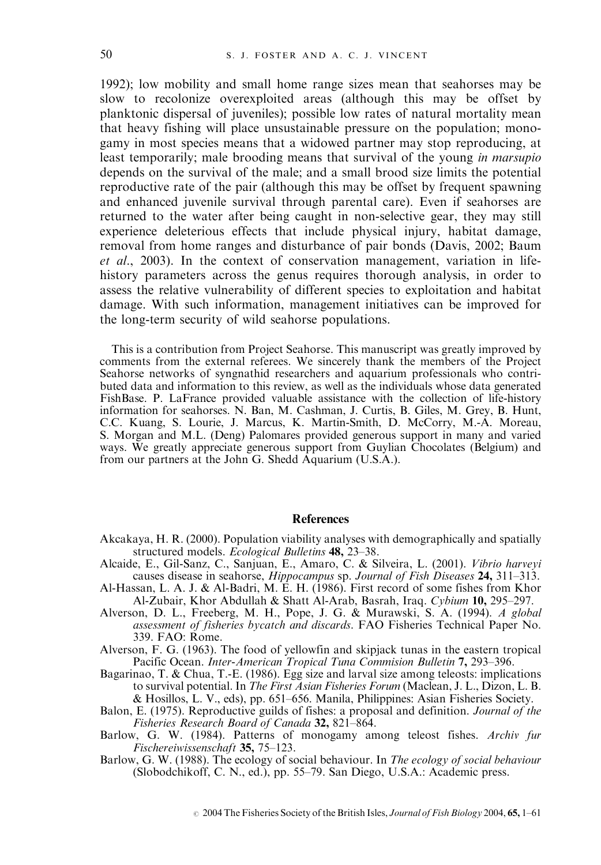1992); low mobility and small home range sizes mean that seahorses may be slow to recolonize overexploited areas (although this may be offset by planktonic dispersal of juveniles); possible low rates of natural mortality mean that heavy fishing will place unsustainable pressure on the population; monogamy in most species means that a widowed partner may stop reproducing, at least temporarily; male brooding means that survival of the young *in marsupio* depends on the survival of the male; and a small brood size limits the potential reproductive rate of the pair (although this may be offset by frequent spawning and enhanced juvenile survival through parental care). Even if seahorses are returned to the water after being caught in non-selective gear, they may still experience deleterious effects that include physical injury, habitat damage, removal from home ranges and disturbance of pair bonds (Davis, 2002; Baum et al., 2003). In the context of conservation management, variation in lifehistory parameters across the genus requires thorough analysis, in order to assess the relative vulnerability of different species to exploitation and habitat damage. With such information, management initiatives can be improved for the long-term security of wild seahorse populations.

This is a contribution from Project Seahorse. This manuscript was greatly improved by comments from the external referees. We sincerely thank the members of the Project Seahorse networks of syngnathid researchers and aquarium professionals who contributed data and information to this review, as well as the individuals whose data generated FishBase. P. LaFrance provided valuable assistance with the collection of life-history information for seahorses. N. Ban, M. Cashman, J. Curtis, B. Giles, M. Grey, B. Hunt, C.C. Kuang, S. Lourie, J. Marcus, K. Martin-Smith, D. McCorry, M.-A. Moreau, S. Morgan and M.L. (Deng) Palomares provided generous support in many and varied ways. We greatly appreciate generous support from Guylian Chocolates (Belgium) and from our partners at the John G. Shedd Aquarium (U.S.A.).

#### **References**

- Akcakaya, H. R. (2000). Population viability analyses with demographically and spatially structured models. Ecological Bulletins 48, 23–38.
- Alcaide, E., Gil-Sanz, C., Sanjuan, E., Amaro, C. & Silveira, L. (2001). Vibrio harveyi causes disease in seahorse, Hippocampus sp. Journal of Fish Diseases 24, 311-313.
- Al-Hassan, L. A. J. & Al-Badri, M. E. H. (1986). First record of some fishes from Khor Al-Zubair, Khor Abdullah & Shatt Al-Arab, Basrah, Iraq. Cybium 10, 295–297.
- Alverson, D. L., Freeberg, M. H., Pope, J. G. & Murawski, S. A. (1994). A global assessment of fisheries bycatch and discards. FAO Fisheries Technical Paper No. 339. FAO: Rome.
- Alverson, F. G. (1963). The food of yellowfin and skipjack tunas in the eastern tropical Pacific Ocean. Inter-American Tropical Tuna Commision Bulletin 7, 293–396.
- Bagarinao, T. & Chua, T.-E. (1986). Egg size and larval size among teleosts: implications to survival potential. In The First Asian Fisheries Forum (Maclean, J. L., Dizon, L. B. & Hosillos, L. V., eds), pp. 651–656. Manila, Philippines: Asian Fisheries Society.
- Balon, E. (1975). Reproductive guilds of fishes: a proposal and definition. Journal of the Fisheries Research Board of Canada 32, 821–864.
- Barlow, G. W. (1984). Patterns of monogamy among teleost fishes. Archiv fur Fischereiwissenschaft 35, 75–123.
- Barlow, G. W. (1988). The ecology of social behaviour. In The ecology of social behaviour (Slobodchikoff, C. N., ed.), pp. 55–79. San Diego, U.S.A.: Academic press.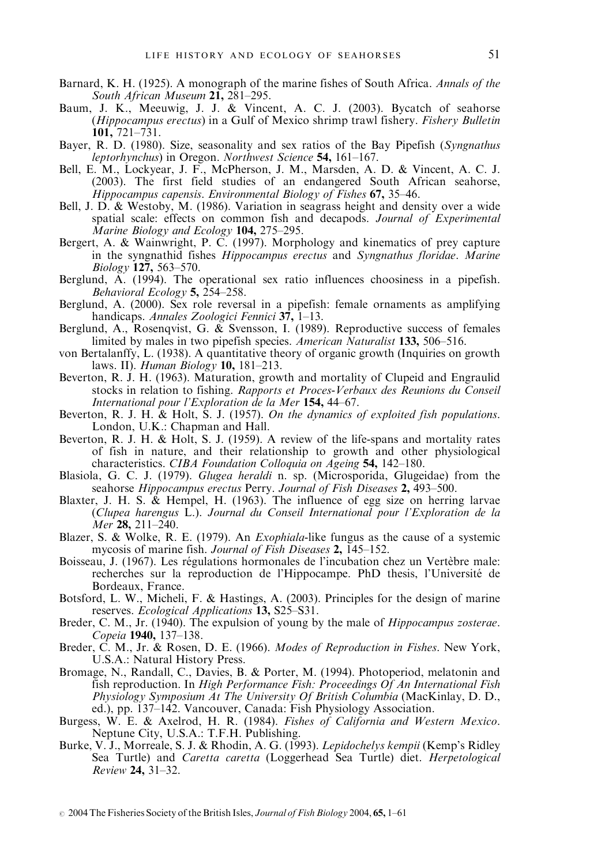- Barnard, K. H. (1925). A monograph of the marine fishes of South Africa. Annals of the South African Museum 21, 281-295.
- Baum, J. K., Meeuwig, J. J. & Vincent, A. C. J. (2003). Bycatch of seahorse (Hippocampus erectus) in a Gulf of Mexico shrimp trawl fishery. Fishery Bulletin 101, 721–731.
- Bayer, R. D. (1980). Size, seasonality and sex ratios of the Bay Pipefish (Syngnathus leptorhynchus) in Oregon. Northwest Science 54, 161-167.
- Bell, E. M., Lockyear, J. F., McPherson, J. M., Marsden, A. D. & Vincent, A. C. J. (2003). The first field studies of an endangered South African seahorse, Hippocampus capensis. Environmental Biology of Fishes  $67$ , 35-46.
- Bell, J. D. & Westoby, M. (1986). Variation in seagrass height and density over a wide spatial scale: effects on common fish and decapods. Journal of Experimental Marine Biology and Ecology  $104$ ,  $275-295$ .
- Bergert, A. & Wainwright, P. C. (1997). Morphology and kinematics of prey capture in the syngnathid fishes Hippocampus erectus and Syngnathus floridae. Marine  $Biology 127, 563 - 570.$
- Berglund, A. (1994). The operational sex ratio influences choosiness in a pipefish. Behavioral Ecology  $5, 254-258$ .
- Berglund, A. (2000). Sex role reversal in a pipefish: female ornaments as amplifying handicaps. Annales Zoologici Fennici  $37, 1-13$ .
- Berglund, A., Rosenqvist, G. & Svensson, I. (1989). Reproductive success of females limited by males in two pipefish species. American Naturalist 133, 506–516.
- von Bertalanffy, L. (1938). A quantitative theory of organic growth (Inquiries on growth laws. II). Human Biology 10, 181-213.
- Beverton, R. J. H. (1963). Maturation, growth and mortality of Clupeid and Engraulid stocks in relation to fishing. Rapports et Proces-Verbaux des Reunions du Conseil International pour l'Exploration de la Mer  $154, 44-67$ .
- Beverton, R. J. H.  $\&$  Holt, S. J. (1957). On the dynamics of exploited fish populations. London, U.K.: Chapman and Hall.
- Beverton, R. J. H. & Holt, S. J. (1959). A review of the life-spans and mortality rates of fish in nature, and their relationship to growth and other physiological characteristics. CIBA Foundation Colloquia on Ageing 54, 142–180.
- Blasiola, G. C. J. (1979). Glugea heraldi n. sp. (Microsporida, Glugeidae) from the seahorse Hippocampus erectus Perry. Journal of Fish Diseases 2, 493-500.
- Blaxter, J. H. S. & Hempel, H. (1963). The influence of egg size on herring larvae (Clupea harengus L.). Journal du Conseil International pour l'Exploration de la  $\overline{Mer}$  **28**, 211–240.
- Blazer, S. & Wolke, R. E. (1979). An Exophiala-like fungus as the cause of a systemic mycosis of marine fish. Journal of Fish Diseases 2,  $\overline{1}45-152$ .
- Boisseau, J. (1967). Les régulations hormonales de l'incubation chez un Vertèbre male: recherches sur la reproduction de l'Hippocampe. PhD thesis, l'Université de Bordeaux, France.
- Botsford, L. W., Micheli, F. & Hastings, A. (2003). Principles for the design of marine reserves. Ecological Applications 13, S25-S31.
- Breder, C. M., Jr. (1940). The expulsion of young by the male of *Hippocampus zosterae*. Copeia 1940, 137–138.
- Breder, C. M., Jr. & Rosen, D. E. (1966). Modes of Reproduction in Fishes. New York, U.S.A.: Natural History Press.
- Bromage, N., Randall, C., Davies, B. & Porter, M. (1994). Photoperiod, melatonin and fish reproduction. In High Performance Fish: Proceedings  $\hat{Of}$  An International Fish Physiology Symposium At The University Of British Columbia (MacKinlay, D. D., ed.), pp. 137–142. Vancouver, Canada: Fish Physiology Association.
- Burgess, W. E. & Axelrod, H. R. (1984). Fishes of California and Western Mexico. Neptune City, U.S.A.: T.F.H. Publishing.
- Burke, V. J., Morreale, S. J. & Rhodin, A. G. (1993). Lepidochelys kempii (Kemp's Ridley Sea Turtle) and Caretta caretta (Loggerhead Sea Turtle) diet. Herpetological Review 24, 31–32.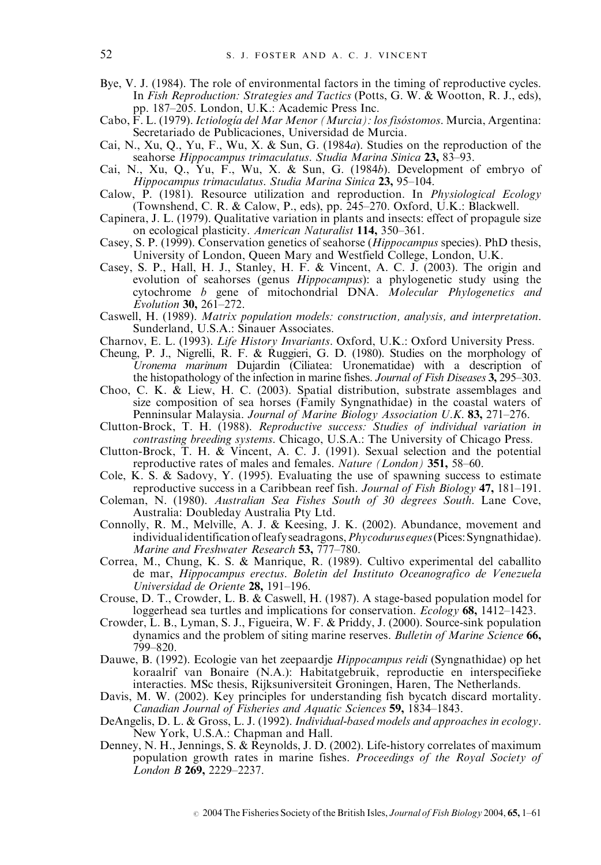- Bye, V. J. (1984). The role of environmental factors in the timing of reproductive cycles. In Fish Reproduction: Strategies and Tactics (Potts, G. W. & Wootton, R. J., eds), pp. 187–205. London, U.K.: Academic Press Inc.
- Cabo, F. L. (1979). *Ictiología del Mar Menor (Murcia): los fisóstomos*. Murcia, Argentina: Secretariado de Publicaciones, Universidad de Murcia.
- Cai, N., Xu, Q., Yu, F., Wu, X. & Sun, G. (1984a). Studies on the reproduction of the seahorse Hippocampus trimaculatus. Studia Marina Sinica 23, 83–93.
- Cai, N., Xu, Q., Yu, F., Wu, X. & Sun, G. (1984b). Development of embryo of Hippocampus trimaculatus. Studia Marina Sinica 23, 95–104.
- Calow, P. (1981). Resource utilization and reproduction. In Physiological Ecology (Townshend, C. R. & Calow, P., eds), pp. 245–270. Oxford, U.K.: Blackwell.
- Capinera, J. L. (1979). Qualitative variation in plants and insects: effect of propagule size on ecological plasticity. American Naturalist 114, 350–361.
- Casey, S. P. (1999). Conservation genetics of seahorse (Hippocampus species). PhD thesis, University of London, Queen Mary and Westfield College, London, U.K.
- Casey, S. P., Hall, H. J., Stanley, H. F. & Vincent, A. C. J. (2003). The origin and evolution of seahorses (genus Hippocampus): a phylogenetic study using the cytochrome b gene of mitochondrial DNA. Molecular Phylogenetics and Evolution 30, 261–272.
- Caswell, H. (1989). Matrix population models: construction, analysis, and interpretation. Sunderland, U.S.A.: Sinauer Associates.
- Charnov, E. L. (1993). Life History Invariants. Oxford, U.K.: Oxford University Press.
- Cheung, P. J., Nigrelli, R. F. & Ruggieri, G. D. (1980). Studies on the morphology of Uronema marinum Dujardin (Ciliatea: Uronematidae) with a description of the histopathology of the infection in marine fishes. Journal of Fish Diseases 3, 295–303.
- Choo, C. K. & Liew, H. C. (2003). Spatial distribution, substrate assemblages and size composition of sea horses (Family Syngnathidae) in the coastal waters of Penninsular Malaysia. Journal of Marine Biology Association U.K. 83, 271–276.
- Clutton-Brock, T. H. (1988). Reproductive success: Studies of individual variation in contrasting breeding systems. Chicago, U.S.A.: The University of Chicago Press.
- Clutton-Brock, T. H. & Vincent, A. C. J. (1991). Sexual selection and the potential reproductive rates of males and females. Nature (London) 351, 58–60.
- Cole, K. S. & Sadovy, Y. (1995). Evaluating the use of spawning success to estimate reproductive success in a Caribbean reef fish. Journal of Fish Biology 47, 181–191.
- Coleman, N. (1980). Australian Sea Fishes South of 30 degrees South. Lane Cove, Australia: Doubleday Australia Pty Ltd.
- Connolly, R. M., Melville, A. J. & Keesing, J. K. (2002). Abundance, movement and individual identification of leafy seadragons, *Phycodurus eques* (Pices: Syngnathidae). Marine and Freshwater Research 53, 777-780.
- Correa, M., Chung, K. S. & Manrique, R. (1989). Cultivo experimental del caballito de mar, Hippocampus erectus. Boletin del Instituto Oceanografico de Venezuela Universidad de Oriente 28, 191–196.
- Crouse, D. T., Crowder, L. B. & Caswell, H. (1987). A stage-based population model for loggerhead sea turtles and implications for conservation. *Ecology* 68, 1412–1423.
- Crowder, L. B., Lyman, S. J., Figueira, W. F. & Priddy, J. (2000). Source-sink population dynamics and the problem of siting marine reserves. Bulletin of Marine Science 66, 799–820.
- Dauwe, B. (1992). Ecologie van het zeepaardje Hippocampus reidi (Syngnathidae) op het koraalrif van Bonaire (N.A.): Habitatgebruik, reproductie en interspecifieke interacties. MSc thesis, Rijksuniversiteit Groningen, Haren, The Netherlands.
- Davis, M. W. (2002). Key principles for understanding fish bycatch discard mortality. Canadian Journal of Fisheries and Aquatic Sciences 59, 1834–1843.
- DeAngelis, D. L. & Gross, L. J. (1992). Individual-based models and approaches in ecology. New York, U.S.A.: Chapman and Hall.
- Denney, N. H., Jennings, S. & Reynolds, J. D. (2002). Life-history correlates of maximum population growth rates in marine fishes. Proceedings of the Royal Society of London B 269, 2229–2237.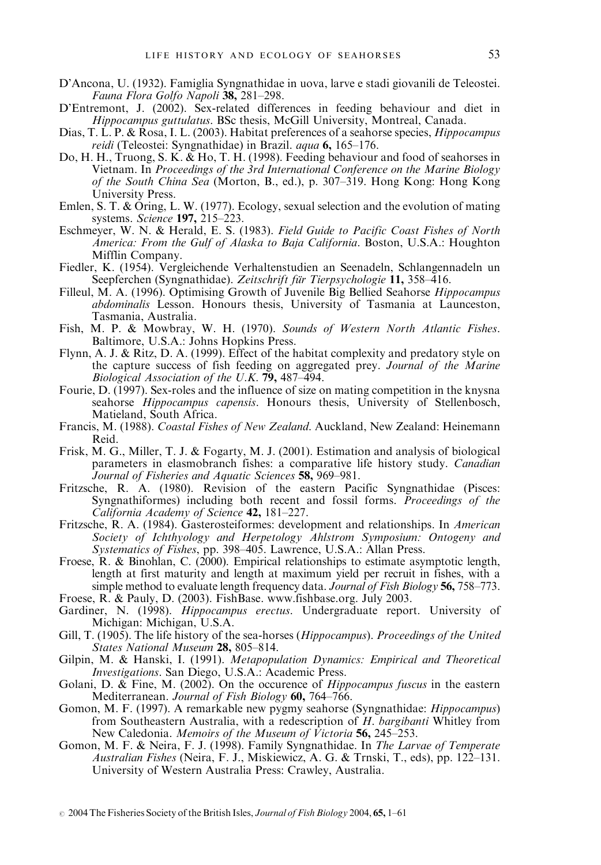- D'Ancona, U. (1932). Famiglia Syngnathidae in uova, larve e stadi giovanili de Teleostei. Fauna Flora Golfo Napoli 38, 281–298.
- D'Entremont, J. (2002). Sex-related differences in feeding behaviour and diet in Hippocampus guttulatus. BSc thesis, McGill University, Montreal, Canada.
- Dias, T. L. P. & Rosa, I. L. (2003). Habitat preferences of a seahorse species, Hippocampus reidi (Teleostei: Syngnathidae) in Brazil. aqua 6, 165–176.
- Do, H. H., Truong, S. K. & Ho, T. H. (1998). Feeding behaviour and food of seahorses in Vietnam. In Proceedings of the 3rd International Conference on the Marine Biology of the South China Sea (Morton, B., ed.), p. 307–319. Hong Kong: Hong Kong University Press.
- Emlen, S. T. & Oring, L. W. (1977). Ecology, sexual selection and the evolution of mating systems. Science 197, 215–223.
- Eschmeyer, W. N. & Herald, E. S. (1983). Field Guide to Pacific Coast Fishes of North America: From the Gulf of Alaska to Baja California. Boston, U.S.A.: Houghton Mifflin Company.
- Fiedler, K. (1954). Vergleichende Verhaltenstudien an Seenadeln, Schlangennadeln un Seepferchen (Syngnathidae). Zeitschrift für Tierpsychologie 11, 358–416.
- Filleul, M. A. (1996). Optimising Growth of Juvenile Big Bellied Seahorse Hippocampus abdominalis Lesson. Honours thesis, University of Tasmania at Launceston, Tasmania, Australia.
- Fish, M. P. & Mowbray, W. H. (1970). Sounds of Western North Atlantic Fishes. Baltimore, U.S.A.: Johns Hopkins Press.
- Flynn, A. J. & Ritz, D. A. (1999). Effect of the habitat complexity and predatory style on the capture success of fish feeding on aggregated prey. Journal of the Marine Biological Association of the U.K.  $\overline{79}$ , 487–494.
- Fourie, D. (1997). Sex-roles and the influence of size on mating competition in the knysna seahorse *Hippocampus capensis*. Honours thesis, University of Stellenbosch, Matieland, South Africa.
- Francis, M. (1988). Coastal Fishes of New Zealand. Auckland, New Zealand: Heinemann Reid.
- Frisk, M. G., Miller, T. J. & Fogarty, M. J. (2001). Estimation and analysis of biological parameters in elasmobranch fishes: a comparative life history study. Canadian Journal of Fisheries and Aquatic Sciences 58, 969-981.
- Fritzsche, R. A. (1980). Revision of the eastern Pacific Syngnathidae (Pisces: Syngnathiformes) including both recent and fossil forms. Proceedings of the California Academy of Science 42, 181–227.
- Fritzsche, R. A. (1984). Gasterosteiformes: development and relationships. In American Society of Ichthyology and Herpetology Ahlstrom Symposium: Ontogeny and Systematics of Fishes, pp. 398–405. Lawrence, U.S.A.: Allan Press.
- Froese, R. & Binohlan, C. (2000). Empirical relationships to estimate asymptotic length, length at first maturity and length at maximum yield per recruit in fishes, with a simple method to evaluate length frequency data. Journal of Fish Biology 56, 758–773.
- Froese, R. & Pauly, D. (2003). FishBase. www.fishbase.org. July 2003.
- Gardiner, N. (1998). Hippocampus erectus. Undergraduate report. University of Michigan: Michigan, U.S.A.
- Gill, T. (1905). The life history of the sea-horses (Hippocampus). Proceedings of the United States National Museum 28, 805-814.
- Gilpin, M. & Hanski, I. (1991). Metapopulation Dynamics: Empirical and Theoretical Investigations. San Diego, U.S.A.: Academic Press.
- Golani, D. & Fine, M. (2002). On the occurence of *Hippocampus fuscus* in the eastern Mediterranean. Journal of Fish Biology 60, 764–766.
- Gomon, M. F. (1997). A remarkable new pygmy seahorse (Syngnathidae: Hippocampus) from Southeastern Australia, with a redescription of H. bargibanti Whitley from New Caledonia. Memoirs of the Museum of Victoria  $56$ ,  $245-253$ .
- Gomon, M. F. & Neira, F. J. (1998). Family Syngnathidae. In The Larvae of Temperate Australian Fishes (Neira, F. J., Miskiewicz, A. G. & Trnski, T., eds), pp. 122–131. University of Western Australia Press: Crawley, Australia.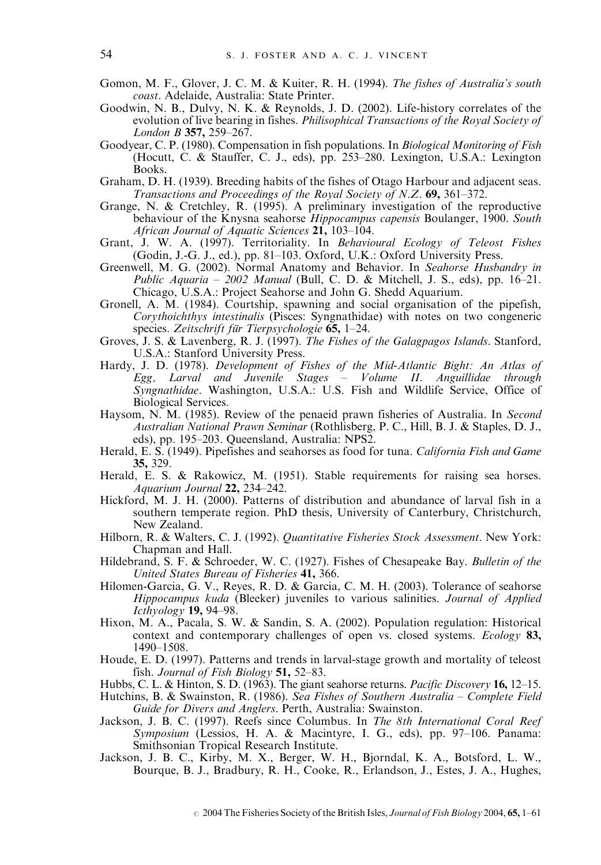- Gomon, M. F., Glover, J. C. M. & Kuiter, R. H. (1994). The fishes of Australia's south coast. Adelaide, Australia: State Printer.
- Goodwin, N. B., Dulvy, N. K. & Reynolds, J. D. (2002). Life-history correlates of the evolution of live bearing in fishes. Philisophical Transactions of the Royal Society of London B 357, 259–267.
- Goodyear, C. P. (1980). Compensation in fish populations. In Biological Monitoring of Fish (Hocutt, C. & Stauffer, C. J., eds), pp. 253–280. Lexington, U.S.A.: Lexington Books.
- Graham, D. H. (1939). Breeding habits of the fishes of Otago Harbour and adjacent seas. Transactions and Proceedings of the Royal Society of N.Z.  $69$ ,  $361-372$ .
- Grange, N. & Cretchley, R. (1995). A preliminary investigation of the reproductive behaviour of the Knysna seahorse *Hippocampus capensis* Boulanger, 1900. South African Journal of Aquatic Sciences  $21, 103-104$ .
- Grant, J. W. A. (1997). Territoriality. In Behavioural Ecology of Teleost Fishes (Godin, J.-G. J., ed.), pp. 81–103. Oxford, U.K.: Oxford University Press.
- Greenwell, M. G. (2002). Normal Anatomy and Behavior. In Seahorse Husbandry in Public Aquaria – 2002 Manual (Bull, C. D. & Mitchell, J. S., eds), pp.  $16-21$ . Chicago, U.S.A.: Project Seahorse and John G. Shedd Aquarium.
- Gronell, A. M. (1984). Courtship, spawning and social organisation of the pipefish,  $Corvthoichthvs$  intestinalis (Pisces: Syngnathidae) with notes on two congeneric species. Zeitschrift für Tierpsychologie  $65$ , 1–24.
- Groves, J. S. & Lavenberg, R. J. (1997). The Fishes of the Galagpagos Islands. Stanford, U.S.A.: Stanford University Press.
- Hardy, J. D. (1978). Development of Fishes of the Mid-Atlantic Bight: An Atlas of Egg, Larval and Juvenile Stages – Volume II. Anguillidae through Syngnathidae. Washington, U.S.A.: U.S. Fish and Wildlife Service, Office of Biological Services.
- Haysom, N. M. (1985). Review of the penaeid prawn fisheries of Australia. In Second Australian National Prawn Seminar (Rothlisberg, P. C., Hill, B. J. & Staples, D. J., eds), pp. 195–203. Queensland, Australia: NPS2.
- Herald, E. S. (1949). Pipefishes and seahorses as food for tuna. California Fish and Game 35, 329.
- Herald, E. S. & Rakowicz, M. (1951). Stable requirements for raising sea horses. Aquarium Journal 22, 234–242.
- Hickford, M. J. H. (2000). Patterns of distribution and abundance of larval fish in a southern temperate region. PhD thesis, University of Canterbury, Christchurch, New Zealand.
- Hilborn, R. & Walters, C. J. (1992). Quantitative Fisheries Stock Assessment. New York: Chapman and Hall.
- Hildebrand, S. F. & Schroeder, W. C. (1927). Fishes of Chesapeake Bay. Bulletin of the United States Bureau of Fisheries 41, 366.
- Hilomen-Garcia, G. V., Reyes, R. D. & Garcia, C. M. H. (2003). Tolerance of seahorse Hippocampus kuda (Bleeker) juveniles to various salinities. Journal of Applied Icthyology 19, 94–98.
- Hixon, M. A., Pacala, S. W. & Sandin, S. A. (2002). Population regulation: Historical context and contemporary challenges of open vs. closed systems. Ecology 83, 1490–1508.
- Houde, E. D. (1997). Patterns and trends in larval-stage growth and mortality of teleost fish. Journal of Fish Biology 51, 52-83.
- Hubbs, C. L. & Hinton, S. D. (1963). The giant seahorse returns. *Pacific Discovery* 16, 12–15.
- Hutchins, B. & Swainston, R. (1986). Sea Fishes of Southern Australia Complete Field Guide for Divers and Anglers. Perth, Australia: Swainston.
- Jackson, J. B. C. (1997). Reefs since Columbus. In The 8th International Coral Reef Symposium (Lessios, H. A. & Macintyre, I. G., eds), pp. 97–106. Panama: Smithsonian Tropical Research Institute.
- Jackson, J. B. C., Kirby, M. X., Berger, W. H., Bjorndal, K. A., Botsford, L. W., Bourque, B. J., Bradbury, R. H., Cooke, R., Erlandson, J., Estes, J. A., Hughes,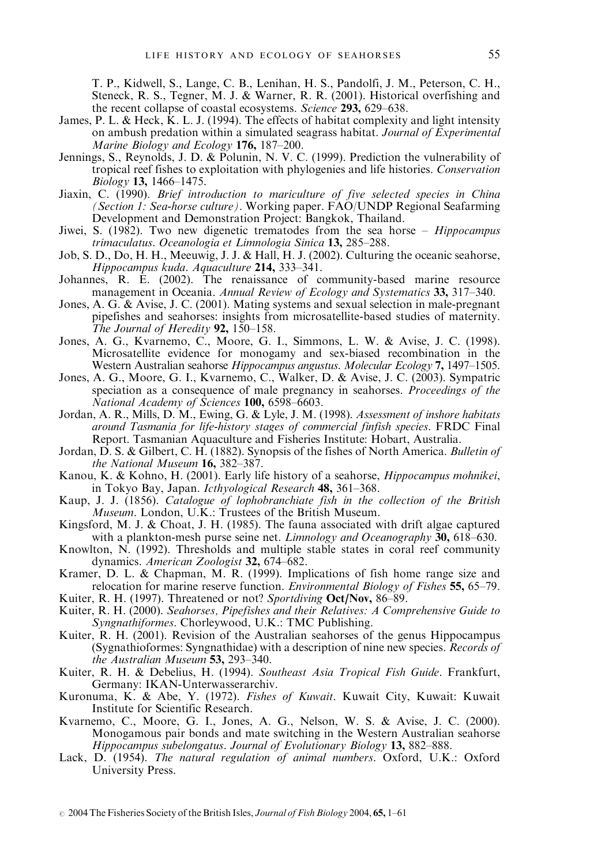T. P., Kidwell, S., Lange, C. B., Lenihan, H. S., Pandolfi, J. M., Peterson, C. H., Steneck, R. S., Tegner, M. J. & Warner, R. R. (2001). Historical overfishing and the recent collapse of coastal ecosystems. Science 293, 629–638.

- James, P. L. & Heck, K. L. J. (1994). The effects of habitat complexity and light intensity on ambush predation within a simulated seagrass habitat. Journal of Experimental Marine Biology and Ecology  $176$ ,  $187-200$ .
- Jennings, S., Reynolds, J. D. & Polunin, N. V. C. (1999). Prediction the vulnerability of tropical reef fishes to exploitation with phylogenies and life histories. Conservation Biology 13, 1466–1475.
- Jiaxin, C. (1990). Brief introduction to mariculture of five selected species in China (Section 1: Sea-horse culture). Working paper. FAO/UNDP Regional Seafarming Development and Demonstration Project: Bangkok, Thailand.
- Jiwei, S.  $(1982)$ . Two new digenetic trematodes from the sea horse *Hippocampus* trimaculatus. Oceanologia et Limnologia Sinica 13, 285–288.
- Job, S. D., Do, H. H., Meeuwig, J. J. & Hall, H. J. (2002). Culturing the oceanic seahorse, Hippocampus kuda. Aquaculture 214, 333–341.
- Johannes, R. E. (2002). The renaissance of community-based marine resource management in Oceania. Annual Review of Ecology and Systematics 33, 317–340.
- Jones, A. G. & Avise, J. C. (2001). Mating systems and sexual selection in male-pregnant pipefishes and seahorses: insights from microsatellite-based studies of maternity. The Journal of Heredity  $92, 150-158$ .
- Jones, A. G., Kvarnemo, C., Moore, G. I., Simmons, L. W. & Avise, J. C. (1998). Microsatellite evidence for monogamy and sex-biased recombination in the Western Australian seahorse Hippocampus angustus. Molecular Ecology 7, 1497–1505.
- Jones, A. G., Moore, G. I., Kvarnemo, C., Walker, D. & Avise, J. C. (2003). Sympatric speciation as a consequence of male pregnancy in seahorses. Proceedings of the National Academy of Sciences 100, 6598-6603.
- Jordan, A. R., Mills, D. M., Ewing, G. & Lyle, J. M. (1998). Assessment of inshore habitats around Tasmania for life-history stages of commercial finfish species. FRDC Final Report. Tasmanian Aquaculture and Fisheries Institute: Hobart, Australia.
- Jordan, D. S. & Gilbert, C. H. (1882). Synopsis of the fishes of North America. Bulletin of the National Museum 16, 382–387.
- Kanou, K. & Kohno, H. (2001). Early life history of a seahorse, Hippocampus mohnikei, in Tokyo Bay, Japan. Icthyological Research 48, 361–368.
- Kaup, J. J. (1856). Catalogue of lophobranchiate fish in the collection of the British Museum. London, U.K.: Trustees of the British Museum.
- Kingsford, M. J. & Choat, J. H. (1985). The fauna associated with drift algae captured with a plankton-mesh purse seine net. *Limnology and Oceanography* 30, 618–630.
- Knowlton, N. (1992). Thresholds and multiple stable states in coral reef community dynamics. American Zoologist 32, 674-682.
- Kramer, D. L. & Chapman, M. R. (1999). Implications of fish home range size and relocation for marine reserve function. *Environmental Biology of Fishes* 55, 65–79.

Kuiter, R. H. (1997). Threatened or not? Sportdiving Oct/Nov, 86–89.

- Kuiter, R. H. (2000). Seahorses, Pipefishes and their Relatives: A Comprehensive Guide to Syngnathiformes. Chorleywood, U.K.: TMC Publishing.
- Kuiter, R. H. (2001). Revision of the Australian seahorses of the genus Hippocampus (Sygnathioformes: Syngnathidae) with a description of nine new species. Records of the Australian Museum 53, 293–340.
- Kuiter, R. H. & Debelius, H. (1994). Southeast Asia Tropical Fish Guide. Frankfurt, Germany: IKAN-Unterwasserarchiv.
- Kuronuma, K. & Abe, Y. (1972). Fishes of Kuwait. Kuwait City, Kuwait: Kuwait Institute for Scientific Research.
- Kvarnemo, C., Moore, G. I., Jones, A. G., Nelson, W. S. & Avise, J. C. (2000). Monogamous pair bonds and mate switching in the Western Australian seahorse Hippocampus subelongatus. Journal of Evolutionary Biology 13, 882–888.
- Lack, D. (1954). The natural regulation of animal numbers. Oxford, U.K.: Oxford University Press.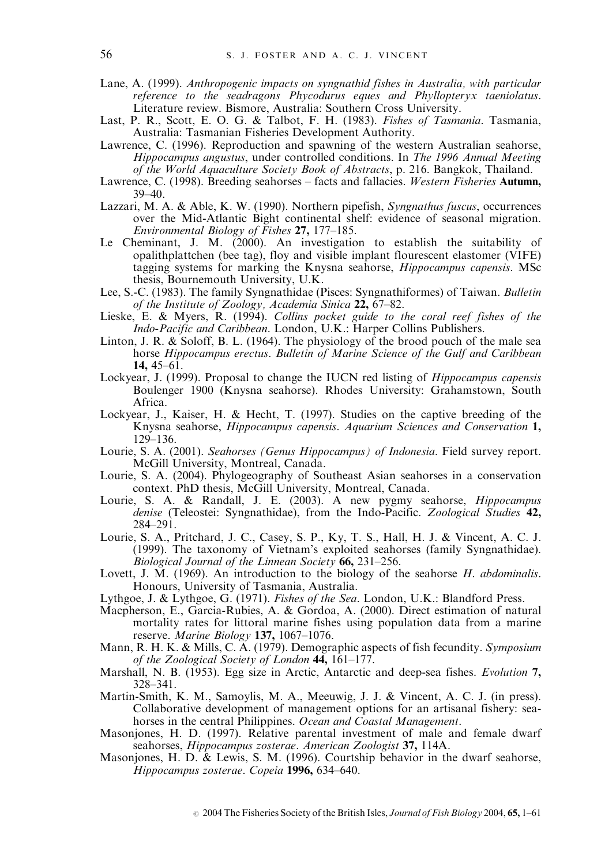- Lane, A. (1999). Anthropogenic impacts on syngnathid fishes in Australia, with particular reference to the seadragons Phycodurus eques and Phyllopteryx taeniolatus. Literature review. Bismore, Australia: Southern Cross University.
- Last, P. R., Scott, E. O. G. & Talbot, F. H. (1983). *Fishes of Tasmania*. Tasmania, Australia: Tasmanian Fisheries Development Authority.
- Lawrence, C. (1996). Reproduction and spawning of the western Australian seahorse, Hippocampus angustus, under controlled conditions. In The 1996 Annual Meeting of the World Aquaculture Society Book of Abstracts, p. 216. Bangkok, Thailand.
- Lawrence, C. (1998). Breeding seahorses facts and fallacies. Western Fisheries Autumn,  $39-40.$
- Lazzari, M. A. & Able, K. W. (1990). Northern pipefish, Syngnathus fuscus, occurrences over the Mid-Atlantic Bight continental shelf: evidence of seasonal migration. Environmental Biology of Fishes  $27$ , 177-185.
- Le Cheminant, J. M. (2000). An investigation to establish the suitability of opalithplattchen (bee tag), floy and visible implant flourescent elastomer (VIFE) tagging systems for marking the Knysna seahorse, Hippocampus capensis. MSc thesis, Bournemouth University, U.K.
- Lee, S.-C. (1983). The family Syngnathidae (Pisces: Syngnathiformes) of Taiwan. Bulletin of the Institute of Zoology, Academia Sinica 22, 67–82.
- Lieske, E. & Myers, R. (1994). Collins pocket guide to the coral reef fishes of the Indo-Pacific and Caribbean. London, U.K.: Harper Collins Publishers.
- Linton, J. R. & Soloff, B. L. (1964). The physiology of the brood pouch of the male sea horse Hippocampus erectus. Bulletin of Marine Science of the Gulf and Caribbean 14, 45–61.
- Lockyear, J. (1999). Proposal to change the IUCN red listing of Hippocampus capensis Boulenger 1900 (Knysna seahorse). Rhodes University: Grahamstown, South Africa.
- Lockyear, J., Kaiser, H. & Hecht, T. (1997). Studies on the captive breeding of the Knysna seahorse, Hippocampus capensis. Aquarium Sciences and Conservation 1, 129–136.
- Lourie, S. A. (2001). Seahorses (Genus Hippocampus) of Indonesia. Field survey report. McGill University, Montreal, Canada.
- Lourie, S. A. (2004). Phylogeography of Southeast Asian seahorses in a conservation context. PhD thesis, McGill University, Montreal, Canada.
- Lourie, S. A. & Randall, J. E. (2003). A new pygmy seahorse, Hippocampus denise (Teleostei: Syngnathidae), from the Indo-Pacific. Zoological Studies 42, 284–291.
- Lourie, S. A., Pritchard, J. C., Casey, S. P., Ky, T. S., Hall, H. J. & Vincent, A. C. J. (1999). The taxonomy of Vietnam's exploited seahorses (family Syngnathidae). Biological Journal of the Linnean Society 66, 231–256.
- Lovett, J. M.  $(1969)$ . An introduction to the biology of the seahorse H. abdominalis. Honours, University of Tasmania, Australia.
- Lythgoe, J. & Lythgoe, G. (1971). Fishes of the Sea. London, U.K.: Blandford Press.
- Macpherson, E., Garcia-Rubies, A. & Gordoa, A. (2000). Direct estimation of natural mortality rates for littoral marine fishes using population data from a marine reserve. Marine Biology 137, 1067–1076.
- Mann, R. H. K. & Mills, C. A. (1979). Demographic aspects of fish fecundity. Symposium of the Zoological Society of London  $44$ ,  $161-177$ .
- Marshall, N. B. (1953). Egg size in Arctic, Antarctic and deep-sea fishes. Evolution 7, 328–341.
- Martin-Smith, K. M., Samoylis, M. A., Meeuwig, J. J. & Vincent, A. C. J. (in press). Collaborative development of management options for an artisanal fishery: seahorses in the central Philippines. Ocean and Coastal Management.
- Masonjones, H. D. (1997). Relative parental investment of male and female dwarf seahorses, Hippocampus zosterae. American Zoologist 37, 114A.
- Masonjones, H. D. & Lewis, S. M. (1996). Courtship behavior in the dwarf seahorse, Hippocampus zosterae. Copeia 1996, 634–640.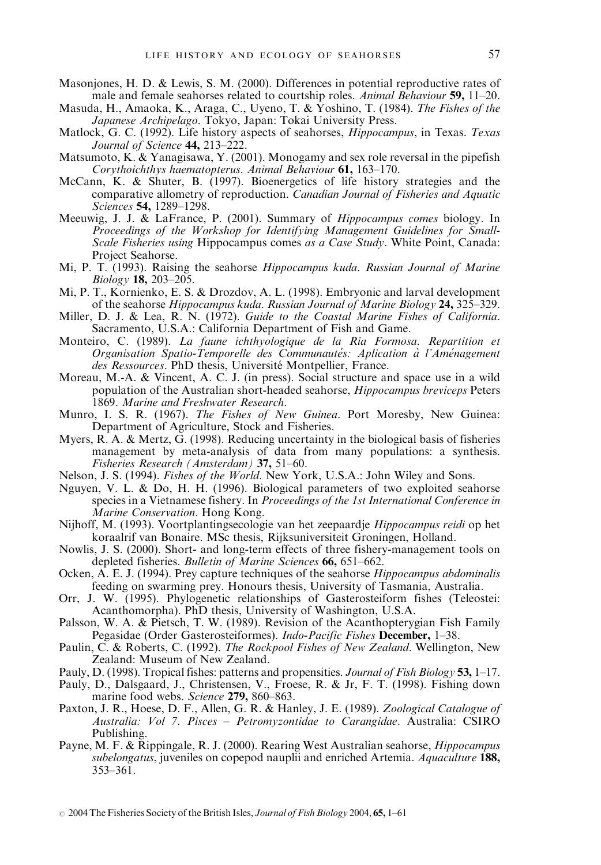- Masonjones, H. D. & Lewis, S. M. (2000). Differences in potential reproductive rates of male and female seahorses related to courtship roles. Animal Behaviour 59, 11–20.
- Masuda, H., Amaoka, K., Araga, C., Uyeno, T. & Yoshino, T. (1984). The Fishes of the Japanese Archipelago. Tokyo, Japan: Tokai University Press.
- Matlock, G. C. (1992). Life history aspects of seahorses, Hippocampus, in Texas. Texas Journal of Science 44, 213-222.
- Matsumoto, K. & Yanagisawa, Y. (2001). Monogamy and sex role reversal in the pipefish Corythoichthys haematopterus. Animal Behaviour 61, 163–170.
- McCann, K. & Shuter, B. (1997). Bioenergetics of life history strategies and the comparative allometry of reproduction. Canadian Journal of Fisheries and Aquatic Sciences **54,** 1289-1298.
- Meeuwig, J. J. & LaFrance, P. (2001). Summary of Hippocampus comes biology. In Proceedings of the Workshop for Identifying Management Guidelines for Small-Scale Fisheries using Hippocampus comes as a Case Study. White Point, Canada: Project Seahorse.
- Mi, P. T. (1993). Raising the seahorse Hippocampus kuda. Russian Journal of Marine Biology 18, 203–205.
- Mi, P. T., Kornienko, E. S. & Drozdov, A. L. (1998). Embryonic and larval development of the seahorse Hippocampus kuda. Russian Journal of Marine Biology 24, 325–329.
- Miller, D. J. & Lea, R. N. (1972). Guide to the Coastal Marine Fishes of California. Sacramento, U.S.A.: California Department of Fish and Game.
- Monteiro, C. (1989). La faune ichthyologique de la Ria Formosa. Repartition et Organisation Spatio-Temporelle des Communautés: Aplication à l'Aménagement des Ressources. PhD thesis, Université Montpellier, France.
- Moreau, M.-A. & Vincent, A. C. J. (in press). Social structure and space use in a wild population of the Australian short-headed seahorse, *Hippocampus breviceps* Peters 1869. Marine and Freshwater Research.
- Munro, I. S. R. (1967). The Fishes of New Guinea. Port Moresby, New Guinea: Department of Agriculture, Stock and Fisheries.
- Myers, R. A. & Mertz,  $\tilde{G}$ . (1998). Reducing uncertainty in the biological basis of fisheries management by meta-analysis of data from many populations: a synthesis. Fisheries Research (Amsterdam) 37, 51–60.
- Nelson, J. S. (1994). Fishes of the World. New York, U.S.A.: John Wiley and Sons.
- Nguyen, V. L. & Do, H. H. (1996). Biological parameters of two exploited seahorse species in a Vietnamese fishery. In *Proceedings of the 1st International Conference in* Marine Conservation. Hong Kong.
- Nijhoff, M. (1993). Voortplantingsecologie van het zeepaardje Hippocampus reidi op het koraalrif van Bonaire. MSc thesis, Rijksuniversiteit Groningen, Holland.
- Nowlis, J. S. (2000). Short- and long-term effects of three fishery-management tools on depleted fisheries. Bulletin of Marine Sciences 66, 651-662.
- Ocken, A. E. J. (1994). Prey capture techniques of the seahorse Hippocampus abdominalis feeding on swarming prey. Honours thesis, University of Tasmania, Australia.
- Orr, J. W. (1995). Phylogenetic relationships of Gasterosteiform fishes (Teleostei: Acanthomorpha). PhD thesis, University of Washington, U.S.A.
- Palsson, W. A. & Pietsch, T. W. (1989). Revision of the Acanthopterygian Fish Family Pegasidae (Order Gasterosteiformes). *Indo-Pacific Fishes* December, 1–38.
- Paulin, C. & Roberts, C. (1992). The Rockpool Fishes of New Zealand. Wellington, New Zealand: Museum of New Zealand.
- Pauly, D. (1998). Tropical fishes: patterns and propensities. Journal of Fish Biology 53, 1–17.
- Pauly, D., Dalsgaard, J., Christensen, V., Froese, R. & Jr, F. T. (1998). Fishing down marine food webs. Science 279, 860-863.
- Paxton, J. R., Hoese, D. F., Allen, G. R. & Hanley, J. E. (1989). Zoological Catalogue of Australia: Vol 7. Pisces – Petromyzontidae to Carangidae. Australia: CSIRO Publishing.
- Payne, M. F. & Rippingale, R. J. (2000). Rearing West Australian seahorse, Hippocampus subelongatus, juveniles on copepod nauplii and enriched Artemia. Aquaculture 188, 353–361.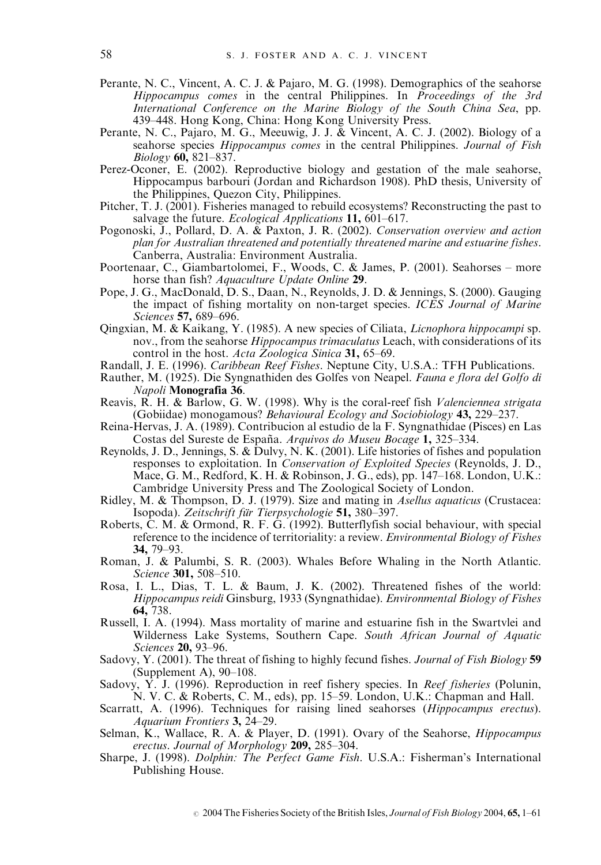- Perante, N. C., Vincent, A. C. J. & Pajaro, M. G. (1998). Demographics of the seahorse Hippocampus comes in the central Philippines. In Proceedings of the 3rd International Conference on the Marine Biology of the South China Sea, pp. 439–448. Hong Kong, China: Hong Kong University Press.
- Perante, N. C., Pajaro, M. G., Meeuwig, J. J. & Vincent, A. C. J. (2002). Biology of a seahorse species *Hippocampus comes* in the central Philippines. Journal of Fish Biology 60, 821–837.
- Perez-Oconer, E. (2002). Reproductive biology and gestation of the male seahorse, Hippocampus barbouri (Jordan and Richardson 1908). PhD thesis, University of the Philippines, Quezon City, Philippines.
- Pitcher, T. J. (2001). Fisheries managed to rebuild ecosystems? Reconstructing the past to salvage the future. *Ecological Applications* 11, 601–617.
- Pogonoski, J., Pollard, D. A.  $\&$  Paxton, J. R. (2002). Conservation overview and action plan for Australian threatened and potentially threatened marine and estuarine fishes. Canberra, Australia: Environment Australia.
- Poortenaar, C., Giambartolomei, F., Woods, C. & James, P. (2001). Seahorses more horse than fish? Aquaculture Update Online 29.
- Pope, J. G., MacDonald, D. S., Daan, N., Reynolds, J. D. & Jennings, S. (2000). Gauging the impact of fishing mortality on non-target species. ICES Journal of Marine Sciences 57, 689–696.
- Qingxian, M. & Kaikang, Y. (1985). A new species of Ciliata, Licnophora hippocampi sp. nov., from the seahorse *Hippocampus trimaculatus* Leach, with considerations of its control in the host. Acta Zoologica Sinica 31, 65–69.
- Randall, J. E. (1996). Caribbean Reef Fishes. Neptune City, U.S.A.: TFH Publications.
- Rauther, M. (1925). Die Syngnathiden des Golfes von Neapel. Fauna e flora del Golfo di Napoli Monografia 36.
- Reavis, R. H. & Barlow, G. W. (1998). Why is the coral-reef fish *Valenciennea strigata* (Gobiidae) monogamous? Behavioural Ecology and Sociobiology 43, 229–237.
- Reina-Hervas, J. A. (1989). Contribucion al estudio de la F. Syngnathidae (Pisces) en Las Costas del Sureste de España. Arquivos do Museu Bocage 1, 325–334.
- Reynolds, J. D., Jennings, S. & Dulvy, N. K. (2001). Life histories of fishes and population responses to exploitation. In Conservation of Exploited Species (Reynolds, J. D., Mace, G. M., Redford, K. H. & Robinson, J. G., eds), pp. 147–168. London, U.K.: Cambridge University Press and The Zoological Society of London.
- Ridley, M. & Thompson, D. J. (1979). Size and mating in Asellus aquaticus (Crustacea: Isopoda). Zeitschrift für Tierpsychologie 51, 380–397.
- Roberts, C. M. & Ormond, R. F. G. (1992). Butterflyfish social behaviour, with special reference to the incidence of territoriality: a review. *Environmental Biology of Fishes* 34, 79–93.
- Roman, J. & Palumbi, S. R. (2003). Whales Before Whaling in the North Atlantic. Science 301, 508–510.
- Rosa, I. L., Dias, T. L. & Baum, J. K. (2002). Threatened fishes of the world: Hippocampus reidi Ginsburg, 1933 (Syngnathidae). Environmental Biology of Fishes 64, 738.
- Russell, I. A. (1994). Mass mortality of marine and estuarine fish in the Swartvlei and Wilderness Lake Systems, Southern Cape. South African Journal of Aquatic Sciences 20, 93–96.
- Sadovy, Y. (2001). The threat of fishing to highly fecund fishes. Journal of Fish Biology 59 (Supplement A), 90–108.
- Sadovy, Y. J. (1996). Reproduction in reef fishery species. In *Reef fisheries* (Polunin, N. V. C. & Roberts, C. M., eds), pp. 15–59. London, U.K.: Chapman and Hall.
- Scarratt, A. (1996). Techniques for raising lined seahorses (Hippocampus erectus). Aquarium Frontiers 3, 24–29.
- Selman, K., Wallace, R. A. & Player, D. (1991). Ovary of the Seahorse, *Hippocampus* erectus. Journal of Morphology 209, 285–304.
- Sharpe, J. (1998). Dolphin: The Perfect Game Fish. U.S.A.: Fisherman's International Publishing House.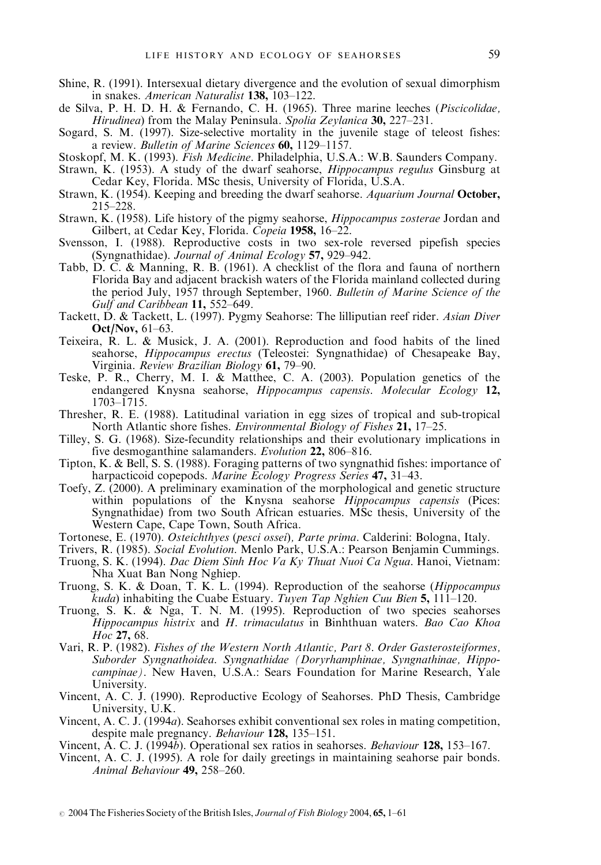- Shine, R. (1991). Intersexual dietary divergence and the evolution of sexual dimorphism in snakes. American Naturalist 138, 103–122.
- de Silva, P. H. D. H. & Fernando, C. H. (1965). Three marine leeches (Piscicolidae, Hirudinea) from the Malay Peninsula. Spolia Zeylanica 30, 227–231.
- Sogard, S. M. (1997). Size-selective mortality in the juvenile stage of teleost fishes: a review. Bulletin of Marine Sciences 60, 1129-1157.
- Stoskopf, M. K. (1993). Fish Medicine. Philadelphia, U.S.A.: W.B. Saunders Company.
- Strawn, K. (1953). A study of the dwarf seahorse, Hippocampus regulus Ginsburg at Cedar Key, Florida. MSc thesis, University of Florida, U.S.A.
- Strawn, K. (1954). Keeping and breeding the dwarf seahorse. Aquarium Journal October, 215–228.
- Strawn, K. (1958). Life history of the pigmy seahorse, Hippocampus zosterae Jordan and Gilbert, at Cedar Key, Florida. Copeia 1958, 16–22.
- Svensson, I. (1988). Reproductive costs in two sex-role reversed pipefish species (Syngnathidae). Journal of Animal Ecology 57, 929–942.
- Tabb, D. C. & Manning, R. B. (1961). A checklist of the flora and fauna of northern Florida Bay and adjacent brackish waters of the Florida mainland collected during the period July, 1957 through September, 1960. Bulletin of Marine Science of the Gulf and Caribbean  $11, 552-649$ .
- Tackett, D. & Tackett, L. (1997). Pygmy Seahorse: The lilliputian reef rider. Asian Diver Oct/Nov, 61–63.
- Teixeira, R. L. & Musick, J. A. (2001). Reproduction and food habits of the lined seahorse, Hippocampus erectus (Teleostei: Syngnathidae) of Chesapeake Bay, Virginia. Review Brazilian Biology 61, 79–90.
- Teske, P. R., Cherry, M. I. & Matthee, C. A. (2003). Population genetics of the endangered Knysna seahorse, Hippocampus capensis. Molecular Ecology 12, 1703–1715.
- Thresher, R. E. (1988). Latitudinal variation in egg sizes of tropical and sub-tropical North Atlantic shore fishes. Environmental Biology of Fishes 21, 17-25.
- Tilley, S. G. (1968). Size-fecundity relationships and their evolutionary implications in five desmoganthine salamanders. Evolution 22, 806–816.
- Tipton, K. & Bell, S. S. (1988). Foraging patterns of two syngnathid fishes: importance of harpacticoid copepods. Marine Ecology Progress Series 47, 31–43.
- Toefy, Z. (2000). A preliminary examination of the morphological and genetic structure within populations of the Knysna seahorse *Hippocampus capensis* (Pices: Syngnathidae) from two South African estuaries. MSc thesis, University of the Western Cape, Cape Town, South Africa.
- Tortonese, E. (1970). Osteichthyes (pesci ossei), Parte prima. Calderini: Bologna, Italy.
- Trivers, R. (1985). Social Evolution. Menlo Park, U.S.A.: Pearson Benjamin Cummings. Truong, S. K. (1994). Dac Diem Sinh Hoc Va Ky Thuat Nuoi Ca Ngua. Hanoi, Vietnam: Nha Xuat Ban Nong Nghiep.
- Truong, S. K. & Doan, T. K. L. (1994). Reproduction of the seahorse (Hippocampus *kuda*) inhabiting the Cuabe Estuary. *Tuyen Tap Nghien Cuu Bien* 5, 111–120.
- Truong, S. K. & Nga, T. N. M. (1995). Reproduction of two species seahorses Hippocampus histrix and H. trimaculatus in Binhthuan waters. Bao Cao Khoa  $H_{0c}$  27, 68.
- Vari, R. P. (1982). Fishes of the Western North Atlantic, Part 8. Order Gasterosteiformes, Suborder Syngnathoidea. Syngnathidae (Doryrhamphinae, Syngnathinae, Hippocampinae). New Haven, U.S.A.: Sears Foundation for Marine Research, Yale University.
- Vincent, A. C. J. (1990). Reproductive Ecology of Seahorses. PhD Thesis, Cambridge University, U.K.
- Vincent, A. C. J. (1994a). Seahorses exhibit conventional sex roles in mating competition, despite male pregnancy. Behaviour 128, 135-151.
- Vincent,  $\hat{A}$ . C. J. (1994 $\check{b}$ ). Operational sex ratios in seahorses. *Behaviour* 128, 153–167.
- Vincent, A. C. J. (1995). A role for daily greetings in maintaining seahorse pair bonds. Animal Behaviour 49, 258–260.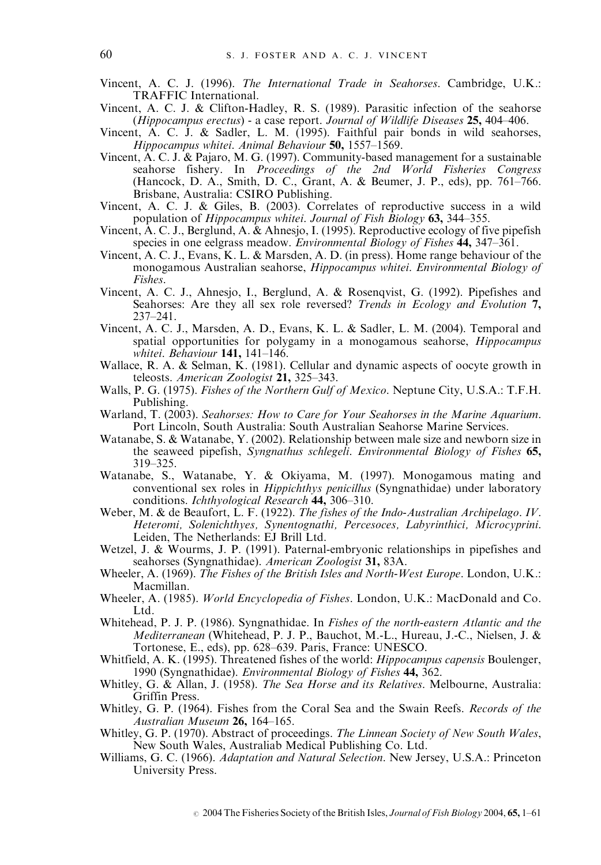- Vincent, A. C. J. (1996). The International Trade in Seahorses. Cambridge, U.K.: TRAFFIC International.
- Vincent, A. C. J. & Clifton-Hadley, R. S. (1989). Parasitic infection of the seahorse (Hippocampus erectus) - a case report. Journal of Wildlife Diseases  $25,404-406$ .
- Vincent, A. C. J. & Sadler, L. M. (1995). Faithful pair bonds in wild seahorses, Hippocampus whitei. Animal Behaviour  $50$ ,  $1557-1569$ .
- Vincent, A. C. J. & Pajaro, M. G. (1997). Community-based management for a sustainable seahorse fishery. In Proceedings of the 2nd World Fisheries Congress (Hancock, D. A., Smith, D. C., Grant, A. & Beumer, J. P., eds), pp. 761–766. Brisbane, Australia: CSIRO Publishing.
- Vincent, A. C. J. & Giles, B. (2003). Correlates of reproductive success in a wild population of Hippocampus whitei. Journal of Fish Biology 63, 344–355.
- Vincent, A. C. J., Berglund, A. & Ahnesjo, I. (1995). Reproductive ecology of five pipefish species in one eelgrass meadow. *Environmental Biology of Fishes* 44, 347–361.
- Vincent, A. C. J., Evans, K. L. & Marsden, A. D. (in press). Home range behaviour of the monogamous Australian seahorse, Hippocampus whitei. Environmental Biology of Fishes.
- Vincent, A. C. J., Ahnesjo, I., Berglund, A. & Rosenqvist, G. (1992). Pipefishes and Seahorses: Are they all sex role reversed? Trends in Ecology and Evolution 7, 237–241.
- Vincent, A. C. J., Marsden, A. D., Evans, K. L. & Sadler, L. M. (2004). Temporal and spatial opportunities for polygamy in a monogamous seahorse, Hippocampus whitei. Behaviour 141, 141–146.
- Wallace, R. A. & Selman, K. (1981). Cellular and dynamic aspects of oocyte growth in teleosts. American Zoologist 21, 325–343.
- Walls, P. G. (1975). Fishes of the Northern Gulf of Mexico. Neptune City, U.S.A.: T.F.H. Publishing.
- Warland, T. (2003). Seahorses: How to Care for Your Seahorses in the Marine Aquarium. Port Lincoln, South Australia: South Australian Seahorse Marine Services.
- Watanabe, S. & Watanabe, Y. (2002). Relationship between male size and newborn size in the seaweed pipefish, Syngnathus schlegeli. Environmental Biology of Fishes 65, 319–325.
- Watanabe, S., Watanabe, Y. & Okiyama, M. (1997). Monogamous mating and conventional sex roles in Hippichthys penicillus (Syngnathidae) under laboratory conditions. Ichthyological Research 44, 306–310.
- Weber, M. & de Beaufort, L. F. (1922). The fishes of the Indo-Australian Archipelago. IV. Heteromi, Solenichthyes, Synentognathi, Percesoces, Labyrinthici, Microcyprini. Leiden, The Netherlands: EJ Brill Ltd.
- Wetzel, J. & Wourms, J. P. (1991). Paternal-embryonic relationships in pipefishes and seahorses (Syngnathidae). American Zoologist 31, 83A.
- Wheeler, A. (1969). The Fishes of the British Isles and North-West Europe. London, U.K.: Macmillan.
- Wheeler, A. (1985). World Encyclopedia of Fishes. London, U.K.: MacDonald and Co. Ltd.
- Whitehead, P. J. P. (1986). Syngnathidae. In Fishes of the north-eastern Atlantic and the Mediterranean (Whitehead, P. J. P., Bauchot, M.-L., Hureau, J.-C., Nielsen, J. & Tortonese, E., eds), pp. 628–639. Paris, France: UNESCO.
- Whitfield, A. K. (1995). Threatened fishes of the world: *Hippocampus capensis* Boulenger, 1990 (Syngnathidae). *Environmental Biology of Fishes* 44, 362.
- Whitley, G. & Allan, J. (1958). The Sea Horse and its Relatives. Melbourne, Australia: Griffin Press.
- Whitley, G. P. (1964). Fishes from the Coral Sea and the Swain Reefs. Records of the Australian Museum 26, 164–165.
- Whitley, G. P. (1970). Abstract of proceedings. The Linnean Society of New South Wales, New South Wales, Australiab Medical Publishing Co. Ltd.
- Williams, G. C. (1966). Adaptation and Natural Selection. New Jersey, U.S.A.: Princeton University Press.